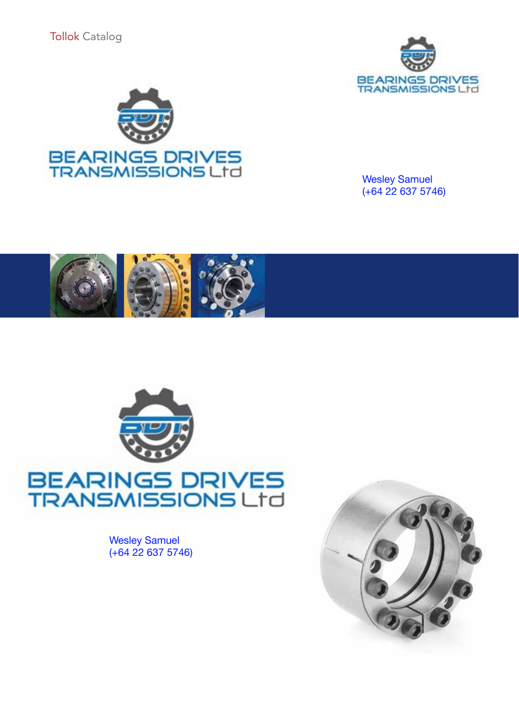



Wesley Samuel (+64 22 637 5746)





Wesley Samuel (+64 22 637 5746)

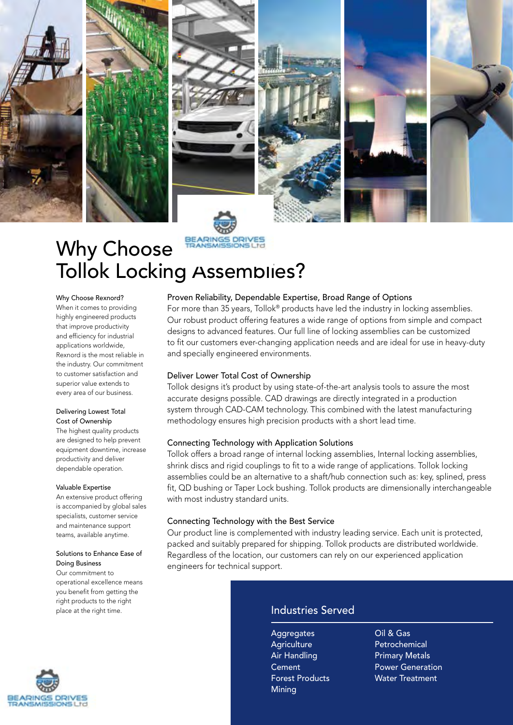

## Why Choose BARINGS DRIVES Tollok Locking Assemblies?

Why Choose Rexnord?

When it comes to providing highly engineered products that improve productivity and efficiency for industrial applications worldwide, Rexnord is the most reliable in the industry. Our commitment to customer satisfaction and superior value extends to every area of our business.

#### Delivering Lowest Total Cost of Ownership

The highest quality products are designed to help prevent equipment downtime, increase productivity and deliver dependable operation.

#### Valuable Expertise

An extensive product offering is accompanied by global sales specialists, customer service and maintenance support teams, available anytime.

#### Solutions to Enhance Ease of Doing Business

Our commitment to operational excellence means you benefit from getting the right products to the right place at the right time.



#### Proven Reliability, Dependable Expertise, Broad Range of Options

For more than 35 years, Tollok® products have led the industry in locking assemblies. Our robust product offering features a wide range of options from simple and compact designs to advanced features. Our full line of locking assemblies can be customized to fit our customers ever-changing application needs and are ideal for use in heavy-duty and specially engineered environments.

#### Deliver Lower Total Cost of Ownership

Tollok designs it's product by using state-of-the-art analysis tools to assure the most accurate designs possible. CAD drawings are directly integrated in a production system through CAD-CAM technology. This combined with the latest manufacturing methodology ensures high precision products with a short lead time.

#### Connecting Technology with Application Solutions

Tollok offers a broad range of internal locking assemblies, Internal locking assemblies, shrink discs and rigid couplings to fit to a wide range of applications. Tollok locking assemblies could be an alternative to a shaft/hub connection such as: key, splined, press fit, QD bushing or Taper Lock bushing. Tollok products are dimensionally interchangeable with most industry standard units.

#### Connecting Technology with the Best Service

Our product line is complemented with industry leading service. Each unit is protected, packed and suitably prepared for shipping. Tollok products are distributed worldwide. Regardless of the location, our customers can rely on our experienced application engineers for technical support.

#### Industries Served

**Aggregates Agriculture** Air Handling Cement Forest Products Mining

Oil & Gas Petrochemical Primary Metals Power Generation Water Treatment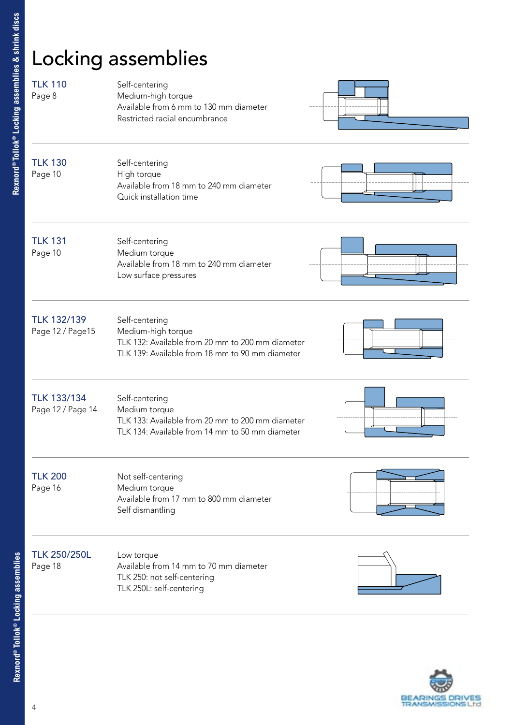## Locking assemblies

| <b>TLK 110</b><br>Page 8                | Self-centering<br>Medium-high torque<br>Available from 6 mm to 130 mm diameter<br>Restricted radial encumbrance                             |  |
|-----------------------------------------|---------------------------------------------------------------------------------------------------------------------------------------------|--|
| <b>TLK 130</b><br>Page 10               | Self-centering<br>High torque<br>Available from 18 mm to 240 mm diameter<br>Quick installation time                                         |  |
| <b>TLK 131</b><br>Page 10               | Self-centering<br>Medium torque<br>Available from 18 mm to 240 mm diameter<br>Low surface pressures                                         |  |
| <b>TLK 132/139</b><br>Page 12 / Page15  | Self-centering<br>Medium-high torque<br>TLK 132: Available from 20 mm to 200 mm diameter<br>TLK 139: Available from 18 mm to 90 mm diameter |  |
| <b>TLK 133/134</b><br>Page 12 / Page 14 | Self-centering<br>Medium torque<br>TLK 133: Available from 20 mm to 200 mm diameter<br>TLK 134: Available from 14 mm to 50 mm diameter      |  |
| <b>TLK 200</b><br>Page 16               | Not self-centering<br>Medium torque<br>Available from 17 mm to 800 mm diameter<br>Self dismantling                                          |  |
| <b>TLK 250/250L</b><br>Page 18          | Low torque<br>Available from 14 mm to 70 mm diameter<br>TLK 250: not self-centering<br>TLK 250L: self-centering                             |  |



**Rexnord® Tollok® Locking assemblies & shrink discs**

Rexnord®Tollok® Locking assemblies & shrink discs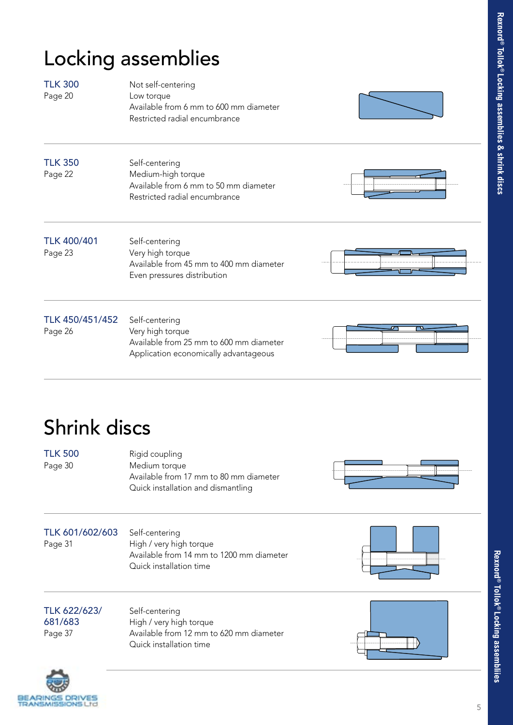## Locking assemblies

| <b>TLK 300</b><br>Page 20     | Not self-centering<br>Low torque<br>Available from 6 mm to 600 mm diameter<br>Restricted radial encumbrance            |   |
|-------------------------------|------------------------------------------------------------------------------------------------------------------------|---|
| <b>TLK 350</b><br>Page 22     | Self-centering<br>Medium-high torque<br>Available from 6 mm to 50 mm diameter<br>Restricted radial encumbrance         |   |
| <b>TLK 400/401</b><br>Page 23 | Self-centering<br>Very high torque<br>Available from 45 mm to 400 mm diameter<br>Even pressures distribution           |   |
| TLK 450/451/452<br>Page 26    | Self-centering<br>Very high torque<br>Available from 25 mm to 600 mm diameter<br>Application economically advantageous | ℸ |

## Shrink discs

| <b>TLK 500</b> | Rigid coupling                                                                                |
|----------------|-----------------------------------------------------------------------------------------------|
| Page 30        | Medium torque<br>Available from 17 mm to 80 mm diameter<br>Quick installation and dismantling |



TLK 601/602/603 Self-centering<br>Page 31 High / very high

High / very high torque Available from 14 mm to 1200 mm diameter Quick installation time



| TLK 622/623/ | Self-centering                          |
|--------------|-----------------------------------------|
| 681/683      | High / very high torque                 |
| Page 37      | Available from 12 mm to 620 mm diameter |
|              | Quick installation time                 |



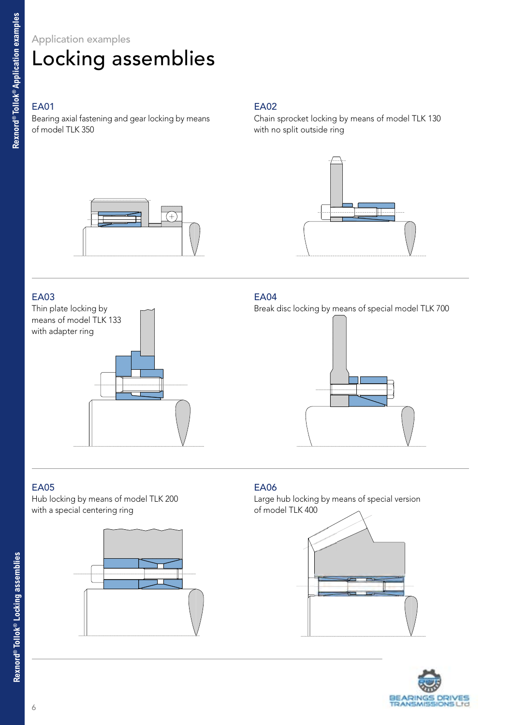### Application examples

## Locking assemblies

#### EA01

Bearing axial fastening and gear locking by means of model TLK 350

#### EA02

Chain sprocket locking by means of model TLK 130 with no split outside ring





#### EA03

Thin plate locking by means of model TLK 133 with adapter ring



#### EA04

Break disc locking by means of special model TLK 700



#### EA05

Hub locking by means of model TLK 200 with a special centering ring



#### EA06

Large hub locking by means of special version of model TLK 400



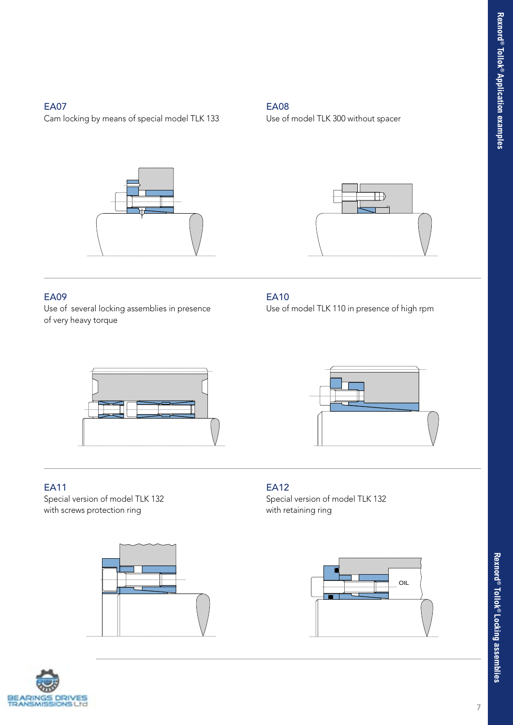#### EA07

Cam locking by means of special model TLK 133



#### EA09

Use of several locking assemblies in presence of very heavy torque

#### EA08

Use of model TLK 300 without spacer



#### EA10

Use of model TLK 110 in presence of high rpm



#### EA11

Special version of model TLK 132 with screws protection ring







#### EA12

Special version of model TLK 132 with retaining ring

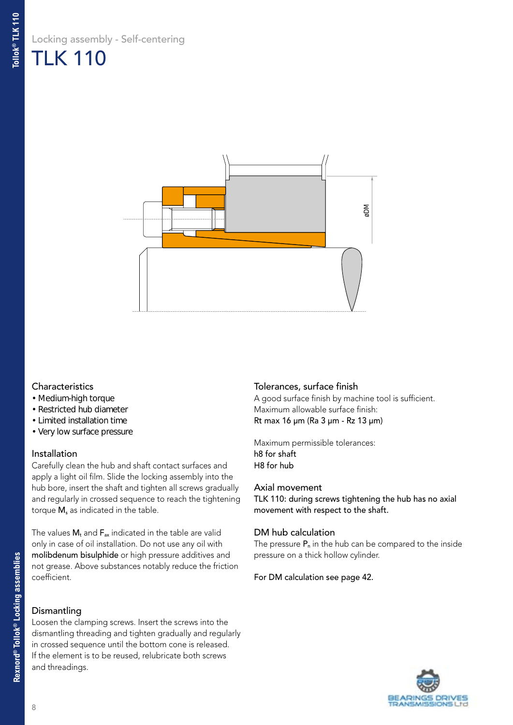### Locking assembly - Self-centering TLK 110



#### **Characteristics**

- Medium-high torque
- Restricted hub diameter
- Limited installation time
- Very low surface pressure

#### Installation

Carefully clean the hub and shaft contact surfaces and apply a light oil film. Slide the locking assembly into the hub bore, insert the shaft and tighten all screws gradually and regularly in crossed sequence to reach the tightening torque M, as indicated in the table.

The values  $M_t$  and  $F_{ax}$  indicated in the table are valid only in case of oil installation. Do not use any oil with molibdenum bisulphide or high pressure additives and not grease. Above substances notably reduce the friction coefficient.

#### **Dismantling**

Loosen the clamping screws. Insert the screws into the dismantling threading and tighten gradually and regularly in crossed sequence until the bottom cone is released. If the element is to be reused, relubricate both screws and threadings.

#### Tolerances, surface finish

A good surface finish by machine tool is sufficient. Maximum allowable surface finish: Rt max 16 µm (Ra 3 µm - Rz 13 µm)

Maximum permissible tolerances: h8 for shaft H8 for hub

#### Axial movement

TLK 110: during screws tightening the hub has no axial movement with respect to the shaft.

#### DM hub calculation

The pressure  $P_n$  in the hub can be compared to the inside pressure on a thick hollow cylinder.

#### For DM calculation see page 42.

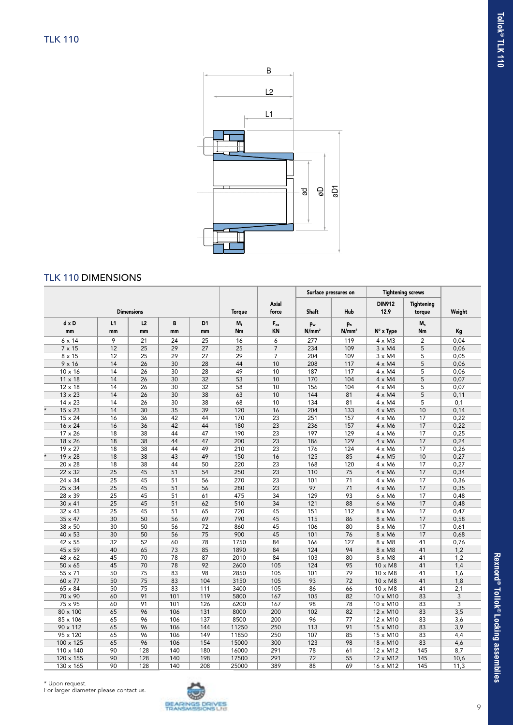

#### TLK 110 DIMENSIONS

|                           |                 |                   |                 |                      |               | Surface pressures on             |                         | <b>Tightening screws</b>            |                       |                             |        |
|---------------------------|-----------------|-------------------|-----------------|----------------------|---------------|----------------------------------|-------------------------|-------------------------------------|-----------------------|-----------------------------|--------|
|                           |                 | <b>Dimensions</b> |                 |                      | <b>Torque</b> | Axial<br>force                   | <b>Shaft</b>            | Hub                                 | <b>DIN912</b><br>12.9 | <b>Tightening</b><br>torque | Weight |
| $dx$ D<br>mm              | L1<br>mm        | L2<br>mm          | B<br>mm         | D <sub>1</sub><br>mm | $M_t$<br>Nm   | $\mathsf{F}_{\mathsf{ax}}$<br>KN | pw<br>N/mm <sup>2</sup> | p <sub>n</sub><br>N/mm <sup>2</sup> | N° x Type             | $M_s$<br>Nm                 | Kg     |
| $6 \times 14$             | 9               | 21                | 24              | 25                   | 16            | $\overline{6}$                   | 277                     | 119                                 | $4 \times M3$         | $\overline{2}$              | 0,04   |
| $7 \times 15$             | 12              | 25                | 29              | 27                   | 25            | $\overline{7}$                   | 234                     | 109                                 | $3 \times M4$         | 5                           | 0,06   |
| $8 \times 15$             | 12              | 25                | 29              | 27                   | 29            | $\overline{7}$                   | 204                     | 109                                 | $3 \times M4$         | 5                           | 0,05   |
| $9 \times 16$             | 14              | 26                | 30              | 28                   | 44            | 10                               | 208                     | 117                                 | $4 \times M4$         | 5                           | 0,06   |
| $10 \times 16$            | 14              | 26                | 30              | 28                   | 49            | 10                               | 187                     | 117                                 | $4 \times M4$         | 5                           | 0,06   |
| $11 \times 18$            | 14              | 26                | 30              | 32                   | 53            | 10                               | 170                     | 104                                 | $4 \times M4$         | 5                           | 0,07   |
| $12 \times 18$            | 14              | 26                | 30              | 32                   | 58            | 10                               | 156                     | 104                                 | $4 \times M4$         | 5                           | 0,07   |
| $13 \times 23$            | 14              | 26                | 30              | 38                   | 63            | 10                               | 144                     | 81                                  | $4 \times M4$         | 5                           | 0,11   |
| 14 x 23                   | 14              | 26                | 30              | 38                   | 68            | 10                               | 134                     | 81                                  | $4 \times M4$         | 5                           | 0,1    |
| $\star$<br>$15 \times 23$ | 14              | 30                | 35              | 39                   | 120           | 16                               | 204                     | 133                                 | $4 \times M5$         | 10                          | 0,14   |
| 15 x 24                   | 16              | 36                | 42              | 44                   | 170           | $\overline{23}$                  | 251                     | 157                                 | $4 \times M6$         | 17                          | 0,22   |
| 16 x 24                   | 16              | 36                | 42              | 44                   | 180           | 23                               | 236                     | 157                                 | $4 \times M6$         | 17                          | 0,22   |
| $17 \times 26$            | 18              | 38                | 44              | 47                   | 190           | 23                               | 197                     | 129                                 | $4 \times M6$         | 17                          | 0,25   |
| 18 x 26                   | 18              | 38                | 44              | 47                   | 200           | 23                               | 186                     | 129                                 | $4 \times M6$         | 17                          | 0,24   |
| $19 \times 27$            | 18              | 38                | 44              | 49                   | 210           | $\overline{23}$                  | 176                     | 124                                 | $4 \times M6$         | 17                          | 0,26   |
| $\star$<br>$19 \times 28$ | 18              | 38                | 43              | 49                   | 150           | 16                               | 125                     | 85                                  | $4 \times M5$         | 10                          | 0,27   |
| $20 \times 28$            | 18              | 38                | 44              | 50                   | 220           | 23                               | 168                     | 120                                 | $4 \times M6$         | 17                          | 0,27   |
| 22 x 32                   | 25              | 45                | 51              | 54                   | 250           | 23                               | 110                     | 75                                  | $4 \times M6$         | 17                          | 0,34   |
| 24 x 34                   | 25              | 45                | 51              | 56                   | 270           | 23                               | 101                     | 71                                  | $4 \times M6$         | 17                          | 0,36   |
| 25 x 34                   | 25              | 45                | 51              | 56                   | 280           | 23                               | 97                      | 71                                  | $4 \times M6$         | 17                          | 0,35   |
| 28 x 39                   | $\overline{25}$ | 45                | 51              | 61                   | 475           | 34                               | 129                     | 93                                  | $6 \times M6$         | 17                          | 0,48   |
| $30 \times 41$            | 25              | 45                | 51              | 62                   | 510           | 34                               | 121                     | 88                                  | $6 \times M6$         | 17                          | 0,48   |
| $32 \times 43$            | $\overline{25}$ | 45                | 51              | 65                   | 720           | 45                               | 151                     | 112                                 | 8 x M6                | 17                          | 0,47   |
| $35 \times 47$            | 30              | 50                | 56              | 69                   | 790           | 45                               | 115                     | 86                                  | 8 x M6                | 17                          | 0,58   |
| 38 x 50                   | $\overline{30}$ | 50                | $\overline{56}$ | 72                   | 860           | 45                               | 106                     | 80                                  | 8 x M6                | 17                          | 0,61   |
| 40 x 53                   | 30              | 50                | 56              | 75                   | 900           | 45                               | 101                     | 76                                  | 8 x M6                | 17                          | 0,68   |
| 42 x 55                   | $\overline{32}$ | 52                | 60              | 78                   | 1750          | 84                               | 166                     | 127                                 | $8 \times M8$         | 41                          | 0,76   |
| 45 x 59                   | 40              | 65                | 73              | 85                   | 1890          | 84                               | 124                     | 94                                  | $8 \times M8$         | 41                          | 1,2    |
| $48 \times 62$            | 45              | 70                | 78              | 87                   | 2010          | 84                               | 103                     | 80                                  | $8 \times M8$         | 41                          | 1,2    |
| $50 \times 65$            | 45              | 70                | 78              | 92                   | 2600          | 105                              | 124                     | 95                                  | 10 x M8               | 41                          | 1,4    |
| 55 x 71                   | 50              | 75                | 83              | 98                   | 2850          | 105                              | 101                     | 79                                  | 10 x M8               | 41                          | 1,6    |
| 60 x 77                   | 50              | 75                | 83              | 104                  | 3150          | 105                              | 93                      | 72                                  | $10 \times M8$        | 41                          | 1,8    |
| $65 \times 84$            | 50              | 75                | 83              | 111                  | 3400          | 105                              | 86                      | 66                                  | $10 \times M8$        | 41                          | 2,1    |
| 70 x 90                   | 60              | 91                | 101             | 119                  | 5800          | 167                              | 105                     | 82                                  | 10 x M10              | 83                          | 3      |
| 75 x 95                   | 60              | 91                | 101             | 126                  | 6200          | 167                              | 98                      | 78                                  | $10 \times M10$       | 83                          | 3      |
| 80 x 100                  | 65              | 96                | 106             | 131                  | 8000          | 200                              | 102                     | 82                                  | 12 x M10              | 83                          | 3,5    |
| 85 x 106                  | 65              | 96                | 106             | 137                  | 8500          | 200                              | 96                      | 77                                  | 12 x M10              | 83                          | 3,6    |
| 90 x 112                  | 65              | 96                | 106             | 144                  | 11250         | 250                              | 113                     | 91                                  | 15 x M10              | 83                          | 3,9    |
| 95 x 120                  | 65              | 96                | 106             | 149                  | 11850         | 250                              | 107                     | 85                                  | 15 x M10              | 83                          | 4,4    |
| 100 x 125                 | 65              | 96                | 106             | 154                  | 15000         | 300                              | 123                     | 98                                  | 18 x M10              | 83                          | 4,6    |
| 110 x 140                 | 90              | 128               | 140             | 180                  | 16000         | 291                              | 78                      | 61                                  | 12 x M12              | 145                         | 8,7    |
| 120 x 155                 | 90              | 128               | 140             | 198                  | 17500         | 291                              | 72                      | 55                                  | $12 \times M12$       | 145                         | 10,6   |
| 130 x 165                 | 90              | 128               | 140             | 208                  | 25000         | 389                              | 88                      | 69                                  | 16 x M12              | 145                         | 11,3   |

For larger diameter please contact us.

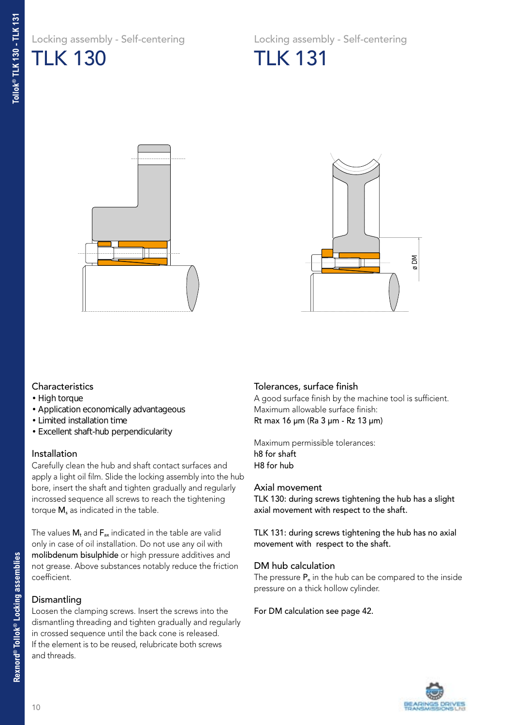Locking assembly - Self-centering TLK 130

Locking assembly - Self-centering TLK 131





#### **Characteristics**

- High torque
- Application economically advantageous
- Limited installation time
- Excellent shaft-hub perpendicularity

#### Installation

Carefully clean the hub and shaft contact surfaces and apply a light oil film. Slide the locking assembly into the hub bore, insert the shaft and tighten gradually and regularly incrossed sequence all screws to reach the tightening torque M, as indicated in the table.

The values  $M_t$  and  $F_{ax}$  indicated in the table are valid only in case of oil installation. Do not use any oil with molibdenum bisulphide or high pressure additives and not grease. Above substances notably reduce the friction coefficient.

#### Dismantling

Loosen the clamping screws. Insert the screws into the dismantling threading and tighten gradually and regularly in crossed sequence until the back cone is released. If the element is to be reused, relubricate both screws and threads.

#### Tolerances, surface finish

A good surface finish by the machine tool is sufficient. Maximum allowable surface finish: Rt max 16 µm (Ra 3 µm - Rz 13 µm)

Maximum permissible tolerances: h8 for shaft H8 for hub

#### Axial movement

TLK 130: during screws tightening the hub has a slight axial movement with respect to the shaft.

TLK 131: during screws tightening the hub has no axial movement with respect to the shaft.

#### DM hub calculation

The pressure  $P_n$  in the hub can be compared to the inside pressure on a thick hollow cylinder.

#### For DM calculation see page 42.

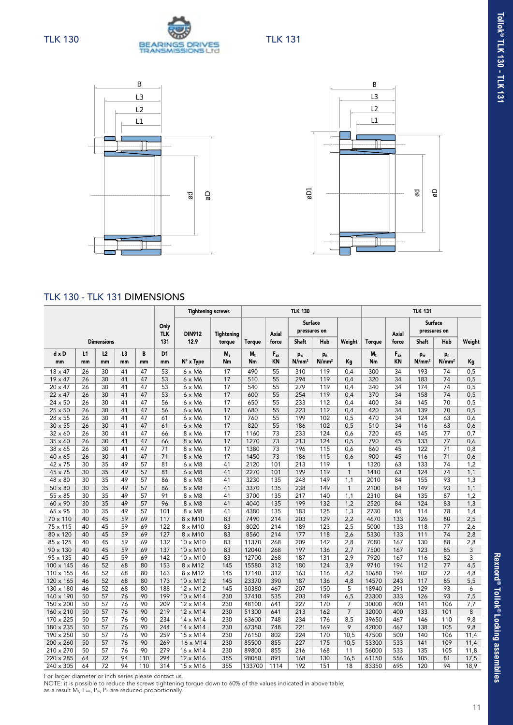





#### TLK 130 - TLK 131 DIMENSIONS

|                      |          |                   |          |          |                      | <b>Tightening screws</b>           |                   | <b>TLK 130</b> |                |                                     |                                     |                | <b>TLK 131</b> |                |                                     |                                     |            |  |
|----------------------|----------|-------------------|----------|----------|----------------------|------------------------------------|-------------------|----------------|----------------|-------------------------------------|-------------------------------------|----------------|----------------|----------------|-------------------------------------|-------------------------------------|------------|--|
|                      |          |                   |          |          | Only<br><b>TLK</b>   | <b>DIN912</b>                      | <b>Tightening</b> |                | Axial          | <b>Surface</b><br>pressures on      |                                     |                |                | <b>Axial</b>   | Surface<br>pressures on             |                                     |            |  |
|                      |          | <b>Dimensions</b> |          |          | 131                  | 12.9                               | torque            | <b>Torque</b>  | force          | Shaft                               | Hub                                 | Weight         | <b>Torque</b>  | force          | <b>Shaft</b>                        | Hub                                 | Weight     |  |
| d x D<br>mm          | L1<br>mm | L2<br>mm          | L3<br>mm | B<br>mm  | D <sub>1</sub><br>mm | $N^{\circ}$ x Type                 | М,<br>Nm          | $M_t$<br>Nm    | $F_{ax}$<br>KN | p <sub>w</sub><br>N/mm <sup>2</sup> | p <sub>n</sub><br>N/mm <sup>2</sup> | Кg             | M,<br>Nm       | $F_{ax}$<br>KN | p <sub>w</sub><br>N/mm <sup>2</sup> | p <sub>n</sub><br>N/mm <sup>2</sup> | Kg         |  |
| $18 \times 47$       | 26       | 30                | 41       | 47       | 53                   | $6 \times M6$                      | 17                | 490            | 55             | 310                                 | 119                                 | 0.4            | 300            | 34             | 193                                 | 74                                  | 0,5        |  |
| $19 \times 47$       | 26       | 30                | 41       | 47       | 53                   | 6 x M6                             | 17                | 510            | 55             | 294                                 | 119                                 | 0,4            | 320            | 34             | 183                                 | 74                                  | 0,5        |  |
| $20 \times 47$       | 26       | 30                | 41       | 47       | 53                   | 6 x M6                             | 17                | 540            | 55             | 279                                 | 119                                 | 0,4            | 340            | 34             | 174                                 | 74                                  | 0,5        |  |
| 22 x 47              | 26       | 30                | 41       | 47       | 53                   | 6 x M6                             | 17                | 600            | 55             | 254                                 | 119                                 | 0,4            | 370            | 34             | 158                                 | 74                                  | 0,5        |  |
| 24 x 50<br>25 x 50   | 26<br>26 | 30<br>30          | 41<br>41 | 47<br>47 | 56<br>56             | 6 x M6<br>$6 \times M6$            | 17<br>17          | 650<br>680     | 55<br>55       | 233<br>223                          | 112<br>112                          | 0,4<br>0,4     | 400<br>420     | 34<br>34       | 145<br>139                          | 70<br>70                            | 0,5<br>0,5 |  |
| 28 x 55              | 26       | 30                | 41       | 47       | 61                   | 6 x M6                             | 17                | 760            | 55             | 199                                 | 102                                 | 0,5            | 470            | 34             | 124                                 | 63                                  | 0,6        |  |
| $30 \times 55$       | 26       | 30                | 41       | 47       | 61                   | $6 \times M6$                      | 17                | 820            | 55             | 186                                 | 102                                 | 0, 5           | 510            | 34             | 116                                 | 63                                  | 0,6        |  |
| 32 x 60              | 26       | 30                | 41       | 47       | 66                   | $8 \times M6$                      | 17                | 1160           | 73             | 233                                 | 124                                 | 0,6            | 720            | 45             | 145                                 | 77                                  | 0,7        |  |
| 35 x 60              | 26       | 30                | 41       | 47       | 66                   | $8 \times M6$                      | 17                | 1270           | 73             | 213                                 | 124                                 | 0,5            | 790            | 45             | 133                                 | 77                                  | 0,6        |  |
| 38 x 65              | 26       | 30                | 41       | 47       | 71                   | 8 x M6                             | 17                | 1380           | 73             | 196                                 | 115                                 | 0,6            | 860            | 45             | 122                                 | 71                                  | 0,8        |  |
| $40 \times 65$       | 26       | 30                | 41       | 47       | 71                   | 8 x M6                             | 17                | 1450           | 73             | 186                                 | 115                                 | 0,6            | 900            | 45             | 116                                 | 71                                  | 0,6        |  |
| 42 x 75              | 30       | 35                | 49       | 57       | 81                   | $6 \times M8$                      | 41                | 2120           | 101            | 213                                 | 119                                 | 1              | 1320           | 63             | 133                                 | 74                                  | 1,2        |  |
| 45 x 75              | 30       | 35                | 49       | 57       | 81                   | $6 \times M8$                      | 41                | 2270           | 101            | 199                                 | 119                                 | $\mathbf{1}$   | 1410           | 63             | 124                                 | 74                                  | 1,1        |  |
| 48 x 80              | 30       | 35                | 49       | 57       | 86                   | $8 \times M8$                      | 41                | 3230           | 135            | 248                                 | 149                                 | 1,1            | 2010           | 84             | 155                                 | 93                                  | 1,3        |  |
| $50 \times 80$       | 30       | 35                | 49       | 57       | 86                   | $8 \times M8$                      | 41                | 3370           | 135            | 238                                 | 149                                 | $\mathbf{1}$   | 2100           | 84             | 149                                 | 93                                  | 1,1        |  |
| $55 \times 85$       | 30       | $\overline{35}$   | 49       | 57       | 91                   | $8 \times M8$                      | 41                | 3700           | 135            | 217                                 | 140                                 | 1,1            | 2310           | 84             | 135                                 | 87                                  | 1,2        |  |
| 60 x 90              | 30       | 35                | 49       | 57       | 96                   | $8 \times M8$                      | 41                | 4040           | 135            | 199                                 | 132                                 | 1,2            | 2520           | 84             | 124                                 | 83                                  | 1,3        |  |
| 65 x 95              | 30       | 35                | 49       | 57       | 101                  | $8 \times M8$                      | 41                | 4380           | 135            | 183                                 | 125                                 | 1,3            | 2730           | 84             | 114                                 | 78                                  | 1,4        |  |
| 70 x 110             | 40       | 45                | 59       | 69       | 117                  | $8 \times M10$                     | 83                | 7490           | 214            | 203                                 | 129                                 | 2,2            | 4670           | 133            | 126                                 | 80                                  | 2,5        |  |
| 75 x 115             | 40       | 45                | 59       | 69       | 122                  | $8 \times M10$                     | 83                | 8020           | 214            | 189                                 | 123                                 | 2,5            | 5000           | 133            | 118                                 | 77                                  | 2,6        |  |
| 80 x 120             | 40<br>40 | 45<br>45          | 59<br>59 | 69<br>69 | 127                  | $8 \times M10$                     | 83                | 8560           | 214            | 177<br>209                          | 118                                 | 2,6            | 5330           | 133            | 111                                 | 74<br>88                            | 2,8        |  |
| 85 x 125<br>90 x 130 | 40       | 45                | 59       | 69       | 132<br>137           | $10 \times M10$<br>$10 \times M10$ | 83<br>83          | 11370<br>12040 | 268<br>268     | 197                                 | 142<br>136                          | 2,8<br>2,7     | 7080<br>7500   | 167<br>167     | 130<br>123                          | 85                                  | 2,8<br>3   |  |
| 95 x 135             | 40       | 45                | 59       | 69       | 142                  | 10 x M10                           | 83                | 12700          | 268            | 187                                 | 131                                 | 2,9            | 7920           | 167            | 116                                 | 82                                  | 3          |  |
| $100 \times 145$     | 46       | 52                | 68       | 80       | 153                  | 8 x M12                            | 145               | 15580          | 312            | 180                                 | 124                                 | 3,9            | 9710           | 194            | 112                                 | 77                                  | 4,5        |  |
| 110 x 155            | 46       | 52                | 68       | 80       | 163                  | $8 \times M12$                     | 145               | 17140          | 312            | 163                                 | 116                                 | 4,2            | 10680          | 194            | 102                                 | 72                                  | 4,8        |  |
| 120 x 165            | 46       | 52                | 68       | 80       | 173                  | 10 x M12                           | 145               | 23370          | 390            | 187                                 | 136                                 | 4,8            | 14570          | 243            | 117                                 | 85                                  | 5,5        |  |
| 130 x 180            | 46       | 52                | 68       | 80       | 188                  | 12 x M12                           | 145               | 30380          | 467            | 207                                 | 150                                 | 5              | 18940          | 291            | 129                                 | 93                                  | 6          |  |
| 140 x 190            | 50       | 57                | 76       | 90       | 199                  | 10 x M14                           | 230               | 37410          | 535            | 203                                 | 149                                 | 6,5            | 23300          | 333            | 126                                 | 93                                  | 7,5        |  |
| 150 x 200            | 50       | 57                | 76       | 90       | 209                  | 12 x M14                           | 230               | 48100          | 641            | 227                                 | 170                                 | 7              | 30000          | 400            | 141                                 | 106                                 | 7,7        |  |
| 160 x 210            | 50       | 57                | 76       | 90       | 219                  | 12 x M14                           | 230               | 51300          | 641            | 213                                 | 162                                 | $\overline{7}$ | 32000          | 400            | 133                                 | 101                                 | 8          |  |
| 170 x 225            | 50       | 57                | 76       | 90       | 234                  | 14 x M14                           | 230               | 63600          | 748            | 234                                 | 176                                 | 8,5            | 39650          | 467            | 146                                 | 110                                 | 9,8        |  |
| 180 x 235            | 50       | 57                | 76       | 90       | 244                  | 14 x M14                           | 230               | 67350          | 748            | 221                                 | 169                                 | 9              | 42000          | 467            | 138                                 | 105                                 | 9,8        |  |
| 190 x 250            | 50       | 57                | 76       | 90       | 259                  | 15 x M14                           | 230               | 76150          | 802            | 224                                 | 170                                 | 10,5           | 47500          | 500            | 140                                 | 106                                 | 11,4       |  |
| 200 x 260            | 50       | 57                | 76       | 90       | 269                  | 16 x M14                           | 230               | 85500          | 855            | 227                                 | 175                                 | 10,5           | 53300          | 533            | 141                                 | 109                                 | 11,4       |  |
| 210 x 270            | 50       | 57                | 76       | 90       | 279                  | 16 x M14                           | 230               | 89800          | 855            | 216                                 | 168                                 | 11             | 56000          | 533            | 135                                 | 105                                 | 11,8       |  |
| 220 x 285            | 64       | 72                | 94       | 110      | 294                  | 12 x M16                           | 355               | 98050          | 891            | 168                                 | 130                                 | 16,5           | 61150          | 556            | 105                                 | 81                                  | 17,5       |  |
| 240 x 305            | 64       | 72                | 94       | 110      | 314                  | 15 x M16                           | 355               | 133700         | 1114           | 192                                 | 151                                 | 18             | 83350          | 695            | 120                                 | 94                                  | 18,9       |  |

For larger diameter or inch series please contact us.

NOTE: it is possible to reduce the screws tightening torque down to 60% of the values indicated in above table;<br>as a result M<sub>t</sub>, F<sub>ass,</sub> P<sub>w,</sub> P<sub>n</sub> are reduced proportionally.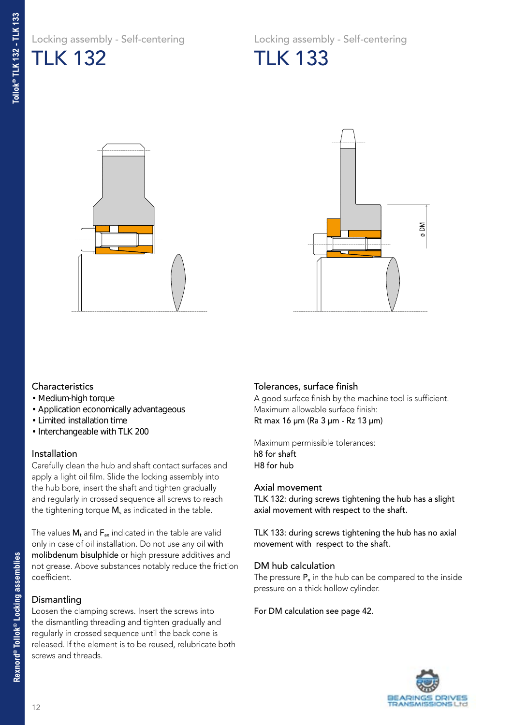Locking assembly - Self-centering TLK 132

Locking assembly - Self-centering TLK 133





#### **Characteristics**

- Medium-high torque
- Application economically advantageous
- Limited installation time
- Interchangeable with TLK 200

#### Installation

Carefully clean the hub and shaft contact surfaces and apply a light oil film. Slide the locking assembly into the hub bore, insert the shaft and tighten gradually and regularly in crossed sequence all screws to reach the tightening torque  $M_s$  as indicated in the table.

The values  $M_t$  and  $F_{ax}$  indicated in the table are valid only in case of oil installation. Do not use any oil with molibdenum bisulphide or high pressure additives and not grease. Above substances notably reduce the friction coefficient.

#### Dismantling

Loosen the clamping screws. Insert the screws into the dismantling threading and tighten gradually and regularly in crossed sequence until the back cone is released. If the element is to be reused, relubricate both screws and threads.

#### Tolerances, surface finish

A good surface finish by the machine tool is sufficient. Maximum allowable surface finish: Rt max 16 µm (Ra 3 µm - Rz 13 µm)

Maximum permissible tolerances: h8 for shaft H8 for hub

#### Axial movement

TLK 132: during screws tightening the hub has a slight axial movement with respect to the shaft.

TLK 133: during screws tightening the hub has no axial movement with respect to the shaft.

#### DM hub calculation

The pressure  $P_n$  in the hub can be compared to the inside pressure on a thick hollow cylinder.

#### For DM calculation see page 42.

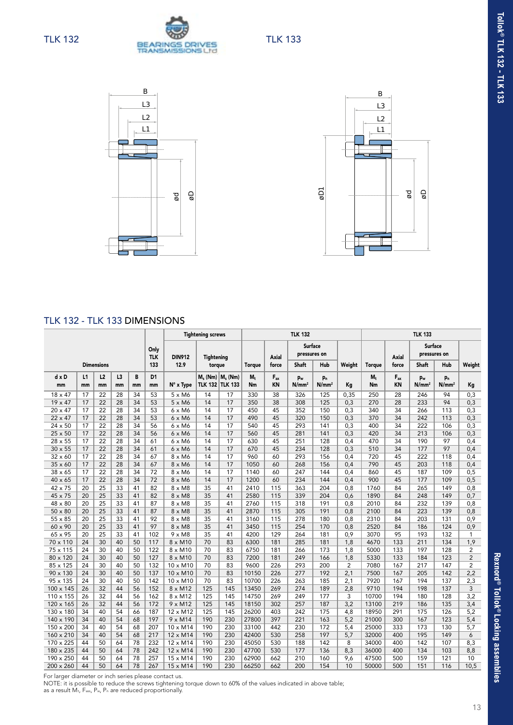





#### TLK 132 - TLK 133 DIMENSIONS

|                |          |                   |          |         |                      |                 | <b>Tightening screws</b>                        |     |               |                | <b>TLK 132</b>             |                                     |                | <b>TLK 133</b> |                |                                     |                                     |                |  |
|----------------|----------|-------------------|----------|---------|----------------------|-----------------|-------------------------------------------------|-----|---------------|----------------|----------------------------|-------------------------------------|----------------|----------------|----------------|-------------------------------------|-------------------------------------|----------------|--|
|                |          |                   |          |         | Only<br><b>TLK</b>   | <b>DIN912</b>   | <b>Tightening</b>                               |     |               | <b>Axial</b>   | Surface<br>pressures on    |                                     |                |                | <b>Axial</b>   | <b>Surface</b><br>pressures on      |                                     |                |  |
|                |          | <b>Dimensions</b> |          |         | 133                  | 12.9            | torque                                          |     | <b>Torque</b> | force          | Shaft                      | Hub                                 | Weight         | <b>Torque</b>  | force          | Shaft                               | Hub                                 | Weight         |  |
| d x D<br>mm    | L1<br>mm | L2<br>mm          | L3<br>mm | B<br>mm | D <sub>1</sub><br>mm | N° x Type       | $M_s$ (Nm) $M_s$ (Nm)<br><b>TLK 132 TLK 133</b> |     | $M_{+}$<br>Nm | $F_{ax}$<br>KN | P <sub>w</sub><br>$N/mm^2$ | p <sub>n</sub><br>N/mm <sup>2</sup> | Kg             | $M_t$<br>Nm    | $F_{ax}$<br>KN | p <sub>w</sub><br>N/mm <sup>2</sup> | p <sub>n</sub><br>N/mm <sup>2</sup> | Kg             |  |
| $18 \times 47$ | 17       | 22                | 28       | 34      | 53                   | $5 \times M6$   | 14                                              | 17  | 330           | 38             | 326                        | 125                                 | 0,35           | 250            | 28             | 246                                 | 94                                  | 0,3            |  |
| $19 \times 47$ | 17       | 22                | 28       | 34      | 53                   | $5 \times M6$   | 14                                              | 17  | 350           | 38             | 308                        | 125                                 | 0,3            | 270            | 28             | 233                                 | 94                                  | 0,3            |  |
| $20 \times 47$ | 17       | 22                | 28       | 34      | 53                   | $6 \times M6$   | 14                                              | 17  | 450           | 45             | 352                        | 150                                 | 0,3            | 340            | 34             | 266                                 | 113                                 | 0,3            |  |
| 22 x 47        | 17       | 22                | 28       | 34      | 53                   | $6 \times M6$   | 14                                              | 17  | 490           | 45             | 320                        | 150                                 | 0,3            | 370            | 34             | 242                                 | 113                                 | 0,3            |  |
| 24 x 50        | 17       | 22                | 28       | 34      | 56                   | 6 x M6          | 14                                              | 17  | 540           | 45             | 293                        | 141                                 | 0,3            | 400            | 34             | 222                                 | 106                                 | 0,3            |  |
| 25 x 50        | 17       | 22                | 28       | 34      | 56                   | 6 x M6          | 14                                              | 17  | 560           | 45             | 281                        | 141                                 | 0,3            | 420            | 34             | 213                                 | 106                                 | 0,3            |  |
| 28 x 55        | 17       | 22                | 28       | 34      | 61                   | 6 x M6          | 14                                              | 17  | 630           | 45             | 251                        | 128                                 | 0,4            | 470            | 34             | 190                                 | 97                                  | 0,4            |  |
| $30 \times 55$ | 17       | 22                | 28       | 34      | 61                   | 6 x M6          | 14                                              | 17  | 670           | 45             | 234                        | 128                                 | 0,3            | 510            | 34             | 177                                 | 97                                  | 0,4            |  |
| $32 \times 60$ | 17       | 22                | 28       | 34      | 67                   | 8 x M6          | 14                                              | 17  | 960           | 60             | 293                        | 156                                 | 0,4            | 720            | 45             | 222                                 | 118                                 | 0,4            |  |
| $35 \times 60$ | 17       | 22                | 28       | 34      | 67                   | 8 x M6          | 14                                              | 17  | 1050          | 60             | 268                        | 156                                 | 0,4            | 790            | 45             | 203                                 | 118                                 | 0,4            |  |
| $38 \times 65$ | 17       | 22                | 28       | 34      | 72                   | 8 x M6          | 14                                              | 17  | 1140          | 60             | 247                        | 144                                 | 0,4            | 860            | 45             | 187                                 | 109                                 | 0,5            |  |
| $40 \times 65$ | 17       | $\overline{22}$   | 28       | 34      | 72                   | 8 x M6          | 14                                              | 17  | 1200          | 60             | 234                        | 144                                 | 0,4            | 900            | 45             | 177                                 | 109                                 | 0,5            |  |
| 42 x 75        | 20       | 25                | 33       | 41      | 82                   | $8 \times M8$   | 35                                              | 41  | 2410          | 115            | 363                        | 204                                 | 0,8            | 1760           | 84             | 265                                 | 149                                 | 0,8            |  |
| 45 x 75        | 20       | 25                | 33       | 41      | 82                   | $8 \times M8$   | 35                                              | 41  | 2580          | 115            | 339                        | 204                                 | 0,6            | 1890           | 84             | 248                                 | 149                                 | 0,7            |  |
| 48 x 80        | 20       | 25                | 33       | 41      | 87                   | $8 \times M8$   | 35                                              | 41  | 2760          | 115            | 318                        | 191                                 | 0,8            | 2010           | 84             | 232                                 | 139                                 | 0,8            |  |
| $50 \times 80$ | 20       | 25                | 33       | 41      | 87                   | $8 \times M8$   | 35                                              | 41  | 2870          | 115            | 305                        | 191                                 | 0,8            | 2100           | 84             | 223                                 | 139                                 | 0,8            |  |
| 55 x 85        | 20       | $\overline{25}$   | 33       | 41      | 92                   | $8 \times M8$   | 35                                              | 41  | 3160          | 115            | 278                        | 180                                 | 0,8            | 2310           | 84             | 203                                 | 131                                 | 0,9            |  |
| 60 x 90        | 20       | 25                | 33       | 41      | 97                   | $8 \times M8$   | 35                                              | 41  | 3450          | 115            | 254                        | 170                                 | 0,8            | 2520           | 84             | 186                                 | 124                                 | 0,9            |  |
| 65 x 95        | 20       | 25                | 33       | 41      | 102                  | $9 \times M8$   | 35                                              | 41  | 4200          | 129            | 264                        | 181                                 | 0,9            | 3070           | 95             | 193                                 | 132                                 | $\mathbf{1}$   |  |
| 70 x 110       | 24       | 30                | 40       | 50      | 117                  | 8 x M10         | 70                                              | 83  | 6300          | 181            | 285                        | 181                                 | 1,8            | 4670           | 133            | 211                                 | 134                                 | 1,9            |  |
| 75 x 115       | 24       | 30                | 40       | 50      | 122                  | $8 \times M10$  | 70                                              | 83  | 6750          | 181            | 266                        | 173                                 | 1,8            | 5000           | 133            | 197                                 | 128                                 | $\overline{c}$ |  |
| 80 x 120       | 24       | 30                | 40       | 50      | 127                  | 8 x M10         | 70                                              | 83  | 7200          | 181            | 249                        | 166                                 | 1,8            | 5330           | 133            | 184                                 | 123                                 | $\overline{2}$ |  |
| 85 x 125       | 24       | 30                | 40       | 50      | 132                  | $10 \times M10$ | 70                                              | 83  | 9600          | 226            | 293                        | 200                                 | $\overline{2}$ | 7080           | 167            | 217                                 | 147                                 | $\overline{2}$ |  |
| 90 x 130       | 24       | 30                | 40       | 50      | 137                  | 10 x M10        | 70                                              | 83  | 10150         | 226            | 277                        | 192                                 | 2,1            | 7500           | 167            | 205                                 | 142                                 | 2,2            |  |
| 95 x 135       | 24       | 30                | 40       | 50      | 142                  | 10 x M10        | 70                                              | 83  | 10700         | 226            | 263                        | 185                                 | 2,1            | 7920           | 167            | 194                                 | 137                                 | 2,3            |  |
| 100 x 145      | 26       | 32                | 44       | 56      | 152                  | $8 \times M12$  | 125                                             | 145 | 13450         | 269            | 274                        | 189                                 | 2,8            | 9710           | 194            | 198                                 | 137                                 | 3              |  |
| 110 x 155      | 26       | 32                | 44       | 56      | 162                  | $8 \times M12$  | 125                                             | 145 | 14750         | 269            | 249                        | 177                                 | 3              | 10700          | 194            | 180                                 | 128                                 | 3,2            |  |
| 120 x 165      | 26       | 32                | 44       | 56      | 172                  | $9 \times M12$  | 125                                             | 145 | 18150         | 302            | 257                        | 187                                 | 3,2            | 13100          | 219            | 186                                 | 135                                 | 3,4            |  |
| 130 x 180      | 34       | 40                | 54       | 66      | 187                  | 12 x M12        | 125                                             | 145 | 26200         | 403            | 242                        | 175                                 | 4,8            | 18950          | 291            | 175                                 | 126                                 | 5,2            |  |
| 140 x 190      | 34       | 40                | 54       | 68      | 197                  | $9 \times M14$  | 190                                             | 230 | 27800         | 397            | 221                        | 163                                 | 5,2            | 21000          | 300            | 167                                 | 123                                 | 5,4            |  |
| 150 x 200      | 34       | 40                | 54       | 68      | 207                  | $10 \times M14$ | 190                                             | 230 | 33100         | 442            | 230                        | 172                                 | 5,4            | 25000          | 333            | 173                                 | 130                                 | 5,7            |  |
| 160 x 210      | 34       | 40                | 54       | 68      | 217                  | 12 x M14        | 190                                             | 230 | 42400         | 530            | 258                        | 197                                 | 5,7            | 32000          | 400            | 195                                 | 149                                 | 6              |  |
| 170 x 225      | 44       | 50                | 64       | 78      | 232                  | 12 x M14        | 190                                             | 230 | 45050         | 530            | 188                        | 142                                 | 8              | 34000          | 400            | 142                                 | 107                                 | 8,3            |  |
| 180 x 235      | 44       | 50                | 64       | 78      | 242                  | 12 x M14        | 190                                             | 230 | 47700         | 530            | 177                        | 136                                 | 8,3            | 36000          | 400            | 134                                 | 103                                 | 8,8            |  |
| 190 x 250      | 44       | 50                | 64       | 78      | 257                  | 15 x M14        | 190                                             | 230 | 62900         | 662            | 210                        | 160                                 | 9,6            | 47500          | 500            | 159                                 | 121                                 | 10             |  |
| 200 x 260      | 44       | 50                | 64       | 78      | 267                  | 15 x M14        | 190                                             | 230 | 66250         | 662            | 200                        | 154                                 | 10             | 50000          | 500            | 151                                 | 116                                 | 10,5           |  |

For larger diameter or inch series please contact us.

NOTE: it is possible to reduce the screws tightening torque down to 60% of the values indicated in above table;<br>as a result M<sub>t</sub>, F<sub>ass,</sub> P<sub>w,</sub> P<sub>n</sub> are reduced proportionally.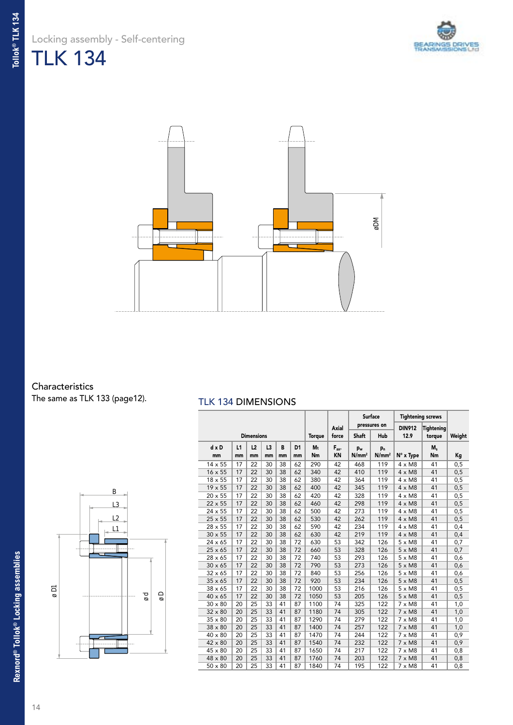Locking assembly - Self-centering TLK 134





### Characteristics

The same as TLK 133 (page12).

#### TLK 134 DIMENSIONS

|                   | $\overline{B}$<br>L3<br>$\frac{L2}{L1}$ |                     |
|-------------------|-----------------------------------------|---------------------|
| $\overline{\rho}$ |                                         | $\frac{0}{8}$<br>рø |
|                   |                                         |                     |

|                |          |                   |          |         |                      |               |                       |                                     | <b>Surface</b>                      | <b>Tightening screws</b> |             |        |
|----------------|----------|-------------------|----------|---------|----------------------|---------------|-----------------------|-------------------------------------|-------------------------------------|--------------------------|-------------|--------|
|                |          |                   |          |         |                      |               | Axial                 |                                     | pressures on                        | <b>DIN912</b>            | Tightening  |        |
|                |          | <b>Dimensions</b> |          |         |                      | <b>Torque</b> | force                 | Shaft                               | Hub                                 | 12.9                     | torque      | Weight |
| $dx$ D<br>mm   | L1<br>mm | L2<br>mm          | L3<br>mm | B<br>mm | D <sub>1</sub><br>mm | Mt<br>Nm      | $F_{ax}$<br><b>KN</b> | p <sub>w</sub><br>N/mm <sup>2</sup> | p <sub>n</sub><br>N/mm <sup>2</sup> | N° x Type                | $M_s$<br>Nm | Кg     |
| $14 \times 55$ | 17       | 22                | 30       | 38      | 62                   | 290           | 42                    | 468                                 | 119                                 | $4 \times M8$            | 41          | 0,5    |
| 16 x 55        | 17       | 22                | 30       | 38      | 62                   | 340           | 42                    | 410                                 | 119                                 | $4 \times M8$            | 41          | 0,5    |
| $18 \times 55$ | 17       | 22                | 30       | 38      | 62                   | 380           | 42                    | 364                                 | 119                                 | $4 \times M8$            | 41          | 0,5    |
| 19 x 55        | 17       | 22                | 30       | 38      | 62                   | 400           | 42                    | 345                                 | 119                                 | $4 \times M8$            | 41          | 0,5    |
| 20 x 55        | 17       | 22                | 30       | 38      | 62                   | 420           | 42                    | 328                                 | 119                                 | $4 \times M8$            | 41          | 0,5    |
| 22 x 55        | 17       | 22                | 30       | 38      | 62                   | 460           | 42                    | 298                                 | 119                                 | $4 \times M8$            | 41          | 0,5    |
| 24 x 55        | 17       | 22                | 30       | 38      | 62                   | 500           | 42                    | 273                                 | 119                                 | $4 \times M8$            | 41          | 0,5    |
| $25 \times 55$ | 17       | 22                | 30       | 38      | 62                   | 530           | 42                    | 262                                 | 119                                 | $4 \times M8$            | 41          | 0,5    |
| 28 x 55        | 17       | 22                | 30       | 38      | 62                   | 590           | 42                    | 234                                 | 119                                 | $4 \times M8$            | 41          | 0,4    |
| $30 \times 55$ | 17       | 22                | 30       | 38      | 62                   | 630           | 42                    | 219                                 | 119                                 | $4 \times M8$            | 41          | 0,4    |
| $24 \times 65$ | 17       | 22                | 30       | 38      | 72                   | 630           | 53                    | 342                                 | 126                                 | $5 \times M8$            | 41          | 0,7    |
| $25 \times 65$ | 17       | 22                | 30       | 38      | 72                   | 660           | 53                    | 328                                 | 126                                 | $5 \times M8$            | 41          | 0,7    |
| 28 x 65        | 17       | 22                | 30       | 38      | 72                   | 740           | 53                    | 293                                 | 126                                 | $5 \times M8$            | 41          | 0,6    |
| $30 \times 65$ | 17       | 22                | 30       | 38      | 72                   | 790           | 53                    | 273                                 | 126                                 | $5 \times M8$            | 41          | 0,6    |
| $32 \times 65$ | 17       | 22                | 30       | 38      | 72                   | 840           | 53                    | 256                                 | 126                                 | $5 \times M8$            | 41          | 0,6    |
| $35 \times 65$ | 17       | 22                | 30       | 38      | 72                   | 920           | 53                    | 234                                 | 126                                 | $5 \times M8$            | 41          | 0,5    |
| 38 x 65        | 17       | 22                | 30       | 38      | 72                   | 1000          | 53                    | 216                                 | 126                                 | $5 \times M8$            | 41          | 0,5    |
| 40 x 65        | 17       | 22                | 30       | 38      | 72                   | 1050          | 53                    | 205                                 | 126                                 | $5 \times M8$            | 41          | 0,5    |
| $30 \times 80$ | 20       | 25                | 33       | 41      | 87                   | 1100          | 74                    | 325                                 | 122                                 | $7 \times M8$            | 41          | 1,0    |
| $32 \times 80$ | 20       | 25                | 33       | 41      | 87                   | 1180          | 74                    | 305                                 | 122                                 | $7 \times M8$            | 41          | 1,0    |
| 35 x 80        | 20       | 25                | 33       | 41      | 87                   | 1290          | 74                    | 279                                 | 122                                 | $7 \times M8$            | 41          | 1,0    |
| 38 x 80        | 20       | 25                | 33       | 41      | 87                   | 1400          | 74                    | 257                                 | 122                                 | $7 \times M8$            | 41          | 1,0    |
| $40 \times 80$ | 20       | 25                | 33       | 41      | 87                   | 1470          | 74                    | 244                                 | 122                                 | $7 \times M8$            | 41          | 0,9    |
| 42 x 80        | 20       | 25                | 33       | 41      | 87                   | 1540          | 74                    | 232                                 | 122                                 | $7 \times M8$            | 41          | 0,9    |
| 45 x 80        | 20       | 25                | 33       | 41      | 87                   | 1650          | 74                    | 217                                 | 122                                 | $7 \times M8$            | 41          | 0,8    |
| 48 x 80        | 20       | 25                | 33       | 41      | 87                   | 1760          | 74                    | 203                                 | 122                                 | $7 \times M8$            | 41          | 0,8    |
| $50 \times 80$ | 20       | 25                | 33       | 41      | 87                   | 1840          | 74                    | 195                                 | 122                                 | $7 \times M8$            | 41          | 0,8    |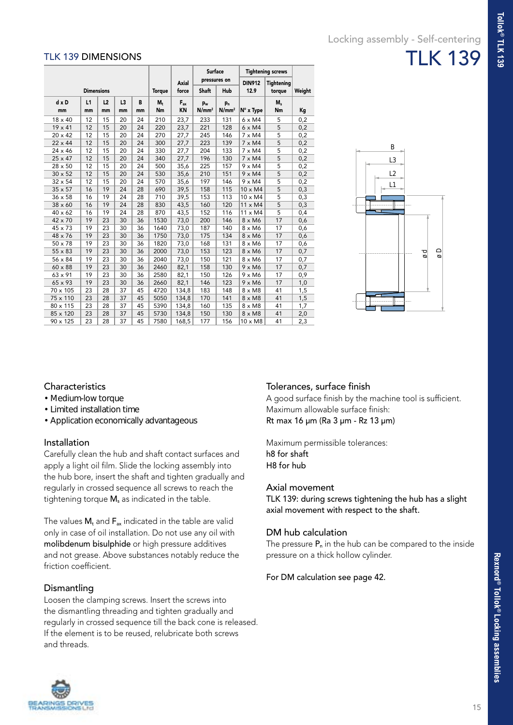#### TLK 139 DIMENSIONS

|                |                   |    |    |    |                |              | <b>Surface</b>    |                   |                | <b>Tightening screws</b> |        |
|----------------|-------------------|----|----|----|----------------|--------------|-------------------|-------------------|----------------|--------------------------|--------|
|                |                   |    |    |    |                | <b>Axial</b> |                   | pressures on      | <b>DIN912</b>  | <b>Tightening</b>        |        |
|                | <b>Dimensions</b> |    |    |    | <b>Torque</b>  | force        | <b>Shaft</b>      | Hub               | 12.9           | torque                   | Weight |
| d x D          | L1                | L2 | L3 | B  | M <sub>t</sub> | $F_{ax}$     | p <sub>w</sub>    | $p_n$             |                | $M_s$                    |        |
| mm             | mm                | mm | mm | mm | Nm             | KN           | N/mm <sup>2</sup> | N/mm <sup>2</sup> | N° x Type      | Nm                       | Кg     |
| $18 \times 40$ | 12                | 15 | 20 | 24 | 210            | 23,7         | 233               | 131               | $6 \times M4$  | 5                        | 0,2    |
| 19 x 41        | 12                | 15 | 20 | 24 | 220            | 23,7         | 221               | 128               | $6 \times M4$  | 5                        | 0,2    |
| 20 x 42        | 12                | 15 | 20 | 24 | 270            | 27,7         | 245               | 146               | $7 \times M4$  | 5                        | 0,2    |
| 22 x 44        | 12                | 15 | 20 | 24 | 300            | 27,7         | 223               | 139               | $7 \times M4$  | 5                        | 0,2    |
| $24 \times 46$ | 12                | 15 | 20 | 24 | 330            | 27,7         | 204               | 133               | $7 \times M4$  | 5                        | 0,2    |
| $25 \times 47$ | 12                | 15 | 20 | 24 | 340            | 27,7         | 196               | 130               | $7 \times M4$  | 5                        | 0,2    |
| 28 x 50        | 12                | 15 | 20 | 24 | 500            | 35,6         | 225               | 157               | $9 \times M4$  | 5                        | 0,2    |
| $30 \times 52$ | 12                | 15 | 20 | 24 | 530            | 35,6         | 210               | 151               | $9 \times M4$  | 5                        | 0,2    |
| 32 x 54        | 12                | 15 | 20 | 24 | 570            | 35,6         | 197               | 146               | $9 \times M4$  | 5                        | 0,2    |
| $35 \times 57$ | 16                | 19 | 24 | 28 | 690            | 39,5         | 158               | 115               | $10 \times M4$ | 5                        | 0,3    |
| 36 x 58        | 16                | 19 | 24 | 28 | 710            | 39,5         | 153               | 113               | $10 \times M4$ | 5                        | 0,3    |
| 38 x 60        | 16                | 19 | 24 | 28 | 830            | 43,5         | 160               | 120               | $11 \times M4$ | 5                        | 0,3    |
| 40 x 62        | 16                | 19 | 24 | 28 | 870            | 43,5         | 152               | 116               | $11 \times M4$ | 5                        | 0,4    |
| 42 x 70        | 19                | 23 | 30 | 36 | 1530           | 73,0         | 200               | 146               | 8 x M6         | 17                       | 0,6    |
| $45 \times 73$ | 19                | 23 | 30 | 36 | 1640           | 73,0         | 187               | 140               | 8 x M6         | 17                       | 0,6    |
| 48 x 76        | 19                | 23 | 30 | 36 | 1750           | 73,0         | 175               | 134               | 8 x M6         | 17                       | 0,6    |
| 50 x 78        | 19                | 23 | 30 | 36 | 1820           | 73,0         | 168               | 131               | 8 x M6         | 17                       | 0,6    |
| 55 x 83        | 19                | 23 | 30 | 36 | 2000           | 73,0         | 153               | 123               | $8 \times M6$  | 17                       | 0,7    |
| 56 x 84        | 19                | 23 | 30 | 36 | 2040           | 73,0         | 150               | 121               | 8 x M6         | 17                       | 0,7    |
| 60 x 88        | 19                | 23 | 30 | 36 | 2460           | 82,1         | 158               | 130               | $9 \times M6$  | 17                       | 0,7    |
| 63 x 91        | 19                | 23 | 30 | 36 | 2580           | 82,1         | 150               | 126               | $9 \times M6$  | 17                       | 0,9    |
| 65 x 93        | 19                | 23 | 30 | 36 | 2660           | 82,1         | 146               | 123               | $9 \times M6$  | 17                       | 1,0    |
| 70 x 105       | 23                | 28 | 37 | 45 | 4720           | 134,8        | 183               | 148               | $8 \times M8$  | 41                       | 1,5    |
| 75 x 110       | 23                | 28 | 37 | 45 | 5050           | 134,8        | 170               | 141               | $8 \times M8$  | 41                       | 1,5    |
| 80 x 115       | 23                | 28 | 37 | 45 | 5390           | 134,8        | 160               | 135               | $8 \times M8$  | 41                       | 1,7    |
| 85 x 120       | 23                | 28 | 37 | 45 | 5730           | 134,8        | 150               | 130               | $8 \times M8$  | 41                       | 2,0    |
| 90 x 125       | 23                | 28 | 37 | 45 | 7580           | 168,5        | 177               | 156               | $10 \times M8$ | 41                       | 2,3    |



#### **Characteristics**

- Medium-low torque
- Limited installation time
- Application economically advantageous

#### Installation

Carefully clean the hub and shaft contact surfaces and apply a light oil film. Slide the locking assembly into the hub bore, insert the shaft and tighten gradually and regularly in crossed sequence all screws to reach the tightening torque  $M_s$  as indicated in the table.

The values  $M_t$  and  $F_{ax}$  indicated in the table are valid only in case of oil installation. Do not use any oil with molibdenum bisulphide or high pressure additives and not grease. Above substances notably reduce the friction coefficient.

#### Dismantling

Loosen the clamping screws. Insert the screws into the dismantling threading and tighten gradually and regularly in crossed sequence till the back cone is released. If the element is to be reused, relubricate both screws and threads.

#### Tolerances, surface finish

A good surface finish by the machine tool is sufficient. Maximum allowable surface finish: Rt max 16 µm (Ra 3 µm - Rz 13 µm)

Maximum permissible tolerances: h8 for shaft H8 for hub

#### Axial movement

TLK 139: during screws tightening the hub has a slight axial movement with respect to the shaft.

#### DM hub calculation

The pressure  $P_n$  in the hub can be compared to the inside pressure on a thick hollow cylinder.

#### For DM calculation see page 42.

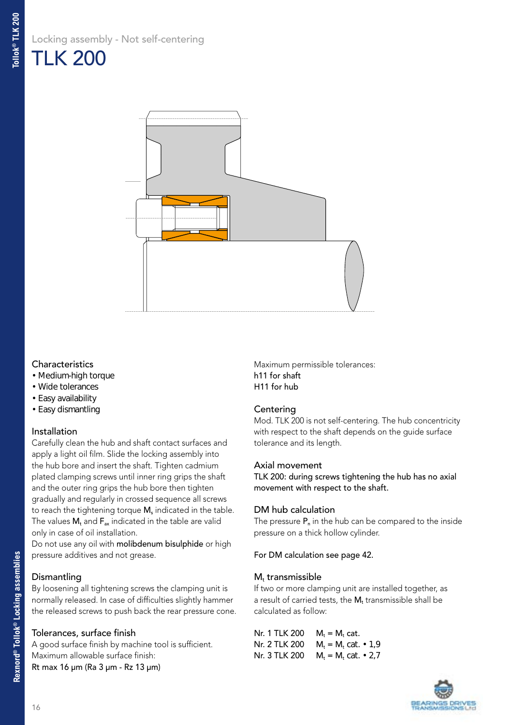

#### **Characteristics**

- Medium-high torque
- Wide tolerances
- Easy availability
- Easy dismantling

#### Installation

Carefully clean the hub and shaft contact surfaces and apply a light oil film. Slide the locking assembly into the hub bore and insert the shaft. Tighten cadmium plated clamping screws until inner ring grips the shaft and the outer ring grips the hub bore then tighten gradually and regularly in crossed sequence all screws to reach the tightening torque M<sub>s</sub> indicated in the table. The values  $M_t$  and  $F_{ax}$  indicated in the table are valid only in case of oil installation.

Do not use any oil with molibdenum bisulphide or high pressure additives and not grease.

#### Dismantling

By loosening all tightening screws the clamping unit is normally released. In case of difficulties slightly hammer the released screws to push back the rear pressure cone.

#### Tolerances, surface finish

A good surface finish by machine tool is sufficient. Maximum allowable surface finish: Rt max 16 µm (Ra 3 µm - Rz 13 µm)

Maximum permissible tolerances: h11 for shaft H11 for hub

#### **Centering**

Mod. TLK 200 is not self-centering. The hub concentricity with respect to the shaft depends on the guide surface tolerance and its length.

#### Axial movement

TLK 200: during screws tightening the hub has no axial movement with respect to the shaft.

#### DM hub calculation

The pressure  $P_n$  in the hub can be compared to the inside pressure on a thick hollow cylinder.

#### For DM calculation see page 42.

#### $M_t$  transmissible

If two or more clamping unit are installed together, as a result of carried tests, the  $M_t$  transmissible shall be calculated as follow:

| Nr. 1 TLK 200 | $M_t = M_t$ cat.                           |
|---------------|--------------------------------------------|
|               | Nr. 2 TLK 200 $Mr = Mr$ cat. $\cdot$ 1.9   |
|               | Nr. 3 TLK 200 $M_t = M_t$ cat. $\cdot$ 2.7 |

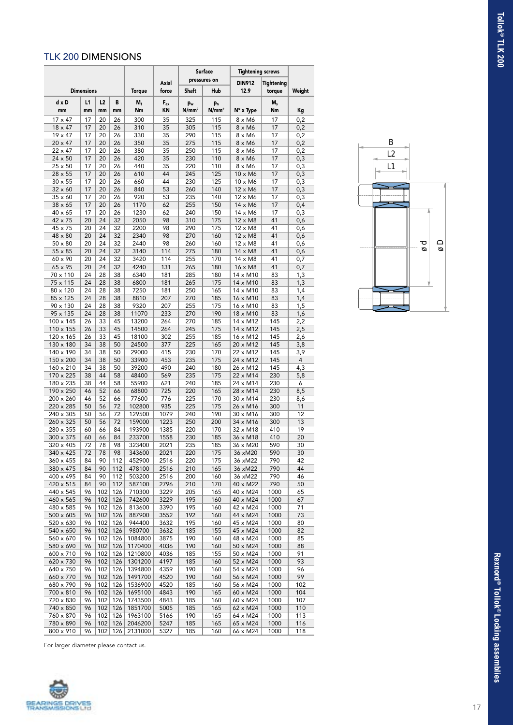#### TLK 200 DIMENSIONS

|                           |                   |            |            |                    | <b>Surface</b> | <b>Tightening screws</b> |                         |                           |                      |            |
|---------------------------|-------------------|------------|------------|--------------------|----------------|--------------------------|-------------------------|---------------------------|----------------------|------------|
|                           | <b>Dimensions</b> |            |            | <b>Torque</b>      | Axial<br>force | Shaft                    | pressures on<br>Hub     | <b>DIN912</b><br>12.9     | Tightening<br>torque | Weight     |
| $d \times D$<br>mm        | L1<br>mm          | L2<br>mm   | В<br>mm    | $M_t$<br>Nm        | $F_{ax}$<br>KN | pw<br>N/mm <sup>2</sup>  | pn<br>N/mm <sup>2</sup> | N° x Type                 | $M_s$<br>Nm          | Κg         |
| $17 \times 47$            | 17                | 20         | 26         | 300                | 35             | 325                      | 115                     | 8 x M6                    | 17                   | 0,2        |
| 18 x 47                   | 17                | 20         | 26         | 310                | 35             | 305                      | 115                     | $8 \times M6$             | 17                   | 0,2        |
| 19 x 47                   | 17                | 20         | 26         | 330                | 35             | 290                      | 115                     | $8 \times M6$             | 17                   | 0,2        |
| $20 \times 47$            | 17                | 20         | 26         | 350                | 35             | 275                      | 115                     | $8 \times M6$             | 17                   | 0,2        |
| 22 x 47                   | 17                | 20         | 26         | 380                | 35             | 250                      | 115                     | $8 \times M6$             | 17                   | 0,2        |
| 24 x 50<br>$25 \times 50$ | 17<br>17          | 20<br>20   | 26<br>26   | 420<br>440         | 35<br>35       | 230<br>220               | 110<br>110              | 8 x M6<br>8 x M6          | 17<br>17             | 0,3<br>0,3 |
| 28 x 55                   | 17                | 20         | 26         | 610                | 44             | 245                      | 125                     | 10 x M6                   | 17                   | 0,3        |
| $30 \times 55$            | 17                | 20         | 26         | 660                | 44             | 230                      | 125                     | 10 x M6                   | 17                   | 0,3        |
| $32 \times 60$            | 17                | 20         | 26         | 840                | 53             | 260                      | 140                     | 12 x M6                   | 17                   | 0,3        |
| 35 x 60                   | 17                | 20         | 26         | 920                | 53             | 235                      | 140                     | 12 x M6                   | 17                   | 0,3        |
| $38 \times 65$            | 17                | 20         | 26         | 1170               | 62             | 255                      | 150                     | 14 x M6                   | 17                   | 0,4        |
| 40 x 65                   | 17<br>20          | 20<br>24   | 26<br>32   | 1230<br>2050       | 62<br>98       | 240<br>310               | 150<br>175              | 14 x M6                   | 17<br>41             | 0,3        |
| 42 x 75<br>45 x 75        | 20                | 24         | 32         | 2200               | 98             | 290                      | 175                     | $12 \times M8$<br>12 x M8 | 41                   | 0,6<br>0,6 |
| 48 x 80                   | 20                | 24         | 32         | 2340               | 98             | 270                      | 160                     | $12 \times M8$            | 41                   | 0,6        |
| 50 x 80                   | 20                | 24         | 32         | 2440               | 98             | 260                      | 160                     | 12 x M8                   | 41                   | 0,6        |
| $55 \times 85$            | 20                | 24         | 32         | 3140               | 114            | 275                      | 180                     | $14 \times M8$            | 41                   | 0,6        |
| 60 x 90                   | 20                | 24         | 32         | 3420               | 114            | 255                      | 170                     | 14 x M8                   | 41                   | 0,7        |
| 65 x 95                   | 20                | 24         | 32         | 4240               | 131            | 265                      | 180                     | 16 x M8                   | 41                   | 0,7        |
| 70 x 110<br>75 x 115      | 24<br>24          | 28<br>28   | 38<br>38   | 6340<br>6800       | 181<br>181     | 285<br>265               | 180<br>175              | 14 x M10<br>14 x M10      | 83<br>83             | 1,3<br>1,3 |
| 80 x 120                  | 24                | 28         | 38         | 7250               | 181            | 250                      | 165                     | 14 x M10                  | 83                   | 1,4        |
| 85 x 125                  | 24                | 28         | 38         | 8810               | 207            | 270                      | 185                     | 16 x M10                  | 83                   | 1,4        |
| 90 x 130                  | 24                | 28         | 38         | 9320               | 207            | 255                      | 175                     | 16 x M10                  | 83                   | 1,5        |
| 95 x 135                  | 24                | 28         | 38         | 11070              | 233            | 270                      | 190                     | 18 x M10                  | 83                   | 1,6        |
| 100 x 145                 | 26                | 33         | 45         | 13200              | 264            | 270                      | 185                     | 14 x M12                  | 145                  | 2,2        |
| 110 x 155                 | 26                | 33<br>33   | 45<br>45   | 14500              | 264            | 245                      | 175                     | 14 x M12                  | 145                  | 2,5        |
| 120 x 165<br>130 x 180    | 26<br>34          | 38         | 50         | 18100<br>24500     | 302<br>377     | 255<br>225               | 185<br>165              | 16 x M12<br>20 x M12      | 145<br>145           | 2,6<br>3,8 |
| 140 x 190                 | 34                | 38         | 50         | 29000              | 415            | 230                      | 170                     | 22 x M12                  | 145                  | 3,9        |
| 150 x 200                 | 34                | 38         | 50         | 33900              | 453            | 235                      | 175                     | 24 x M12                  | 145                  | 4          |
| 160 x 210                 | 34                | 38         | 50         | 39200              | 490            | 240                      | 180                     | 26 x M12                  | 145                  | 4,3        |
| 170 x 225                 | 38                | 44         | 58         | 48400              | 569            | 235                      | 175                     | 22 x M14                  | 230                  | 5,8        |
| 180 x 235                 | 38                | 44<br>52   | 58         | 55900              | 621<br>725     | 240                      | 185<br>165              | 24 x M14                  | 230                  | 6          |
| 190 x 250<br>200 x 260    | 46<br>46          | 52         | 66<br>66   | 68800<br>77600     | 776            | 220<br>225               | 170                     | 28 x M14<br>30 x M14      | 230<br>230           | 8,5<br>8,6 |
| 220 x 285                 | 50                | 56         | 72         | 102800             | 935            | 225                      | 175                     | 26 x M16                  | 300                  | 11         |
| 240 x 305                 | 50                | 56         | 72         | 129500             | 1079           | 240                      | 190                     | 30 x M16                  | 300                  | 12         |
| 260 x 325                 | 50                | 56         | 72         | 159000             | 1223           | 250                      | 200                     | 34 x M16                  | 300                  | 13         |
| 280 x 355                 | 60                | 66         | 84         | 193900             | 1385           | 220                      | 170                     | 32 x M18                  | 410                  | 19         |
| 300 x 375                 | 60                | 66         | 84         | 233700             | 1558           | 230                      | 185                     | 36 x M18                  | 410                  | 20         |
| 320 x 405<br>340 x 425    | 72<br>72          | 78<br>78   | 98<br>98   | 323400<br>343600   | 2021<br>2021   | 235<br>220               | 185<br>175              | 36 x M20                  | 590<br>590           | 30<br>30   |
| 360 x 455                 | 84                | 90         | 112        | 452900             | 2516           | 220                      | 175                     | 36 xM20<br>36 xM22        | 790                  | 42         |
| 380 x 475                 | 84                | 90         | 112        | 478100             | 2516           | 210                      | 165                     | 36 xM22                   | 790                  | 44         |
| 400 x 495                 | 84                | 90         | 112        | 503200             | 2516           | 200                      | 160                     | 36 xM22                   | 790                  | 46         |
| 420 x 515                 | 84                | 90         | 112        | 587100             | 2796           | 210                      | 170                     | 40 x M22                  | 790                  | 50         |
| 440 x 545                 | 96                | 102        | 126        | 710300             | 3229           | 205                      | 165                     | 40 x M24                  | 1000                 | 65         |
| 460 x 565                 | 96                | 102        | 126        | 742600             | 3229           | 195                      | 160                     | 40 x M24                  | 1000                 | 67         |
| 480 x 585<br>500 x 605    | 96<br>96          | 102<br>102 | 126<br>126 | 813600<br>887900   | 3390<br>3552   | 195<br>192               | 160<br>160              | 42 x M24<br>44 x M24      | 1000<br>1000         | 71<br>73   |
| 520 x 630                 | 96                | 102        | 126        | 944400             | 3632           | 195                      | 160                     | 45 x M24                  | 1000                 | 80         |
| 540 x 650                 | 96                | 102        | 126        | 980700             | 3632           | 185                      | 155                     | 45 x M24                  | 1000                 | 82         |
| 560 x 670                 | 96                | 102        | 126        | 1084800            | 3875           | 190                      | 160                     | 48 x M24                  | 1000                 | 85         |
| 580 x 690                 | 96                | 102        | 126        | 1170400            | 4036           | 190                      | 160                     | 50 x M24                  | 1000                 | 88         |
| 600 x 710                 | 96                | 102        | 126        | 1210800            | 4036           | 185                      | 155                     | 50 x M24                  | 1000                 | 91         |
| 620 x 730                 | 96                | 102        | 126        | 1301200            | 4197           | 185                      | 160                     | 52 x M24                  | 1000                 | 93<br>96   |
| 640 x 750<br>660 x 770    | 96<br>96          | 102<br>102 | 126<br>126 | 1394800<br>1491700 | 4359<br>4520   | 190<br>190               | 160<br>160              | 54 x M24<br>56 x M24      | 1000<br>1000         | 99         |
| 680 x 790                 | 96                | 102        | 126        | 1536900            | 4520           | 185                      | 160                     | 56 x M24                  | 1000                 | 102        |
| 700 x 810                 | 96                | 102        | 126        | 1695100            | 4843           | 190                      | 165                     | 60 x M24                  | 1000                 | 104        |
| 720 x 830                 | 96                | 102        | 126        | 1743500            | 4843           | 185                      | 160                     | 60 x M24                  | 1000                 | 107        |
| 740 x 850                 | 96                | 102        | 126        | 1851700            | 5005           | 185                      | 165                     | 62 x M24                  | 1000                 | 110        |
| 760 x 870                 | 96                | 102        | 126        | 1963100            | 5166           | 190                      | 165                     | 64 x M24                  | 1000                 | 113        |
| 780 x 890                 | 96<br>96          | 102<br>102 | 126<br>126 | 2046200            | 5247           | 185                      | 165                     | 65 x M24                  | 1000                 | 116        |
| 800 x 910                 |                   |            |            | 2131000            | 5327           | 185                      | 160                     | 66 x M24                  | 1000                 | 118        |



For larger diameter please contact us.

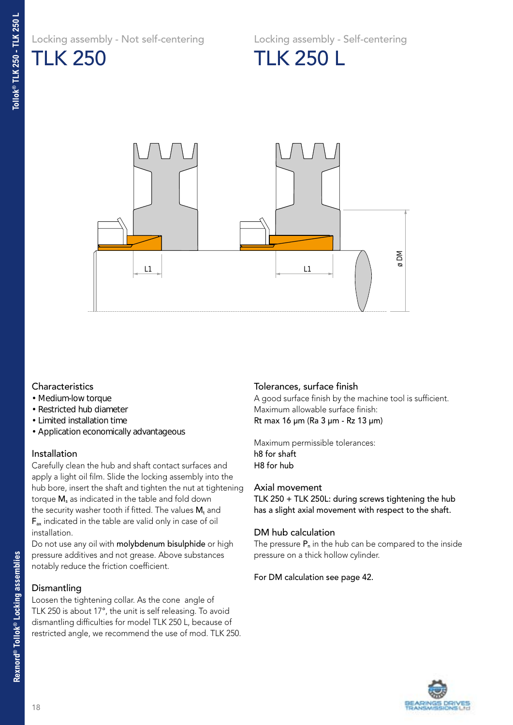Locking assembly - Not self-centering

Locking assembly - Self-centering



TLK 250 L



#### **Characteristics**

- Medium-low torque
- Restricted hub diameter
- Limited installation time
- Application economically advantageous

#### Installation

Carefully clean the hub and shaft contact surfaces and apply a light oil film. Slide the locking assembly into the hub bore, insert the shaft and tighten the nut at tightening torque M<sub>s</sub> as indicated in the table and fold down the security washer tooth if fitted. The values  $M_t$  and Fax indicated in the table are valid only in case of oil installation.

Do not use any oil with molybdenum bisulphide or high pressure additives and not grease. Above substances notably reduce the friction coefficient.

#### **Dismantling**

Loosen the tightening collar. As the cone angle of TLK 250 is about 17°, the unit is self releasing. To avoid dismantling difficulties for model TLK 250 L, because of restricted angle, we recommend the use of mod. TLK 250.

#### Tolerances, surface finish

A good surface finish by the machine tool is sufficient. Maximum allowable surface finish: Rt max 16 µm (Ra 3 µm - Rz 13 µm)

Maximum permissible tolerances: h8 for shaft H8 for hub

#### Axial movement

TLK 250 + TLK 250L: during screws tightening the hub has a slight axial movement with respect to the shaft.

#### DM hub calculation

The pressure  $P_n$  in the hub can be compared to the inside pressure on a thick hollow cylinder.

#### For DM calculation see page 42.

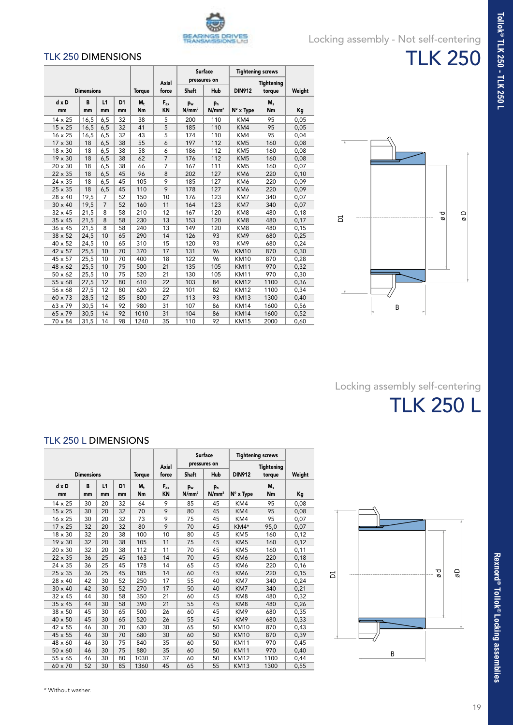

### Locking assembly - Not self-centering

#### TLK 250 DIMENSIONS

|                |                   |                |                |               |                |                   | <b>Surface</b>    | <b>Tightening screws</b> |                   |        |
|----------------|-------------------|----------------|----------------|---------------|----------------|-------------------|-------------------|--------------------------|-------------------|--------|
|                |                   |                |                |               | Axial          |                   | pressures on      |                          | <b>Tightening</b> |        |
|                | <b>Dimensions</b> |                |                | <b>Torque</b> | force          | <b>Shaft</b>      | Hub               | <b>DIN912</b>            | torque            | Weight |
| $dx$ D         | B                 | L1             | D <sub>1</sub> | $M_{+}$       | $F_{ax}$       | $p_w$             | $p_{n}$           |                          | M,                |        |
| mm             | mm                | mm             | mm             | Nm            | <b>KN</b>      | N/mm <sup>2</sup> | N/mm <sup>2</sup> | N° x Type                | Nm                | Кg     |
| 14 x 25        | 16,5              | 6,5            | 32             | 38            | 5              | 200               | 110               | KM4                      | 95                | 0,05   |
| $15 \times 25$ | 16,5              | 6,5            | 32             | 41            | 5              | 185               | 110               | KM4                      | 95                | 0,05   |
| $16 \times 25$ | 16,5              | 6,5            | 32             | 43            | 5              | 174               | 110               | KM4                      | 95                | 0,04   |
| $17 \times 30$ | 18                | 6,5            | 38             | 55            | 6              | 197               | 112               | KM <sub>5</sub>          | 160               | 0,08   |
| 18 x 30        | 18                | 6,5            | 38             | 58            | 6              | 186               | 112               | KM <sub>5</sub>          | 160               | 0,08   |
| 19 x 30        | 18                | 6,5            | 38             | 62            | $\overline{7}$ | 176               | 112               | KM <sub>5</sub>          | 160               | 0,08   |
| 20 x 30        | 18                | 6,5            | 38             | 66            | $\overline{7}$ | 167               | 111               | KM <sub>5</sub>          | 160               | 0,07   |
| 22 x 35        | 18                | 6,5            | 45             | 96            | 8              | 202               | 127               | KM6                      | 220               | 0,10   |
| 24 x 35        | 18                | 6,5            | 45             | 105           | 9              | 185               | 127               | KM6                      | 220               | 0,09   |
| 25 x 35        | 18                | 6,5            | 45             | 110           | 9              | 178               | 127               | KM6                      | 220               | 0,09   |
| $28 \times 40$ | 19,5              | $\overline{7}$ | 52             | 150           | 10             | 176               | 123               | KM7                      | 340               | 0,07   |
| $30 \times 40$ | 19,5              | $\overline{7}$ | 52             | 160           | 11             | 164               | 123               | KM7                      | 340               | 0,07   |
| $32 \times 45$ | 21,5              | 8              | 58             | 210           | 12             | 167               | 120               | KM8                      | 480               | 0,18   |
| 35 x 45        | 21,5              | 8              | 58             | 230           | 13             | 153               | 120               | KM8                      | 480               | 0,17   |
| $36 \times 45$ | 21,5              | 8              | 58             | 240           | 13             | 149               | 120               | KM8                      | 480               | 0,15   |
| $38 \times 52$ | 24,5              | 10             | 65             | 290           | 14             | 126               | 93                | KM9                      | 680               | 0,25   |
| 40 x 52        | 24,5              | 10             | 65             | 310           | 15             | 120               | 93                | KM9                      | 680               | 0,24   |
| 42 x 57        | 25,5              | 10             | 70             | 370           | 17             | 131               | 96                | <b>KM10</b>              | 870               | 0,30   |
| 45 x 57        | 25,5              | 10             | 70             | 400           | 18             | 122               | 96                | <b>KM10</b>              | 870               | 0,28   |
| $48 \times 62$ | 25,5              | 10             | 75             | 500           | 21             | 135               | 105               | <b>KM11</b>              | 970               | 0,32   |
| $50 \times 62$ | 25,5              | 10             | 75             | 520           | 21             | 130               | 105               | <b>KM11</b>              | 970               | 0,30   |
| 55 x 68        | 27,5              | 12             | 80             | 610           | 22             | 103               | 84                | <b>KM12</b>              | 1100              | 0,36   |
| 56 x 68        | 27,5              | 12             | 80             | 620           | 22             | 101               | 82                | <b>KM12</b>              | 1100              | 0,34   |
| 60 x 73        | 28,5              | 12             | 85             | 800           | 27             | 113               | 93                | <b>KM13</b>              | 1300              | 0,40   |
| 63 x 79        | 30,5              | 14             | 92             | 980           | 31             | 107               | 86                | <b>KM14</b>              | 1600              | 0,56   |
| 65 x 79        | 30,5              | 14             | 92             | 1010          | 31             | 104               | 86                | <b>KM14</b>              | 1600              | 0,52   |
| 70 x 84        | 31,5              | 14             | 98             | 1240          | 35             | 110               | 92                | <b>KM15</b>              | 2000              | 0,60   |



Locking assembly self-centering

TLK 250 L

#### TLK 250 L DIMENSIONS

|                |                   |          |                      |                    |                |                            | <b>Surface</b>                      | <b>Tightening screws</b> |                   |        |
|----------------|-------------------|----------|----------------------|--------------------|----------------|----------------------------|-------------------------------------|--------------------------|-------------------|--------|
|                |                   |          |                      |                    | Axial          |                            | pressures on                        |                          | <b>Tightening</b> |        |
|                | <b>Dimensions</b> |          |                      | <b>Torque</b>      | force          | <b>Shaft</b>               | Hub                                 | <b>DIN912</b>            | torque            | Weight |
| dxD<br>mm      | B<br>mm           | L1<br>mm | D <sub>1</sub><br>mm | $M_t$<br><b>Nm</b> | $F_{ax}$<br>KN | $p_w$<br>N/mm <sup>2</sup> | p <sub>n</sub><br>N/mm <sup>2</sup> | N° x Type                | M,<br>Nm          | Кg     |
| $14 \times 25$ | 30                | 20       | 32                   | 64                 | 9              | 85                         | 45                                  | KM4                      | 95                | 0,08   |
| 15 x 25        | 30                | 20       | 32                   | 70                 | 9              | 80                         | 45                                  | KM4                      | 95                | 0,08   |
| $16 \times 25$ | 30                | 20       | 32                   | 73                 | 9              | 75                         | 45                                  | KM4                      | 95                | 0,07   |
| $17 \times 25$ | 32                | 20       | 32                   | 80                 | 9              | 70                         | 45                                  | KM4*                     | 95,0              | 0,07   |
| 18 x 30        | 32                | 20       | 38                   | 100                | 10             | 80                         | 45                                  | KM <sub>5</sub>          | 160               | 0,12   |
| $19 \times 30$ | 32                | 20       | 38                   | 105                | 11             | 75                         | 45                                  | KM <sub>5</sub>          | 160               | 0,12   |
| 20 x 30        | 32                | 20       | 38                   | 112                | 11             | 70                         | 45                                  | KM <sub>5</sub>          | 160               | 0,11   |
| 22 x 35        | 36                | 25       | 45                   | 163                | 14             | 70                         | 45                                  | KM <sub>6</sub>          | 220               | 0,18   |
| $24 \times 35$ | 36                | 25       | 45                   | 178                | 14             | 65                         | 45                                  | KM6                      | 220               | 0,16   |
| 25 x 35        | 36                | 25       | 45                   | 185                | 14             | 60                         | 45                                  | KM <sub>6</sub>          | 220               | 0,15   |
| 28 x 40        | 42                | 30       | 52                   | 250                | 17             | 55                         | 40                                  | KM7                      | 340               | 0,24   |
| $30 \times 40$ | 42                | 30       | 52                   | 270                | 17             | 50                         | 40                                  | KM7                      | 340               | 0,21   |
| $32 \times 45$ | 44                | 30       | 58                   | 350                | 21             | 60                         | 45                                  | KM <sub>8</sub>          | 480               | 0,32   |
| $35 \times 45$ | 44                | 30       | 58                   | 390                | 21             | 55                         | 45                                  | KM <sub>8</sub>          | 480               | 0,26   |
| $38 \times 50$ | 45                | 30       | 65                   | 500                | 26             | 60                         | 45                                  | KM9                      | 680               | 0,35   |
| $40 \times 50$ | 45                | 30       | 65                   | 520                | 26             | 55                         | 45                                  | KM9                      | 680               | 0,33   |
| $42 \times 55$ | 46                | 30       | 70                   | 630                | 30             | 65                         | 50                                  | <b>KM10</b>              | 870               | 0,43   |
| $45 \times 55$ | 46                | 30       | 70                   | 680                | 30             | 60                         | 50                                  | <b>KM10</b>              | 870               | 0,39   |
| $48 \times 60$ | 46                | 30       | 75                   | 840                | 35             | 60                         | 50                                  | <b>KM11</b>              | 970               | 0,45   |
| $50 \times 60$ | 46                | 30       | 75                   | 880                | 35             | 60                         | 50                                  | <b>KM11</b>              | 970               | 0,40   |
| $55 \times 65$ | 46                | 30       | 80                   | 1030               | 37             | 60                         | 50                                  | <b>KM12</b>              | 1100              | 0,44   |
| $60 \times 70$ | 52                | 30       | 85                   | 1360               | 45             | 65                         | 55                                  | <b>KM13</b>              | 1300              | 0,55   |



Tollok® TLK 250 - TLK 250 L **Tollok® TLK 250 - TLK 250 L**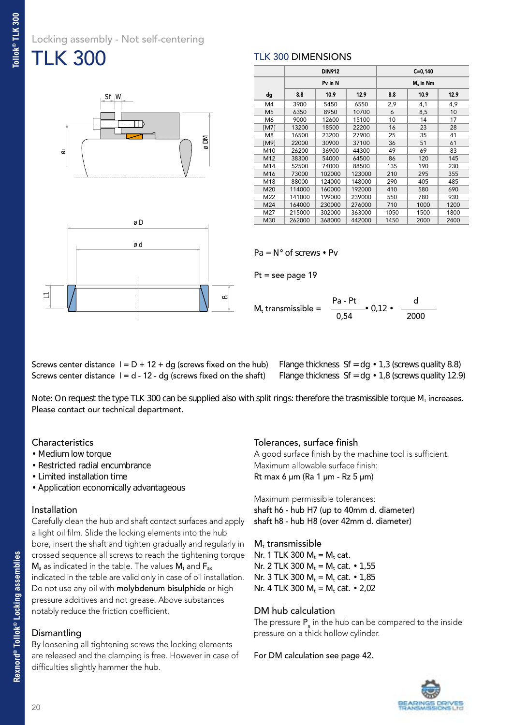### Locking assembly - Not self-centering TLK 300





|                 |        | <b>DIN912</b> |        | $C = 0,140$ |             |      |  |  |  |
|-----------------|--------|---------------|--------|-------------|-------------|------|--|--|--|
|                 |        | Pv in N       |        |             | $M_s$ in Nm |      |  |  |  |
| dg              | 8.8    | 10.9          | 12.9   | 8.8         | 10.9        | 12.9 |  |  |  |
| M4              | 3900   | 5450          | 6550   | 2,9         | 4,1         | 4,9  |  |  |  |
| M <sub>5</sub>  | 6350   | 8950          | 10700  | 6           | 8,5         | 10   |  |  |  |
| M6              | 9000   | 12600         | 15100  | 10          | 14          | 17   |  |  |  |
| [M7]            | 13200  | 18500         | 22200  | 16          | 23          | 28   |  |  |  |
| M <sub>8</sub>  | 16500  | 23200         | 27900  | 25          | 35          | 41   |  |  |  |
| [M9]            | 22000  | 30900         | 37100  | 36          | 51          | 61   |  |  |  |
| M10             | 26200  | 36900         | 44300  | 49          | 69          | 83   |  |  |  |
| M12             | 38300  | 54000         | 64500  | 86          | 120         | 145  |  |  |  |
| M14             | 52500  | 74000         | 88500  | 135         | 190         | 230  |  |  |  |
| M <sub>16</sub> | 73000  | 102000        | 123000 | 210         | 295         | 355  |  |  |  |
| M18             | 88000  | 124000        | 148000 | 290         | 405         | 485  |  |  |  |
| M20             | 114000 | 160000        | 192000 | 410         | 580         | 690  |  |  |  |
| M22             | 141000 | 199000        | 239000 | 550         | 780         | 930  |  |  |  |
| M24             | 164000 | 230000        | 276000 | 710         | 1000        | 1200 |  |  |  |
| M27             | 215000 | 302000        | 363000 | 1050        | 1500        | 1800 |  |  |  |
| M30             | 262000 | 368000        | 442000 | 1450        | 2000        | 2400 |  |  |  |

 $Pa = N^\circ$  of screws • Pv

TLK 300 DIMENSIONS

Pt = see page 19

 $\cdot$  0.12 $\cdot$  $M_t$  transmissible = 0,54 2000

Screws center distance  $I = d - 12 - dg$  (screws fixed on the shaft) Flange thickness Sf = dg  $\cdot$  1,8 (screws quality 12.9) Screws center distance  $I = D + 12 + dq$  (screws fixed on the hub) Flange thickness Sf = dg  $\cdot$  1,3 (screws quality 8.8)

Note: On request the type TLK 300 can be supplied also with split rings: therefore the trasmissible torque  $M_t$  increases. Please contact our technical department.

#### **Characteristics**

- Medium low torque
- Restricted radial encumbrance
- Limited installation time
- Application economically advantageous

#### Installation

Carefully clean the hub and shaft contact surfaces and apply a light oil film. Slide the locking elements into the hub bore, insert the shaft and tighten gradually and regularly in crossed sequence all screws to reach the tightening torque  $M_s$  as indicated in the table. The values  $M_t$  and  $F_{ax}$ indicated in the table are valid only in case of oil installation. Do not use any oil with molybdenum bisulphide or high pressure additives and not grease. Above substances notably reduce the friction coefficient.

#### **Dismantling**

By loosening all tightening screws the locking elements are released and the clamping is free. However in case of difficulties slightly hammer the hub.

#### Tolerances, surface finish

A good surface finish by the machine tool is sufficient. Maximum allowable surface finish: Rt max 6 µm (Ra 1 µm - Rz 5 µm)

Maximum permissible tolerances: shaft h6 - hub H7 (up to 40mm d. diameter) shaft h8 - hub H8 (over 42mm d. diameter)

 $M_t$  transmissible Nr. 1 TLK 300  $M_t = M_t$  cat. Nr. 2 TLK 300  $M_t = M_t$  cat. • 1,55 Nr. 3 TLK 300  $M_t = M_t$  cat.  $\cdot$  1,85 Nr. 4 TLK 300  $M_t = M_t$  cat. • 2,02

#### DM hub calculation

The pressure  $P_{n}$  in the hub can be compared to the inside pressure on a thick hollow cylinder.

For DM calculation see page 42.

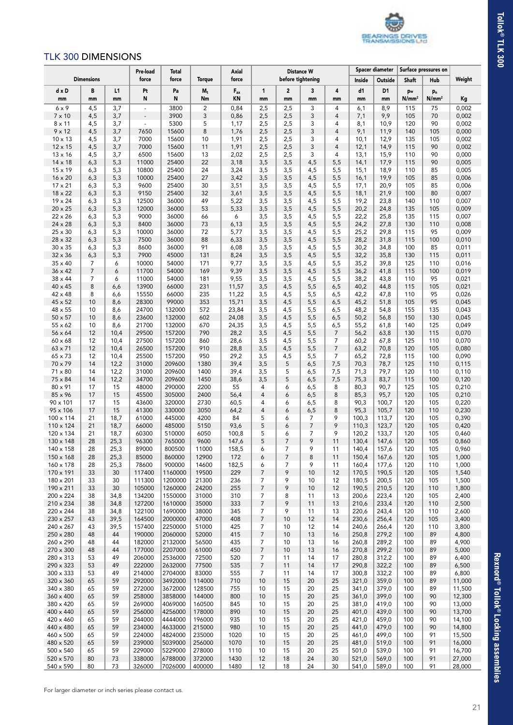

#### TLK 300 DIMENSIONS

|                                  |                     |              | Pre-load                 | <b>Total</b>       |                  | Axial                            |                     |                      | <b>Distance W</b> |                     |                | <b>Spacer diameter</b> |                         | Surface pressures on                |                  |
|----------------------------------|---------------------|--------------|--------------------------|--------------------|------------------|----------------------------------|---------------------|----------------------|-------------------|---------------------|----------------|------------------------|-------------------------|-------------------------------------|------------------|
|                                  | <b>Dimensions</b>   |              | force                    | force              | <b>Torque</b>    | force                            |                     |                      | before tightening |                     | Inside         | Outside                | Shaft                   | Hub                                 | Weight           |
| $dx$ D<br>mm                     | В<br>mm             | L1<br>mm     | Pt<br>N                  | Pa<br>N            | $M_t$<br>Nm      | $\mathsf{F}_{\mathsf{ax}}$<br>KN | $\mathbf{1}$<br>mm  | $\overline{2}$<br>mm | 3<br>mm           | 4<br>mm             | d1<br>mm       | D <sub>1</sub><br>mm   | pw<br>N/mm <sup>2</sup> | p <sub>n</sub><br>N/mm <sup>2</sup> | Kg               |
| $6 \times 9$                     | 4,5                 | 3,7          | $\omega$                 | 3800               | $\overline{c}$   | 0,84                             | 2,5                 | 2,5                  | 3                 | 4                   | 6,1            | 8,9                    | 115                     | 75                                  | 0,002            |
| $7 \times 10$                    | 4,5                 | 3,7          | $\overline{\phantom{a}}$ | 3900               | 3                | 0,86                             | 2,5                 | 2,5                  | 3                 | 4                   | 7,1            | 9,9                    | 105                     | 70                                  | 0,002            |
| $8 \times 11$                    | 4,5                 | 3,7          | $\equiv$                 | 5300               | 5                | 1,17                             | 2,5                 | 2,5                  | 3                 | $\overline{4}$      | 8,1            | 10,9                   | 120                     | 90                                  | 0,002            |
| $9 \times 12$                    | 4,5                 | 3,7          | 7650                     | 15600              | 8                | 1,76                             | 2,5                 | 2,5                  | 3                 | 4                   | 9,1            | 11,9                   | 140                     | 105                                 | 0,000            |
| $10 \times 13$                   | 4,5                 | 3,7          | 7000                     | 15600              | 10               | 1,91                             | 2,5                 | 2,5                  | 3                 | 4                   | 10,1           | 12,9                   | 135                     | 105                                 | 0,002            |
| $12 \times 15$<br>$13 \times 16$ | 4,5                 | 3,7          | 7000                     | 15600              | 11               | 1,91                             | 2,5                 | 2,5                  | 3                 | $\overline{4}$<br>4 | 12,1           | 14,9                   | 115                     | 90<br>90                            | 0,002<br>0,000   |
| $14 \times 18$                   | 4,5<br>6,3          | 3,7<br>5,3   | 6500<br>11000            | 15600<br>25400     | 13<br>22         | 2,02<br>3,18                     | 2,5<br>3,5          | 2,5<br>3,5           | 3<br>4,5          | 5,5                 | 13,1<br>14,1   | 15,9<br>17,9           | 110<br>115              | 90                                  | 0,005            |
| 15 x 19                          | 6,3                 | 5,3          | 10800                    | 25400              | 24               | 3,24                             | 3,5                 | 3,5                  | 4,5               | 5,5                 | 15,1           | 18,9                   | 110                     | 85                                  | 0,005            |
| $16 \times 20$                   | 6,3                 | 5,3          | 10000                    | 25400              | 27               | 3,42                             | 3,5                 | 3,5                  | 4,5               | 5,5                 | 16,1           | 19,9                   | 105                     | 85                                  | 0,006            |
| $17 \times 21$                   | 6,3                 | 5,3          | 9600                     | 25400              | 30               | 3,51                             | 3,5                 | 3,5                  | 4,5               | 5,5                 | 17,1           | 20,9                   | 105                     | 85                                  | 0,006            |
| 18 x 22                          | 6,3                 | 5,3          | 9150                     | 25400              | 32               | 3,61                             | 3,5                 | 3,5                  | 4,5               | 5,5                 | 18,1           | 21,9                   | 100                     | 80                                  | 0,007            |
| 19 x 24                          | 6,3                 | 5,3          | 12500                    | 36000              | 49               | 5,22                             | 3,5                 | 3,5                  | 4,5               | 5,5                 | 19,2           | 23,8                   | 140                     | 110                                 | 0,007            |
| $20 \times 25$<br>22 x 26        | 6,3<br>6,3          | 5,3<br>5,3   | 12000<br>9000            | 36000<br>36000     | 53<br>66         | 5,33<br>6                        | 3,5<br>3,5          | 3,5                  | 4,5               | 5,5<br>5,5          | 20,2<br>22,2   | 24,8<br>25,8           | 135<br>135              | 105<br>115                          | 0,009<br>0,007   |
| 24 x 28                          | 6,3                 | 5,3          | 8400                     | 36000              | 73               | 6,13                             | 3,5                 | 3,5<br>3,5           | 4,5<br>4,5        | 5,5                 | 24,2           | 27,8                   | 130                     | 110                                 | 0,008            |
| $25 \times 30$                   | 6,3                 | 5,3          | 10000                    | 36000              | 72               | 5,77                             | 3,5                 | 3,5                  | 4,5               | 5,5                 | 25,2           | 29,8                   | 115                     | 95                                  | 0,009            |
| 28 x 32                          | 6,3                 | 5,3          | 7500                     | 36000              | 88               | 6,33                             | 3,5                 | 3,5                  | 4,5               | 5,5                 | 28,2           | 31,8                   | 115                     | 100                                 | 0,010            |
| $30 \times 35$                   | 6,3                 | 5,3          | 8600                     | 36000              | 91               | 6,08                             | 3,5                 | 3,5                  | 4,5               | 5,5                 | 30,2           | 34,8                   | 100                     | 85                                  | 0,011            |
| $32 \times 36$                   | 6,3                 | 5,3          | 7900                     | 45000              | 131              | 8,24                             | 3,5                 | 3,5                  | 4,5               | 5,5                 | 32,2           | 35,8                   | 130                     | 115                                 | 0,011            |
| $35 \times 40$                   | 7                   | 6            | 10000                    | 54000              | 171              | 9,77                             | 3,5                 | 3,5                  | 4,5               | 5,5                 | 35,2           | 39,8                   | 125                     | 110                                 | 0,016            |
| $36 \times 42$<br>38 x 44        | $\overline{7}$<br>7 | 6<br>6       | 11700<br>11000           | 54000<br>54000     | 169<br>181       | 9,39<br>9,55                     | 3,5<br>3,5          | 3,5<br>3,5           | 4,5               | 5,5<br>5,5          | 36,2<br>38,2   | 41,8<br>43,8           | 115<br>110              | 100<br>95                           | 0,019<br>0,021   |
| 40 x 45                          | 8                   | 6,6          | 13900                    | 66000              | 231              | 11,57                            | 3,5                 | 4,5                  | 4,5<br>5,5        | 6,5                 | 40,2           | 44,8                   | 115                     | 105                                 | 0,021            |
| 42 x 48                          | 8                   | 6,6          | 15550                    | 66000              | 235              | 11,22                            | 3,5                 | 4,5                  | 5,5               | 6,5                 | 42,2           | 47,8                   | 110                     | 95                                  | 0,026            |
| 45 x 52                          | 10                  | 8,6          | 28300                    | 99000              | 353              | 15,71                            | 3,5                 | 4,5                  | 5,5               | 6,5                 | 45,2           | 51,8                   | 105                     | 95                                  | 0,045            |
| 48 x 55                          | 10                  | 8,6          | 24700                    | 132000             | 572              | 23,84                            | 3,5                 | 4,5                  | 5,5               | 6,5                 | 48,2           | 54,8                   | 155                     | 135                                 | 0,043            |
| $50 \times 57$                   | 10                  | 8,6          | 23600                    | 132000             | 602              | 24,08                            | 3,5                 | 4,5                  | 5,5               | 6,5                 | 50,2           | 56,8                   | 150                     | 130                                 | 0,045            |
| 55 x 62                          | 10                  | 8,6          | 21700                    | 132000             | 670              | 24,35                            | 3,5                 | 4,5                  | 5,5               | 6,5                 | 55,2           | 61,8                   | 140                     | 125                                 | 0,049            |
| 56 x 64                          | 12<br>12            | 10,4<br>10,4 | 29500<br>27500           | 157200<br>157200   | 790<br>860       | 28,2<br>28,6                     | 3,5<br>3,5          | 4,5                  | 5,5<br>5,5        | 7<br>7              | 56,2<br>60,2   | 63,8<br>67,8           | 130<br>125              | 115<br>110                          | 0,070<br>0,070   |
| $60 \times 68$<br>63 x 71        | 12                  | 10,4         | 26500                    | 157200             | 910              | 28,8                             | 3,5                 | 4,5<br>4,5           | 5,5               | $\overline{7}$      | 63,2           | 70,8                   | 120                     | 105                                 | 0,080            |
| 65 x 73                          | 12                  | 10,4         | 25500                    | 157200             | 950              | 29,2                             | 3,5                 | 4,5                  | 5,5               | 7                   | 65,2           | 72,8                   | 115                     | 100                                 | 0,090            |
| 70 x 79                          | 14                  | 12,2         | 31000                    | 209600             | 1380             | 39,4                             | 3,5                 | 5                    | 6,5               | 7,5                 | 70,3           | 78,7                   | 125                     | 110                                 | 0,115            |
| 71 x 80                          | 14                  | 12,2         | 31000                    | 209600             | 1400             | 39,4                             | 3,5                 | 5                    | 6,5               | 7,5                 | 71,3           | 79,7                   | 120                     | 110                                 | 0,110            |
| 75 x 84                          | 14                  | 12,2         | 34700                    | 209600             | 1450             | 38,6                             | 3,5                 | 5                    | 6,5               | 7,5                 | 75,3           | 83,7                   | 115                     | 100                                 | 0,120            |
| 80 x 91                          | 17                  | 15           | 48000                    | 290000             | 2200             | 55                               | 4                   | 6                    | 6,5               | 8                   | 80,3           | 90,7                   | 125                     | 105                                 | 0,210            |
| 85 x 96<br>$90 \times 101$       | 17<br>17            | 15<br>15     | 45500<br>43600           | 305000<br>320000   | 2400<br>2730     | 56,4<br>60,5                     | $\overline{4}$<br>4 | 6<br>6               | 6,5<br>6,5        | 8<br>8              | 85,3<br>90,3   | 95,7<br>100,7          | 120<br>120              | 105<br>105                          | 0,210<br>0,220   |
| 95 x 106                         | 17                  | 15           | 41300                    | 330000             | 3050             | 64,2                             | $\overline{4}$      | 6                    | 6,5               | 8                   | 95,3           | 105,7                  | 120                     | 110                                 | 0,230            |
| 100 x 114                        | 21                  | 18,7         | 61000                    | 445000             | 4200             | 84                               | 5                   | 6                    | 7                 | 9                   | 100,3          | 113,7                  | 120                     | 105                                 | 0,390            |
| 110 x 124                        | 21                  | 18,7         | 66000                    | 485000             | 5150             | 93,6                             | 5                   | 6                    | $\overline{7}$    | 9                   | 110,3          | 123,7                  | 120                     | 105                                 | 0,420            |
| 120 x 134                        | 21                  | 18,7         | 60300                    | 510000             | 6050             | 100,8                            | 5                   | 6                    | 7                 | 9                   | 120,2          | 133,7                  | 120                     | 105                                 | 0,460            |
| 130 x 148                        | 28                  | 25,3         | 96300                    | 765000             | 9600             | 147,6                            | 5                   | 7                    | 9                 | 11                  | 130,4          | 147,6                  | 120                     | 105                                 | 0,860            |
| 140 x 158                        | 28                  | 25,3         | 89000                    | 800500             | 11000            | 158,5                            | 6                   | 7                    | 9                 | 11                  | 140,4          | 157,6                  | 120                     | 105                                 | 0,960<br>1,000   |
| 150 x 168<br>$160 \times 178$    | 28<br>28            | 25,3<br>25,3 | 85000<br>78600           | 860000<br>900000   | 12900<br>14600   | 172<br>182,5                     | 6<br>6              | 7<br>$\overline{7}$  | 8<br>9            | 11<br>11            | 150,4<br>160,4 | 167,6<br>177,6         | 120<br>120              | 105<br>110                          | 1,000            |
| 170 x 191                        | 33                  | 30           | 117400                   | 1160000            | 19500            | 229                              | 7                   | 9                    | 10                | 12                  | 170,5          | 190,5                  | 120                     | 105                                 | 1,540            |
| 180 x 201                        | 33                  | 30           | 111300                   | 1200000            | 21300            | 236                              | 7                   | 9                    | 10                | 12                  | 180,5          | 200,5                  | 120                     | 105                                 | 1,500            |
| 190 x 211                        | 33                  | 30           | 105000                   | 1260000            | 24200            | 255                              | 7                   | 9                    | 10                | 12                  | 190,5          | 210,5                  | 120                     | 110                                 | 1,800            |
| 200 x 224                        | 38                  | 34,8         | 134200                   | 1550000            | 31000            | 310                              | 7                   | 8                    | 11                | 13                  | 200,6          | 223,4                  | 120                     | 105                                 | 2,400            |
| 210 x 234                        | 38                  | 34,8         | 127200                   | 1610000            | 35000            | 333                              | 7                   | 9                    | 11                | 13                  | 210,6          | 233,4                  | 120                     | 110                                 | 2,500            |
| 220 x 244<br>230 x 257           | 38<br>43            | 34,8<br>39,5 | 122100<br>164500         | 1690000<br>2000000 | 38000<br>47000   | 345<br>408                       | 7<br>7              | 9<br>10              | 11<br>12          | 13<br>14            | 220,6<br>230,6 | 243,4<br>256,4         | 120<br>120              | 110<br>105                          | 2,600<br>3,400   |
| 240 x 267                        | 43                  | 39,5         | 157400                   | 2250000            | 51000            | 425                              | 7                   | 10                   | 12                | 14                  | 240,6          | 266,4                  | 120                     | 110                                 | 3,800            |
| 250 x 280                        | 48                  | 44           | 190000                   | 2060000            | 52000            | 415                              | 7                   | 10                   | 13                | 16                  | 250,8          | 279,2                  | 100                     | 89                                  | 4,800            |
| 260 x 290                        | 48                  | 44           | 182000                   | 2132000            | 56500            | 435                              | 7                   | 10                   | 13                | 16                  | 260,8          | 289,2                  | 100                     | 89                                  | 4,900            |
| 270 x 300                        | 48                  | 44           | 177000                   | 2207000            | 61000            | 450                              | $\overline{7}$      | 10                   | 13                | 16                  | 270,8          | 299,2                  | 100                     | 89                                  | 5,000            |
| 280 x 313                        | 53                  | 49           | 206000                   | 2536000            | 72500            | 520                              | 7                   | 11                   | 14                | 17                  | 280,8          | 312,2                  | 100                     | 89                                  | 6,400            |
| 290 x 323                        | 53                  | 49           | 222000                   | 2632000            | 77500            | 535                              | $\overline{7}$      | 11                   | 14                | 17                  | 290,8          | 322,2                  | 100                     | 89                                  | 6,500            |
| $300 \times 333$<br>320 x 360    | 53                  | 49<br>59     | 214000<br>292000         | 2704000<br>3492000 | 83000<br>114000  | 555<br>710                       | 7<br>10             | 11<br>15             | 14<br>20          | 17                  | 300,8          | 332,2<br>359,0         | 100<br>100              | 89<br>89                            | 6,800<br>11,000  |
| 340 x 380                        | 65<br>65            | 59           | 272000                   | 3672000            | 128500           | 755                              | 10                  | 15                   | 20                | 25<br>25            | 321,0<br>341,0 | 379,0                  | 100                     | 89                                  | 11,500           |
| $360 \times 400$                 | 65                  | 59           | 258000                   | 3858000            | 144000           | 800                              | 10                  | 15                   | 20                | 25                  | 361,0          | 399,0                  | 100                     | 90                                  | 12,300           |
| 380 x 420                        | 65                  | 59           | 269000                   | 4069000            | 160500           | 845                              | 10                  | 15                   | 20                | 25                  | 381,0          | 419,0                  | 100                     | 90                                  | 13,000           |
| 400 x 440                        | 65                  | 59           | 256000                   | 4256000            | 178000           | 890                              | 10                  | 15                   | 20                | 25                  | 401,0          | 439,0                  | 100                     | 90                                  | 13,700           |
| 420 x 460                        | 65                  | 59           | 244000                   | 4444000            | 196000           | 935                              | 10                  | 15                   | 20                | 25                  | 421,0          | 459,0                  | 100                     | 90                                  | 14,100           |
| 440 x 480                        | 65                  | 59           | 234000                   | 4633000            | 215000           | 980                              | 10                  | 15                   | 20                | 25                  | 441,0          | 479,0                  | 100                     | 90                                  | 14,800           |
| 460 x 500                        | 65                  | 59           | 224000                   | 4824000            | 235000           | 1020                             | 10                  | 15                   | 20                | 25                  | 461,0          | 499,0                  | 100                     | 91                                  | 15,500           |
| 480 x 520<br>$500 \times 540$    | 65<br>65            | 59<br>59     | 239000<br>229000         | 5039000<br>5229000 | 256000<br>278000 | 1070<br>1110                     | 10<br>10            | 15<br>15             | 20<br>20          | 25<br>25            | 481,0<br>501,0 | 519,0<br>539,0         | 100<br>100              | 91<br>91                            | 16,000<br>16,700 |
| 520 x 570                        | 80                  | 73           | 338000                   | 6788000            | 372000           | 1430                             | 12                  | 18                   | 24                | 30                  | 521,0          | 569,0                  | 100                     | 91                                  | 27,000           |
| 540 x 590                        | 80                  | 73           | 326000                   | 7026000            | 400000           | 1480                             | 12                  | 18                   | 24                | 30                  | 541,0          | 589,0                  | 100                     | 91                                  | 28,000           |

**Rexnord® Tollok® Locking assemblies**

Rexnord® Tollok® Locking assemblies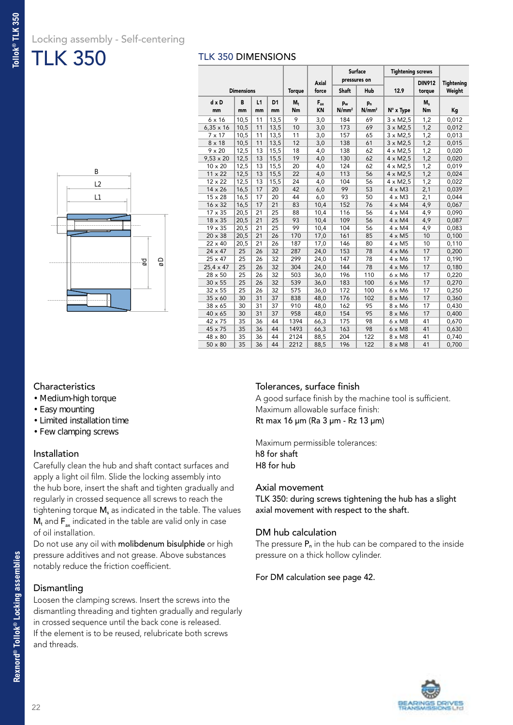### Locking assembly - Self-centering

TLK 350

#### TLK 350 DIMENSIONS

| gø |
|----|
|    |
|    |

|                  |                   |    |                |               |          | Surface           |                   | <b>Tightening screws</b> |               |                   |
|------------------|-------------------|----|----------------|---------------|----------|-------------------|-------------------|--------------------------|---------------|-------------------|
|                  |                   |    |                |               | Axial    | pressures on      |                   |                          | <b>DIN912</b> | <b>Tightening</b> |
|                  | <b>Dimensions</b> |    |                | <b>Torque</b> | force    | <b>Shaft</b>      | Hub               | 12.9                     | torque        | Weight            |
| $dx$ D           | B                 | L1 | D <sub>1</sub> | $M_t$         | $F_{ax}$ | P <sub>w</sub>    | p <sub>n</sub>    |                          | $M_s$         |                   |
| mm               | mm                | mm | mm             | Nm            | KN       | N/mm <sup>2</sup> | N/mm <sup>2</sup> | $N^\circ$ x Type         | Nm            | Kg                |
| $6 \times 16$    | 10,5              | 11 | 13,5           | 9             | 3,0      | 184               | 69                | $3 \times M2.5$          | 1,2           | 0,012             |
| $6,35 \times 16$ | 10,5              | 11 | 13,5           | 10            | 3,0      | 173               | 69                | $3 \times M2,5$          | 1,2           | 0,012             |
| $7 \times 17$    | 10,5              | 11 | 13,5           | 11            | 3,0      | 157               | 65                | $3 \times M2,5$          | 1,2           | 0,013             |
| $8 \times 18$    | 10,5              | 11 | 13,5           | 12            | 3,0      | 138               | 61                | $3 \times M2.5$          | 1,2           | 0,015             |
| $9 \times 20$    | 12,5              | 13 | 15,5           | 18            | 4,0      | 138               | 62                | $4 \times M2,5$          | 1,2           | 0,020             |
| $9,53 \times 20$ | 12,5              | 13 | 15,5           | 19            | 4,0      | 130               | 62                | 4 x M2,5                 | 1,2           | 0,020             |
| 10 x 20          | 12,5              | 13 | 15,5           | 20            | 4,0      | 124               | 62                | $4 \times M2.5$          | 1,2           | 0,019             |
| $11 \times 22$   | 12,5              | 13 | 15,5           | 22            | 4,0      | 113               | 56                | $4 \times M2,5$          | 1,2           | 0,024             |
| 12 x 22          | 12,5              | 13 | 15,5           | 24            | 4,0      | 104               | 56                | $4 \times M2,5$          | 1,2           | 0,022             |
| 14 x 26          | 16,5              | 17 | 20             | 42            | 6,0      | 99                | 53                | $4 \times M3$            | 2,1           | 0,039             |
| 15 x 28          | 16,5              | 17 | 20             | 44            | 6,0      | 93                | 50                | $4 \times M3$            | 2,1           | 0,044             |
| 16 x 32          | 16,5              | 17 | 21             | 83            | 10,4     | 152               | 76                | $4 \times M4$            | 4,9           | 0,067             |
| 17 x 35          | 20,5              | 21 | 25             | 88            | 10,4     | 116               | 56                | $4 \times M4$            | 4,9           | 0,090             |
| 18 x 35          | 20,5              | 21 | 25             | 93            | 10,4     | 109               | 56                | $4 \times M4$            | 4,9           | 0,087             |
| 19 x 35          | 20,5              | 21 | 25             | 99            | 10,4     | 104               | 56                | $4 \times M4$            | 4,9           | 0,083             |
| 20 x 38          | 20,5              | 21 | 26             | 170           | 17,0     | 161               | 85                | $4 \times M5$            | 10            | 0,100             |
| 22 x 40          | 20,5              | 21 | 26             | 187           | 17,0     | 146               | 80                | $4 \times M5$            | 10            | 0,110             |
| $24 \times 47$   | 25                | 26 | 32             | 287           | 24,0     | 153               | 78                | $4 \times M6$            | 17            | 0,200             |
| 25 x 47          | 25                | 26 | 32             | 299           | 24,0     | 147               | 78                | $4 \times M6$            | 17            | 0,190             |
| $25,4 \times 47$ | 25                | 26 | 32             | 304           | 24,0     | 144               | 78                | $4 \times M6$            | 17            | 0,180             |
| 28 x 50          | 25                | 26 | 32             | 503           | 36,0     | 196               | 110               | $6 \times M6$            | 17            | 0,220             |
| $30 \times 55$   | 25                | 26 | 32             | 539           | 36,0     | 183               | 100               | $6 \times M6$            | 17            | 0,270             |
| $32 \times 55$   | 25                | 26 | 32             | 575           | 36,0     | 172               | 100               | 6 x M6                   | 17            | 0,250             |
| 35 x 60          | 30                | 31 | 37             | 838           | 48,0     | 176               | 102               | 8 x M6                   | 17            | 0,360             |
| 38 x 65          | 30                | 31 | 37             | 910           | 48,0     | 162               | 95                | 8 x M6                   | 17            | 0,430             |
| 40 x 65          | 30                | 31 | 37             | 958           | 48,0     | 154               | 95                | 8 x M6                   | 17            | 0,400             |
| 42 x 75          | 35                | 36 | 44             | 1394          | 66,3     | 175               | 98                | $6 \times M8$            | 41            | 0,670             |
| 45 x 75          | 35                | 36 | 44             | 1493          | 66,3     | 163               | 98                | $6 \times M8$            | 41            | 0,630             |
| 48 x 80          | 35                | 36 | 44             | 2124          | 88,5     | 204               | 122               | $8 \times M8$            | 41            | 0,740             |
| $50 \times 80$   | 35                | 36 | 44             | 2212          | 88,5     | 196               | 122               | $8 \times M8$            | 41            | 0,700             |

#### **Characteristics**

- Medium-high torque
- Easy mounting
- Limited installation time
- Few clamping screws

#### Installation

Carefully clean the hub and shaft contact surfaces and apply a light oil film. Slide the locking assembly into the hub bore, insert the shaft and tighten gradually and regularly in crossed sequence all screws to reach the tightening torque  $M_s$  as indicated in the table. The values  $M_t$  and  $F_{ax}$  indicated in the table are valid only in case of oil installation.

Do not use any oil with molibdenum bisulphide or high pressure additives and not grease. Above substances notably reduce the friction coefficient.

#### **Dismantling**

Loosen the clamping screws. Insert the screws into the dismantling threading and tighten gradually and regularly in crossed sequence until the back cone is released. If the element is to be reused, relubricate both screws and threads.

#### Tolerances, surface finish

A good surface finish by the machine tool is sufficient. Maximum allowable surface finish: Rt max 16 µm (Ra 3 µm - Rz 13 µm)

Maximum permissible tolerances: h8 for shaft H8 for hub

#### Axial movement

TLK 350: during screws tightening the hub has a slight axial movement with respect to the shaft.

#### DM hub calculation

The pressure  $P_n$  in the hub can be compared to the inside pressure on a thick hollow cylinder.

#### For DM calculation see page 42.

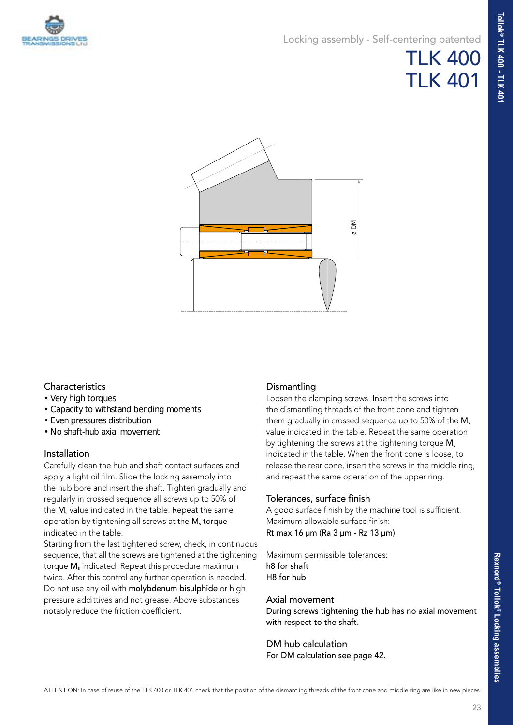

#### Locking assembly - Self-centering patented



#### **Characteristics**

- Very high torques
- Capacity to withstand bending moments
- Even pressures distribution
- No shaft-hub axial movement

#### Installation

Carefully clean the hub and shaft contact surfaces and apply a light oil film. Slide the locking assembly into the hub bore and insert the shaft. Tighten gradually and regularly in crossed sequence all screws up to 50% of the  $M_s$  value indicated in the table. Repeat the same operation by tightening all screws at the  $M_s$  torque indicated in the table.

Starting from the last tightened screw, check, in continuous sequence, that all the screws are tightened at the tightening torque M<sub>s</sub> indicated. Repeat this procedure maximum twice. After this control any further operation is needed. Do not use any oil with molybdenum bisulphide or high pressure addittives and not grease. Above substances notably reduce the friction coefficient.

#### **Dismantling**

Loosen the clamping screws. Insert the screws into the dismantling threads of the front cone and tighten them gradually in crossed sequence up to  $50\%$  of the M<sub>s</sub> value indicated in the table. Repeat the same operation by tightening the screws at the tightening torque  $M_s$ indicated in the table. When the front cone is loose, to release the rear cone, insert the screws in the middle ring, and repeat the same operation of the upper ring.

#### Tolerances, surface finish

A good surface finish by the machine tool is sufficient. Maximum allowable surface finish: Rt max 16 µm (Ra 3 µm - Rz 13 µm)

Maximum permissible tolerances: h8 for shaft H8 for hub

#### Axial movement

During screws tightening the hub has no axial movement with respect to the shaft.

#### DM hub calculation

For DM calculation see page 42.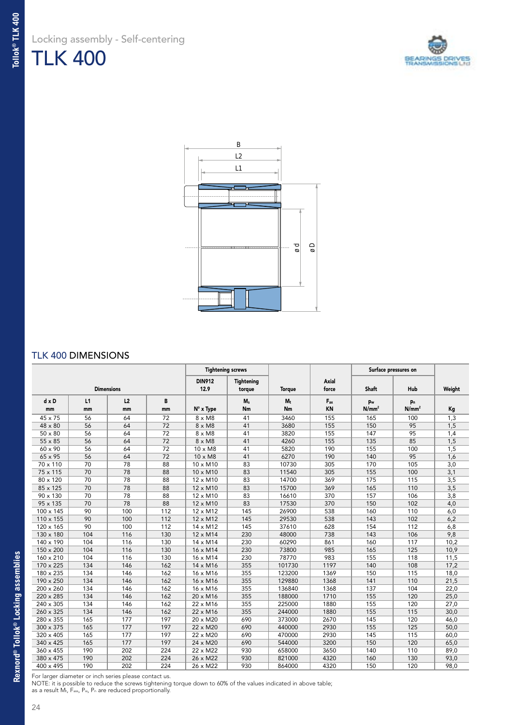



#### TLK 400 DIMENSIONS

|                  |     |                   |     | <b>Tightening screws</b> |                   |        |          |                   | Surface pressures on |        |
|------------------|-----|-------------------|-----|--------------------------|-------------------|--------|----------|-------------------|----------------------|--------|
|                  |     |                   |     | <b>DIN912</b>            | <b>Tightening</b> |        | Axial    |                   |                      |        |
|                  |     | <b>Dimensions</b> |     | 12.9                     | torque            | Torque | force    | <b>Shaft</b>      | Hub                  | Weight |
| $d \times D$     | L1  | L <sub>2</sub>    | B   |                          | $M_s$             | $M_t$  | $F_{ax}$ | pw                | p <sub>n</sub>       |        |
| mm               | mm  | mm                | mm  | N° x Type                | Nm                | Nm     | KN       | N/mm <sup>2</sup> | N/mm <sup>2</sup>    | Kg     |
| 45 x 75          | 56  | 64                | 72  | $8 \times M8$            | 41                | 3460   | 155      | 165               | 100                  | 1,3    |
| $48 \times 80$   | 56  | 64                | 72  | $8 \times M8$            | 41                | 3680   | 155      | 150               | 95                   | 1,5    |
| $50 \times 80$   | 56  | 64                | 72  | $8 \times M8$            | 41                | 3820   | 155      | 147               | 95                   | 1,4    |
| 55 x 85          | 56  | 64                | 72  | $8 \times M8$            | 41                | 4260   | 155      | 135               | 85                   | 1,5    |
| 60 x 90          | 56  | 64                | 72  | $10 \times M8$           | 41                | 5820   | 190      | 155               | 100                  | 1,5    |
| 65 x 95          | 56  | 64                | 72  | $10 \times M8$           | 41                | 6270   | 190      | 140               | 95                   | 1,6    |
| 70 x 110         | 70  | 78                | 88  | $10 \times M10$          | 83                | 10730  | 305      | 170               | 105                  | 3,0    |
| 75 x 115         | 70  | 78                | 88  | 10 x M10                 | 83                | 11540  | 305      | 155               | 100                  | 3,1    |
| 80 x 120         | 70  | 78                | 88  | 12 x M10                 | 83                | 14700  | 369      | 175               | 115                  | 3,5    |
| 85 x 125         | 70  | 78                | 88  | $12 \times M10$          | 83                | 15700  | 369      | 165               | 110                  | 3,5    |
| $90 \times 130$  | 70  | 78                | 88  | $12 \times M10$          | 83                | 16610  | 370      | 157               | 106                  | 3,8    |
| 95 x 135         | 70  | 78                | 88  | 12 x M10                 | 83                | 17530  | 370      | 150               | 102                  | 4,0    |
| 100 x 145        | 90  | 100               | 112 | 12 x M12                 | 145               | 26900  | 538      | 160               | 110                  | 6,0    |
| 110 x 155        | 90  | 100               | 112 | 12 x M12                 | 145               | 29530  | 538      | 143               | 102                  | 6,2    |
| 120 x 165        | 90  | 100               | 112 | 14 x M12                 | 145               | 37610  | 628      | 154               | 112                  | 6,8    |
| 130 x 180        | 104 | 116               | 130 | $12 \times M14$          | 230               | 48000  | 738      | 143               | 106                  | 9,8    |
| 140 x 190        | 104 | 116               | 130 | 14 x M14                 | 230               | 60290  | 861      | 160               | 117                  | 10,2   |
| 150 x 200        | 104 | 116               | 130 | 16 x M14                 | 230               | 73800  | 985      | 165               | 125                  | 10,9   |
| 160 x 210        | 104 | 116               | 130 | 16 x M14                 | 230               | 78770  | 983      | 155               | 118                  | 11,5   |
| 170 x 225        | 134 | 146               | 162 | 14 x M16                 | 355               | 101730 | 1197     | 140               | 108                  | 17,2   |
| 180 x 235        | 134 | 146               | 162 | 16 x M16                 | 355               | 123200 | 1369     | 150               | 115                  | 18,0   |
| 190 x 250        | 134 | 146               | 162 | 16 x M16                 | 355               | 129880 | 1368     | 141               | 110                  | 21,5   |
| 200 x 260        | 134 | 146               | 162 | 16 x M16                 | 355               | 136840 | 1368     | 137               | 104                  | 22,0   |
| 220 x 285        | 134 | 146               | 162 | 20 x M16                 | 355               | 188000 | 1710     | 155               | 120                  | 25,0   |
| 240 x 305        | 134 | 146               | 162 | 22 x M16                 | 355               | 225000 | 1880     | 155               | 120                  | 27,0   |
| 260 x 325        | 134 | 146               | 162 | 22 x M16                 | 355               | 244000 | 1880     | 155               | 115                  | 30,0   |
| 280 x 355        | 165 | 177               | 197 | 20 x M20                 | 690               | 373000 | 2670     | 145               | 120                  | 46,0   |
| 300 x 375        | 165 | 177               | 197 | 22 x M20                 | 690               | 440000 | 2930     | 155               | 125                  | 50,0   |
| 320 x 405        | 165 | 177               | 197 | 22 x M20                 | 690               | 470000 | 2930     | 145               | 115                  | 60,0   |
| 340 x 425        | 165 | 177               | 197 | 24 x M20                 | 690               | 544000 | 3200     | 150               | 120                  | 65,0   |
| 360 x 455        | 190 | 202               | 224 | 22 x M22                 | 930               | 658000 | 3650     | 140               | 110                  | 89,0   |
| 380 x 475        | 190 | 202               | 224 | 26 x M22                 | 930               | 821000 | 4320     | 160               | 130                  | 93,0   |
| $400 \times 495$ | 190 | 202               | 224 | 26 x M22                 | 930               | 864000 | 4320     | 150               | 120                  | 98.0   |

For larger diameter or inch series please contact us.

NOTE: it is possible to reduce the screws tightening torque down to 60% of the values indicated in above table;<br>as a result M<sub>t</sub>, F<sub>ass,</sub> P<sub>w,</sub> P<sub>n</sub> are reduced proportionally.

24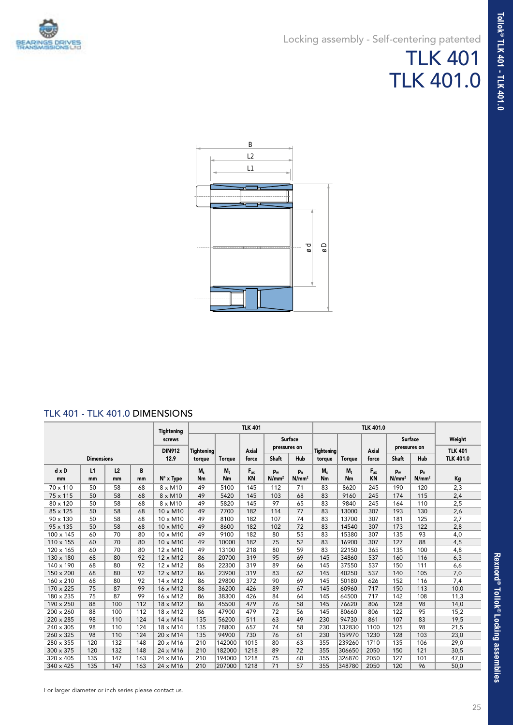### Locking assembly - Self-centering patented

## TLK 401 TLK 401.0



#### TLK 401 - TLK 401.0 DIMENSIONS

|                  |                   |     |     | <b>Tightening</b> | <b>TLK 401</b>    |               |              |                   |                   |                   | <b>TLK 401.0</b> |           |                                |                   |                  |
|------------------|-------------------|-----|-----|-------------------|-------------------|---------------|--------------|-------------------|-------------------|-------------------|------------------|-----------|--------------------------------|-------------------|------------------|
|                  |                   |     |     | screws            |                   |               |              | pressures on      | Surface           |                   |                  |           | <b>Surface</b><br>pressures on |                   | Weight           |
|                  |                   |     |     | <b>DIN912</b>     | <b>Tightening</b> |               | <b>Axial</b> |                   |                   | <b>Tightening</b> |                  | Axial     |                                |                   | <b>TLK 401</b>   |
|                  | <b>Dimensions</b> |     |     | 12.9              | torque            | <b>Torque</b> | force        | <b>Shaft</b>      | Hub               | torque            | <b>Torque</b>    | force     | <b>Shaft</b>                   | Hub               | <b>TLK 401.0</b> |
| $d \times D$     | L1                | L2  | B   |                   | $M_s$             | $M_{+}$       | $F_{ax}$     | $p_w$             | P <sub>n</sub>    | $M_s$             | $M_t$            | $F_{ax}$  | p <sub>w</sub>                 | p <sub>n</sub>    |                  |
| mm               | mm                | mm  | mm  | $N^\circ$ x Type  | Nm                | Nm            | <b>KN</b>    | N/mm <sup>2</sup> | N/mm <sup>2</sup> | Nm                | Nm               | <b>KN</b> | N/mm <sup>2</sup>              | N/mm <sup>2</sup> | Кg               |
| 70 x 110         | 50                | 58  | 68  | $8 \times M10$    | 49                | 5100          | 145          | 112               | 71                | 83                | 8620             | 245       | 190                            | 120               | 2,3              |
| $75 \times 115$  | 50                | 58  | 68  | $8 \times M10$    | 49                | 5420          | 145          | 103               | 68                | 83                | 9160             | 245       | 174                            | 115               | 2,4              |
| 80 x 120         | 50                | 58  | 68  | $8 \times M10$    | 49                | 5820          | 145          | 97                | 65                | 83                | 9840             | 245       | 164                            | 110               | 2,5              |
| 85 x 125         | 50                | 58  | 68  | $10 \times M10$   | 49                | 7700          | 182          | 114               | 77                | 83                | 13000            | 307       | 193                            | 130               | 2,6              |
| 90 x 130         | 50                | 58  | 68  | $10 \times M10$   | 49                | 8100          | 182          | 107               | 74                | 83                | 13700            | 307       | 181                            | 125               | 2,7              |
| 95 x 135         | 50                | 58  | 68  | 10 x M10          | 49                | 8600          | 182          | 102               | 72                | 83                | 14540            | 307       | 173                            | 122               | 2,8              |
| 100 x 145        | 60                | 70  | 80  | $10 \times M10$   | 49                | 9100          | 182          | 80                | 55                | 83                | 15380            | 307       | 135                            | 93                | 4,0              |
| 110 x 155        | 60                | 70  | 80  | $10 \times M10$   | 49                | 10000         | 182          | 75                | 52                | 83                | 16900            | 307       | 127                            | 88                | 4,5              |
| 120 x 165        | 60                | 70  | 80  | 12 x M10          | 49                | 13100         | 218          | 80                | 59                | 83                | 22150            | 365       | 135                            | 100               | 4,8              |
| 130 x 180        | 68                | 80  | 92  | $12 \times M12$   | 86                | 20700         | 319          | 95                | 69                | 145               | 34860            | 537       | 160                            | 116               | 6,3              |
| 140 x 190        | 68                | 80  | 92  | $12 \times M12$   | 86                | 22300         | 319          | 89                | 66                | 145               | 37550            | 537       | 150                            | 111               | 6,6              |
| 150 x 200        | 68                | 80  | 92  | 12 x M12          | 86                | 23900         | 319          | 83                | 62                | 145               | 40250            | 537       | 140                            | 105               | 7,0              |
| 160 x 210        | 68                | 80  | 92  | 14 x M12          | 86                | 29800         | 372          | 90                | 69                | 145               | 50180            | 626       | 152                            | 116               | 7,4              |
| 170 x 225        | 75                | 87  | 99  | 16 x M12          | 86                | 36200         | 426          | 89                | 67                | 145               | 60960            | 717       | 150                            | 113               | 10,0             |
| 180 x 235        | 75                | 87  | 99  | 16 x M12          | 86                | 38300         | 426          | 84                | 64                | 145               | 64500            | 717       | 142                            | 108               | 11,3             |
| 190 x 250        | 88                | 100 | 112 | 18 x M12          | 86                | 45500         | 479          | 76                | 58                | 145               | 76620            | 806       | 128                            | 98                | 14,0             |
| 200 x 260        | 88                | 100 | 112 | 18 x M12          | 86                | 47900         | 479          | 72                | 56                | 145               | 80660            | 806       | 122                            | 95                | 15,2             |
| 220 x 285        | 98                | 110 | 124 | 14 x M14          | 135               | 56200         | 511          | 63                | 49                | 230               | 94730            | 861       | 107                            | 83                | 19,5             |
| 240 x 305        | 98                | 110 | 124 | 18 x M14          | 135               | 78800         | 657          | 74                | 58                | 230               | 132830           | 1100      | 125                            | 98                | 21,5             |
| 260 x 325        | 98                | 110 | 124 | 20 x M14          | 135               | 94900         | 730          | 76                | 61                | 230               | 159970           | 1230      | 128                            | 103               | 23,0             |
| 280 x 355        | 120               | 132 | 148 | 20 x M16          | 210               | 142000        | 1015         | 80                | 63                | 355               | 239260           | 1710      | 135                            | 106               | 29,0             |
| $300 \times 375$ | 120               | 132 | 148 | 24 x M16          | 210               | 182000        | 1218         | 89                | 72                | 355               | 306650           | 2050      | 150                            | 121               | 30,5             |
| 320 x 405        | 135               | 147 | 163 | 24 x M16          | 210               | 194000        | 1218         | 75                | 60                | 355               | 326870           | 2050      | 127                            | 101               | 47,0             |
| 340 x 425        | 135               | 147 | 163 | 24 x M16          | 210               | 207000        | 1218         | 71                | 57                | 355               | 348780           | 2050      | 120                            | 96                | 50,0             |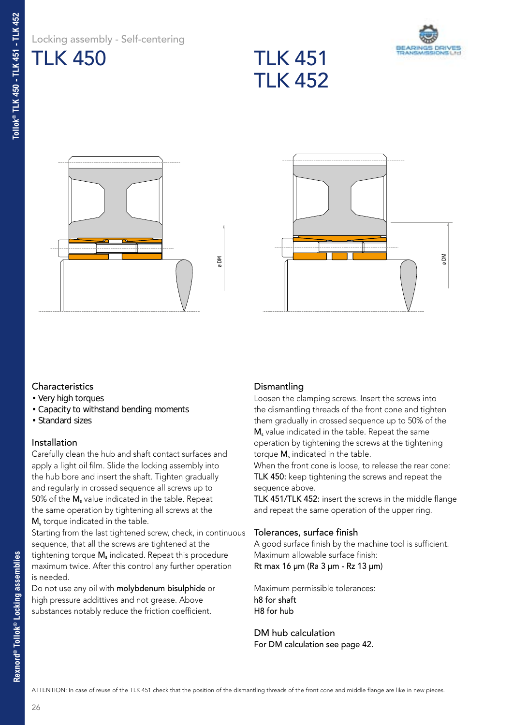|                | Locking assembly - Self-centering |
|----------------|-----------------------------------|
| <b>TLK 450</b> |                                   |









#### **Characteristics**

- Very high torques
- Capacity to withstand bending moments
- Standard sizes

#### Installation

Carefully clean the hub and shaft contact surfaces and apply a light oil film. Slide the locking assembly into the hub bore and insert the shaft. Tighten gradually and regularly in crossed sequence all screws up to 50% of the  $M_s$  value indicated in the table. Repeat the same operation by tightening all screws at the M<sub>s</sub> torque indicated in the table.

Starting from the last tightened screw, check, in continuous sequence, that all the screws are tightened at the tightening torque  $M_s$  indicated. Repeat this procedure maximum twice. After this control any further operation is needed.

Do not use any oil with molybdenum bisulphide or high pressure addittives and not grease. Above substances notably reduce the friction coefficient.

#### **Dismantling**

Loosen the clamping screws. Insert the screws into the dismantling threads of the front cone and tighten them gradually in crossed sequence up to 50% of the M<sub>s</sub> value indicated in the table. Repeat the same operation by tightening the screws at the tightening torque M<sub>s</sub> indicated in the table.

When the front cone is loose, to release the rear cone: TLK 450: keep tightening the screws and repeat the sequence above.

TLK 451/TLK 452: insert the screws in the middle flange and repeat the same operation of the upper ring.

#### Tolerances, surface finish

A good surface finish by the machine tool is sufficient. Maximum allowable surface finish: Rt max 16 µm (Ra 3 µm - Rz 13 µm)

Maximum permissible tolerances: h8 for shaft H8 for hub

DM hub calculation For DM calculation see page 42.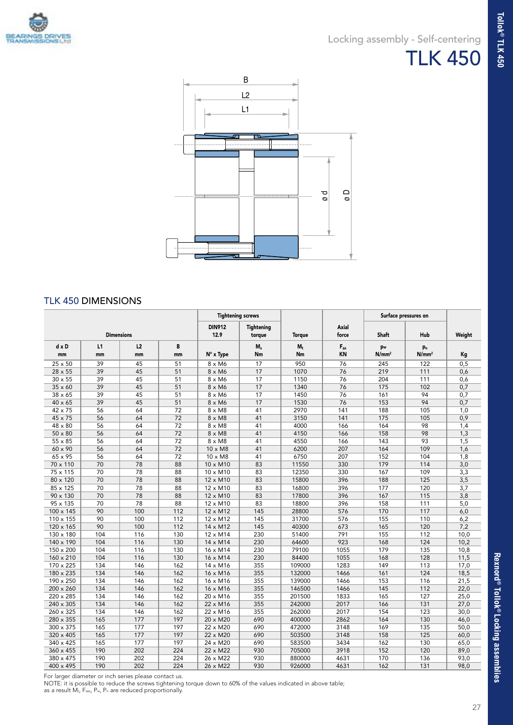

### Locking assembly - Self-centering TLK 450



#### TLK 450 DIMENSIONS

|                 |                   |     |     | <b>Tightening screws</b> |                             |               |                |                   | Surface pressures on |        |
|-----------------|-------------------|-----|-----|--------------------------|-----------------------------|---------------|----------------|-------------------|----------------------|--------|
|                 | <b>Dimensions</b> |     |     | <b>DIN912</b><br>12.9    | <b>Tightening</b><br>torque | <b>Torque</b> | Axial<br>force | <b>Shaft</b>      | Hub                  | Weight |
| $d \times D$    | L1                | L2  | B   |                          | $M_s$                       | $M_t$         | $F_{ax}$       | pw                | pn                   |        |
| mm              | mm                | mm  | mm  | $N^\circ$ x Type         | Nm                          | Nm            | <b>KN</b>      | N/mm <sup>2</sup> | N/mm <sup>2</sup>    | Kg     |
| 25 x 50         | 39                | 45  | 51  | 8 x M6                   | 17                          | 950           | 76             | 245               | 122                  | 0,5    |
| 28 x 55         | 39                | 45  | 51  | 8 x M6                   | 17                          | 1070          | 76             | 219               | 111                  | 0,6    |
| $30 \times 55$  | 39                | 45  | 51  | 8 x M6                   | 17                          | 1150          | 76             | 204               | 111                  | 0,6    |
| 35 x 60         | 39                | 45  | 51  | 8 x M6                   | 17                          | 1340          | 76             | 175               | 102                  | 0,7    |
| $38 \times 65$  | 39                | 45  | 51  | 8 x M6                   | 17                          | 1450          | 76             | 161               | 94                   | 0,7    |
| 40 x 65         | 39                | 45  | 51  | 8 x M6                   | 17                          | 1530          | 76             | 153               | 94                   | 0,7    |
| 42 x 75         | 56                | 64  | 72  | $8 \times M8$            | 41                          | 2970          | 141            | 188               | 105                  | 1,0    |
| 45 x 75         | 56                | 64  | 72  | $8 \times M8$            | 41                          | 3150          | 141            | 175               | 105                  | 0,9    |
| 48 x 80         | 56                | 64  | 72  | $8 \times M8$            | 41                          | 4000          | 166            | 164               | 98                   | 1,4    |
| $50 \times 80$  | 56                | 64  | 72  | $8 \times M8$            | 41                          | 4150          | 166            | 158               | 98                   | 1,3    |
| 55 x 85         | 56                | 64  | 72  | $8 \times M8$            | 41                          | 4550          | 166            | 143               | 93                   | 1,5    |
| 60 x 90         | 56                | 64  | 72  | 10 x M8                  | 41                          | 6200          | 207            | 164               | 109                  | 1,6    |
| 65 x 95         | 56                | 64  | 72  | $10 \times M8$           | 41                          | 6750          | 207            | 152               | 104                  | 1,8    |
| 70 x 110        | 70                | 78  | 88  | 10 x M10                 | 83                          | 11550         | 330            | 179               | 114                  | 3,0    |
| 75 x 115        | 70                | 78  | 88  | $10 \times M10$          | 83                          | 12350         | 330            | 167               | 109                  | 3,3    |
| 80 x 120        | 70                | 78  | 88  | 12 x M10                 | 83                          | 15800         | 396            | 188               | 125                  | 3,5    |
| 85 x 125        | 70                | 78  | 88  | 12 x M10                 | 83                          | 16800         | 396            | 177               | 120                  | 3,7    |
| $90 \times 130$ | 70                | 78  | 88  | 12 x M10                 | 83                          | 17800         | 396            | 167               | 115                  | 3,8    |
| 95 x 135        | 70                | 78  | 88  | 12 x M10                 | 83                          | 18800         | 396            | 158               | 111                  | 5,0    |
| 100 x 145       | 90                | 100 | 112 | 12 x M12                 | 145                         | 28800         | 576            | 170               | 117                  | 6,0    |
| 110 x 155       | 90                | 100 | 112 | 12 x M12                 | 145                         | 31700         | 576            | 155               | 110                  | 6,2    |
| 120 x 165       | 90                | 100 | 112 | 14 x M12                 | 145                         | 40300         | 673            | 165               | 120                  | 7,2    |
| 130 x 180       | 104               | 116 | 130 | $12 \times M14$          | 230                         | 51400         | 791            | 155               | 112                  | 10,0   |
| 140 x 190       | 104               | 116 | 130 | 14 x M14                 | 230                         | 64600         | 923            | 168               | 124                  | 10,2   |
| 150 x 200       | 104               | 116 | 130 | 16 x M14                 | 230                         | 79100         | 1055           | 179               | 135                  | 10,8   |
| 160 x 210       | 104               | 116 | 130 | 16 x M14                 | 230                         | 84400         | 1055           | 168               | 128                  | 11,5   |
| 170 x 225       | 134               | 146 | 162 | 14 x M16                 | 355                         | 109000        | 1283           | 149               | 113                  | 17,0   |
| 180 x 235       | 134               | 146 | 162 | 16 x M16                 | 355                         | 132000        | 1466           | 161               | 124                  | 18,5   |
| 190 x 250       | 134               | 146 | 162 | 16 x M16                 | 355                         | 139000        | 1466           | 153               | 116                  | 21,5   |
| 200 x 260       | 134               | 146 | 162 | 16 x M16                 | 355                         | 146500        | 1466           | 145               | 112                  | 22,0   |
| 220 x 285       | 134               | 146 | 162 | 20 x M16                 | 355                         | 201500        | 1833           | 165               | 127                  | 25,0   |
| 240 x 305       | 134               | 146 | 162 | 22 x M16                 | 355                         | 242000        | 2017           | 166               | 131                  | 27,0   |
| 260 x 325       | 134               | 146 | 162 | 22 x M16                 | 355                         | 262000        | 2017           | 154               | 123                  | 30,0   |
| 280 x 355       | 165               | 177 | 197 | 20 x M20                 | 690                         | 400000        | 2862           | 164               | 130                  | 46,0   |
| 300 x 375       | 165               | 177 | 197 | 22 x M20                 | 690                         | 472000        | 3148           | 169               | 135                  | 50,0   |
| 320 x 405       | 165               | 177 | 197 | 22 x M20                 | 690                         | 503500        | 3148           | 158               | 125                  | 60,0   |
| 340 x 425       | 165               | 177 | 197 | 24 x M20                 | 690                         | 583500        | 3434           | 162               | 130                  | 65,0   |
| 360 x 455       | 190               | 202 | 224 | 22 x M22                 | 930                         | 705000        | 3918           | 152               | 120                  | 89,0   |
| 380 x 475       | 190               | 202 | 224 | 26 x M22                 | 930                         | 880000        | 4631           | 170               | 136                  | 93,0   |
| 400 x 495       | 190               | 202 | 224 | 26 x M22                 | 930                         | 926000        | 4631           | 162               | 131                  | 98,0   |

For larger diameter or inch series please contact us.

NOTE: it is possible to reduce the screws tightening torque down to 60% of the values indicated in above table;<br>as a result M<sub>t</sub>, F<sub>ass,</sub> P<sub>w,</sub> P<sub>n</sub> are reduced proportionally.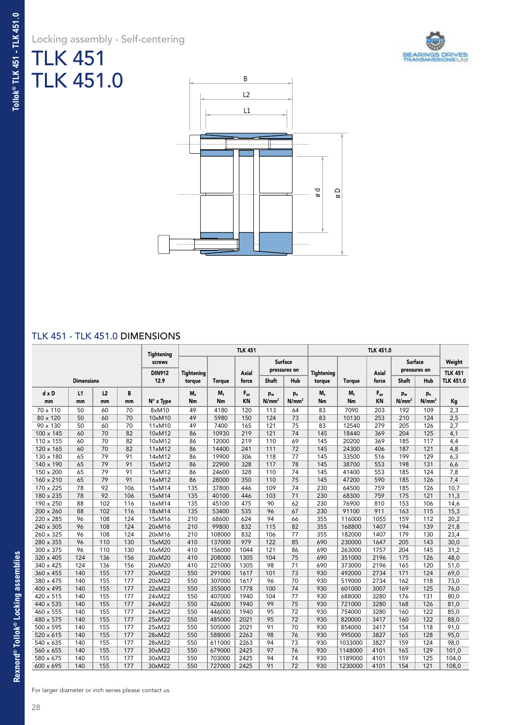## TLK 451 TLK 451.0





#### TLK 451 - TLK 451.0 DIMENSIONS

|           |                   |     |     | Tightening            | <b>TLK 451</b>              |               |                |                   |                         |                             |               |                |                   |                   |                                    |
|-----------|-------------------|-----|-----|-----------------------|-----------------------------|---------------|----------------|-------------------|-------------------------|-----------------------------|---------------|----------------|-------------------|-------------------|------------------------------------|
|           |                   |     |     | screws                |                             |               |                |                   | Surface<br>pressures on |                             |               |                | <b>Surface</b>    | pressures on      | Weight                             |
|           | <b>Dimensions</b> |     |     | <b>DIN912</b><br>12.9 | <b>Tightening</b><br>torque | <b>Torque</b> | Axial<br>force | <b>Shaft</b>      | Hub                     | <b>Tightening</b><br>torque | <b>Torque</b> | Axial<br>force | Shaft             | Hub               | <b>TLK 451</b><br><b>TLK 451.0</b> |
| d x D     | L1                | L2  | В   |                       | $M_s$                       | $M_t$         | $F_{ax}$       | pw                | p <sub>n</sub>          | $M_s$                       | $M_t$         | $F_{ax}$       | pw                | p <sub>n</sub>    |                                    |
| mm        | mm                | mm  | mm  | N° x Type             | Nm                          | Nm            | KN             | N/mm <sup>2</sup> | N/mm <sup>2</sup>       | Nm                          | Nm            | <b>KN</b>      | N/mm <sup>2</sup> | N/mm <sup>2</sup> | Kg                                 |
| 70 x 110  | 50                | 60  | 70  | 8xM10                 | 49                          | 4180          | 120            | 113               | 64                      | 83                          | 7090          | 203            | 192               | 109               | 2,3                                |
| 80 x 120  | 50                | 60  | 70  | 10xM10                | 49                          | 5980          | 150            | 124               | 73                      | 83                          | 10130         | 253            | 210               | 124               | 2,5                                |
| 90 x 130  | 50                | 60  | 70  | 11xM10                | 49                          | 7400          | 165            | 121               | 75                      | 83                          | 12540         | 279            | 205               | 126               | 2,7                                |
| 100 x 145 | 60                | 70  | 82  | 10xM12                | 86                          | 10930         | 219            | 121               | 74                      | 145                         | 18440         | 369            | 204               | 125               | 4,1                                |
| 110 x 155 | 60                | 70  | 82  | 10xM12                | 86                          | 12000         | 219            | 110               | 69                      | 145                         | 20200         | 369            | 185               | 117               | 4,4                                |
| 120 x 165 | 60                | 70  | 82  | 11xM12                | 86                          | 14400         | 241            | 111               | 72                      | 145                         | 24300         | 406            | 187               | 121               | 4,8                                |
| 130 x 180 | 65                | 79  | 91  | 14xM12                | 86                          | 19900         | 306            | 118               | 77                      | 145                         | 33500         | 516            | 199               | 129               | 6,3                                |
| 140 x 190 | 65                | 79  | 91  | 15xM12                | 86                          | 22900         | 328            | 117               | 78                      | 145                         | 38700         | 553            | 198               | 131               | 6,6                                |
| 150 x 200 | 65                | 79  | 91  | 15xM12                | 86                          | 24600         | 328            | 110               | 74                      | 145                         | 41400         | 553            | 185               | 124               | 7,8                                |
| 160 x 210 | 65                | 79  | 91  | 16xM12                | 86                          | 28000         | 350            | 110               | 75                      | 145                         | 47200         | 590            | 185               | 126               | 7,4                                |
| 170 x 225 | 78                | 92  | 106 | 15xM14                | 135                         | 37800         | 446            | 109               | 74                      | 230                         | 64500         | 759            | 185               | 126               | 10,7                               |
| 180 x 235 | 78                | 92  | 106 | 15xM14                | 135                         | 40100         | 446            | 103               | 71                      | 230                         | 68300         | 759            | 175               | 121               | 11,3                               |
| 190 x 250 | 88                | 102 | 116 | 16xM14                | 135                         | 45100         | 475            | 90                | 62                      | 230                         | 76900         | 810            | 153               | 106               | 14,6                               |
| 200 x 260 | 88                | 102 | 116 | 18xM14                | 135                         | 53400         | 535            | 96                | 67                      | 230                         | 91100         | 911            | 163               | 115               | 15,3                               |
| 220 x 285 | 96                | 108 | 124 | 15xM16                | 210                         | 68600         | 624            | 94                | 66                      | 355                         | 116000        | 1055           | 159               | 112               | 20,2                               |
| 240 x 305 | 96                | 108 | 124 | 20xM16                | 210                         | 99800         | 832            | 115               | 82                      | 355                         | 168800        | 1407           | 194               | 139               | 21,8                               |
| 260 x 325 | 96                | 108 | 124 | 20xM16                | 210                         | 108000        | 832            | 106               | 77                      | 355                         | 182000        | 1407           | 179               | 130               | 23,4                               |
| 280 x 355 | 96                | 110 | 130 | 15xM20                | 410                         | 137000        | 979            | 122               | 85                      | 690                         | 230000        | 1647           | 205               | 143               | 30,0                               |
| 300 x 375 | 96                | 110 | 130 | 16xM20                | 410                         | 156000        | 1044           | 121               | 86                      | 690                         | 263000        | 1757           | 204               | 145               | 31,2                               |
| 320 x 405 | 124               | 136 | 156 | 20xM20                | 410                         | 208000        | 1305           | 104               | 75                      | 690                         | 351000        | 2196           | 175               | 126               | 48,0                               |
| 340 x 425 | 124               | 136 | 156 | 20xM20                | 410                         | 221000        | 1305           | 98                | 71                      | 690                         | 373000        | 2196           | 165               | 120               | 51,0                               |
| 360 x 455 | 140               | 155 | 177 | 20xM22                | 550                         | 291000        | 1617           | 101               | 73                      | 930                         | 492000        | 2734           | 171               | 124               | 69,0                               |
| 380 x 475 | 140               | 155 | 177 | 20xM22                | 550                         | 307000        | 1617           | 96                | 70                      | 930                         | 519000        | 2734           | 162               | 118               | 73,0                               |
| 400 x 495 | 140               | 155 | 177 | 22xM22                | 550                         | 355000        | 1778           | 100               | 74                      | 930                         | 601000        | 3007           | 169               | 125               | 76,0                               |
| 420 x 515 | 140               | 155 | 177 | 24xM22                | 550                         | 407000        | 1940           | 104               | 77                      | 930                         | 688000        | 3280           | 176               | 131               | 80,0                               |
| 440 x 535 | 140               | 155 | 177 | 24xM22                | 550                         | 426000        | 1940           | 99                | 75                      | 930                         | 721000        | 3280           | 168               | 126               | 81,0                               |
| 460 x 555 | 140               | 155 | 177 | 24xM22                | 550                         | 446000        | 1940           | 95                | 72                      | 930                         | 754000        | 3280           | 160               | 122               | 85,0                               |
| 480 x 575 | 140               | 155 | 177 | 25xM22                | 550                         | 485000        | 2021           | 95                | 72                      | 930                         | 820000        | 3417           | 160               | 122               | 88,0                               |
| 500 x 595 | 140               | 155 | 177 | 25xM22                | 550                         | 505000        | 2021           | 91                | 70                      | 930                         | 854000        | 3417           | 154               | 118               | 91,0                               |
| 520 x 615 | 140               | 155 | 177 | 28xM22                | 550                         | 588000        | 2263           | 98                | 76                      | 930                         | 995000        | 3827           | 165               | 128               | 95,0                               |
| 540 x 635 | 140               | 155 | 177 | 28xM22                | 550                         | 611000        | 2263           | 94                | 73                      | 930                         | 1033000       | 3827           | 159               | 124               | 98,0                               |
| 560 x 655 | 140               | 155 | 177 | 30xM22                | 550                         | 679000        | 2425           | 97                | 76                      | 930                         | 1148000       | 4101           | 165               | 129               | 101,0                              |
| 580 x 675 | 140               | 155 | 177 | 30xM22                | 550                         | 703000        | 2425           | 94                | 74                      | 930                         | 1189000       | 4101           | 159               | 125               | 104,0                              |
| 600 x 695 | 140               | 155 | 177 | 30xM22                | 550                         | 727000        | 2425           | 91                | 72                      | 930                         | 1230000       | 4101           | 154               | 121               | 108,0                              |

For larger diameter or inch series please contact us.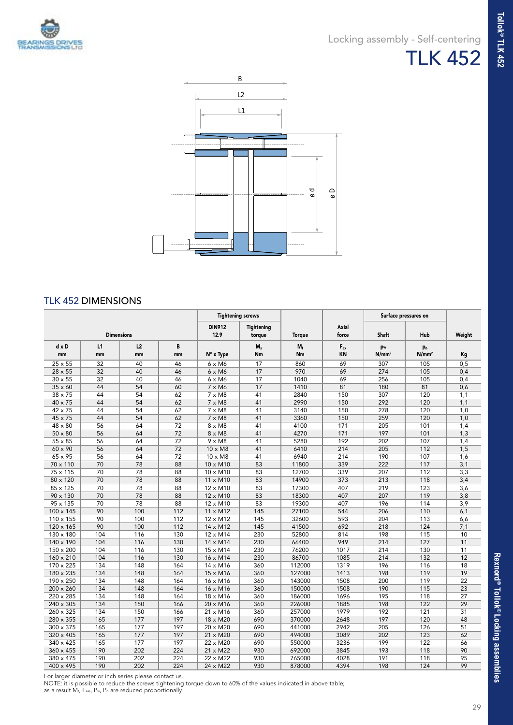

**Tollok® TLK 452**

**Tollok<sup>®</sup> TLK 452** 



#### TLK 452 DIMENSIONS

|                 |                   |     | <b>Tightening screws</b> |                       |                      |               |                       | Surface pressures on |                   |        |
|-----------------|-------------------|-----|--------------------------|-----------------------|----------------------|---------------|-----------------------|----------------------|-------------------|--------|
|                 | <b>Dimensions</b> |     |                          | <b>DIN912</b><br>12.9 | Tightening<br>torque | <b>Torque</b> | <b>Axial</b><br>force | <b>Shaft</b>         | Hub               | Weight |
| $d \times D$    | L1                | L2  | B                        |                       | $M_s$                | $M_t$         | $F_{ax}$              | pw                   | p <sub>n</sub>    |        |
| mm              | mm                | mm  | mm                       | $N^\circ$ x Type      | Nm                   | Nm            | <b>KN</b>             | N/mm <sup>2</sup>    | N/mm <sup>2</sup> | Kg     |
| 25 x 55         | 32                | 40  | 46                       | $6 \times M6$         | 17                   | 860           | 69                    | 307                  | 105               | 0,5    |
| 28 x 55         | 32                | 40  | 46                       | $6 \times M6$         | 17                   | 970           | 69                    | 274                  | 105               | 0,4    |
| $30 \times 55$  | 32                | 40  | 46                       | $6 \times M6$         | 17                   | 1040          | 69                    | 256                  | 105               | 0,4    |
| $35 \times 60$  | 44                | 54  | 60                       | 7 x M6                | 17                   | 1410          | 81                    | 180                  | 81                | 0,6    |
| $38 \times 75$  | 44                | 54  | 62                       | $7 \times M8$         | 41                   | 2840          | 150                   | 307                  | 120               | 1,1    |
| 40 x 75         | 44                | 54  | 62                       | $7 \times M8$         | 41                   | 2990          | 150                   | 292                  | 120               | 1,1    |
| 42 x 75         | 44                | 54  | 62                       | $7 \times M8$         | 41                   | 3140          | 150                   | 278                  | 120               | 1,0    |
| 45 x 75         | 44                | 54  | 62                       | $7 \times M8$         | 41                   | 3360          | 150                   | 259                  | 120               | 1,0    |
| 48 x 80         | 56                | 64  | 72                       | $8 \times M8$         | 41                   | 4100          | 171                   | 205                  | 101               | 1,4    |
| $50 \times 80$  | 56                | 64  | 72                       | $8 \times M8$         | 41                   | 4270          | 171                   | 197                  | 101               | 1,3    |
| 55 x 85         | 56                | 64  | 72                       | $9 \times M8$         | 41                   | 5280          | 192                   | 202                  | 107               | 1,4    |
| 60 x 90         | 56                | 64  | 72                       | 10 x M8               | 41                   | 6410          | 214                   | 205                  | 112               | 1,5    |
| 65 x 95         | 56                | 64  | 72                       | $10 \times M8$        | 41                   | 6940          | 214                   | 190                  | 107               | 1,6    |
| 70 x 110        | 70                | 78  | 88                       | 10 x M10              | 83                   | 11800         | 339                   | 222                  | 117               | 3,1    |
| 75 x 115        | 70                | 78  | 88                       | $10 \times M10$       | 83                   | 12700         | 339                   | 207                  | 112               | 3,3    |
| 80 x 120        | 70                | 78  | 88                       | 11 x M10              | 83                   | 14900         | 373                   | 213                  | 118               | 3,4    |
| 85 x 125        | 70                | 78  | 88                       | 12 x M10              | 83                   | 17300         | 407                   | 219                  | 123               | 3,6    |
| $90 \times 130$ | 70                | 78  | 88                       | 12 x M10              | 83                   | 18300         | 407                   | 207                  | 119               | 3,8    |
| 95 x 135        | 70                | 78  | 88                       | 12 x M10              | 83                   | 19300         | 407                   | 196                  | 114               | 3,9    |
| 100 x 145       | 90                | 100 | 112                      | $11 \times M12$       | 145                  | 27100         | 544                   | 206                  | 110               | 6,1    |
| 110 x 155       | 90                | 100 | 112                      | 12 x M12              | 145                  | 32600         | 593                   | 204                  | 113               | 6,6    |
| 120 x 165       | 90                | 100 | 112                      | 14 x M12              | 145                  | 41500         | 692                   | 218                  | 124               | 7,1    |
| 130 x 180       | 104               | 116 | 130                      | $12 \times M14$       | 230                  | 52800         | 814                   | 198                  | 115               | 10     |
| 140 x 190       | 104               | 116 | 130                      | 14 x M14              | 230                  | 66400         | 949                   | 214                  | 127               | 11     |
| 150 x 200       | 104               | 116 | 130                      | 15 x M14              | 230                  | 76200         | 1017                  | 214                  | 130               | 11     |
| 160 x 210       | 104               | 116 | 130                      | 16 x M14              | 230                  | 86700         | 1085                  | 214                  | 132               | 12     |
| 170 x 225       | 134               | 148 | 164                      | 14 x M16              | 360                  | 112000        | 1319                  | 196                  | 116               | 18     |
| 180 x 235       | 134               | 148 | 164                      | 15 x M16              | 360                  | 127000        | 1413                  | 198                  | 119               | 19     |
| 190 x 250       | 134               | 148 | 164                      | 16 x M16              | 360                  | 143000        | 1508                  | 200                  | 119               | 22     |
| 200 x 260       | 134               | 148 | 164                      | 16 x M16              | 360                  | 150000        | 1508                  | 190                  | 115               | 23     |
| 220 x 285       | 134               | 148 | 164                      | 18 x M16              | 360                  | 186000        | 1696                  | 195                  | 118               | 27     |
| 240 x 305       | 134               | 150 | 166                      | $20 \times M16$       | 360                  | 226000        | 1885                  | 198                  | 122               | 29     |
| 260 x 325       | 134               | 150 | 166                      | 21 x M16              | 360                  | 257000        | 1979                  | 192                  | 121               | 31     |
| 280 x 355       | 165               | 177 | 197                      | 18 x M20              | 690                  | 370000        | 2648                  | 197                  | 120               | 48     |
| 300 x 375       | 165               | 177 | 197                      | 20 x M20              | 690                  | 441000        | 2942                  | 205                  | 126               | 51     |
| 320 x 405       | 165               | 177 | 197                      | 21 x M20              | 690                  | 494000        | 3089                  | 202                  | 123               | 62     |
| 340 x 425       | 165               | 177 | 197                      | 22 x M20              | 690                  | 550000        | 3236                  | 199                  | 122               | 66     |
| 360 x 455       | 190               | 202 | 224                      | 21 x M22              | 930                  | 692000        | 3845                  | 193                  | 118               | 90     |
| 380 x 475       | 190               | 202 | 224                      | 22 x M22              | 930                  | 765000        | 4028                  | 191                  | 118               | 95     |
| 400 x 495       | 190               | 202 | 224                      | 24 x M22              | 930                  | 878000        | 4394                  | 198                  | 124               | 99     |

For larger diameter or inch series please contact us.

NOTE: it is possible to reduce the screws tightening torque down to 60% of the values indicated in above table;<br>as a result M<sub>t</sub>, F<sub>ass,</sub> P<sub>w,</sub> P<sub>n</sub> are reduced proportionally.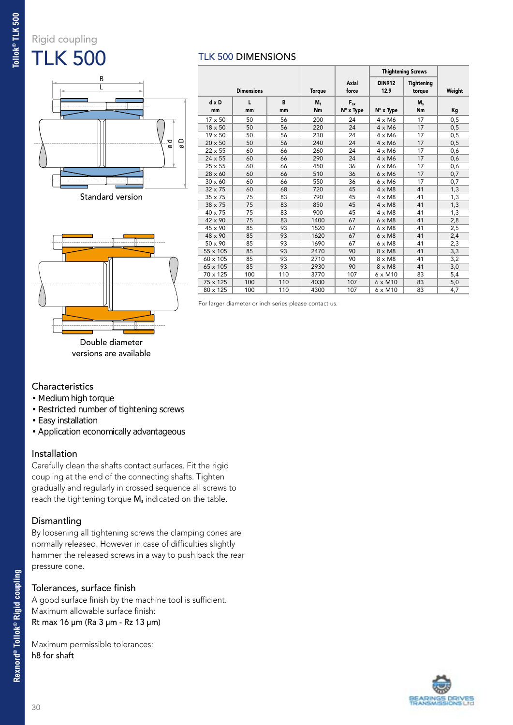### Rigid coupling TLK 500

## ø d ø D L B Standard version

|                    |                   |         |               |                       |                       | <b>Thightening Screws</b> |        |
|--------------------|-------------------|---------|---------------|-----------------------|-----------------------|---------------------------|--------|
|                    | <b>Dimensions</b> |         | <b>Torque</b> | Axial<br>force        | <b>DIN912</b><br>12.9 | Tightening<br>torque      | Weight |
| $d \times D$<br>mm | L<br>mm           | B<br>mm | $M_{+}$<br>Nm | $F_{ax}$<br>N° x Type | N° x Type             | $M_{s}$<br>Nm             | Kg     |
| 17 x 50            | 50                | 56      | 200           | 24                    | $4 \times M6$         | 17                        | 0,5    |
| $18 \times 50$     | 50                | 56      | 220           | 24                    | $4 \times M6$         | 17                        | 0,5    |
| 19 x 50            | 50                | 56      | 230           | 24                    | 4 x M6                | 17                        | 0,5    |
| 20 x 50            | 50                | 56      | 240           | 24                    | $4 \times M6$         | 17                        | 0,5    |
| $22 \times 55$     | 60                | 66      | 260           | 24                    | 4 x M6                | 17                        | 0,6    |
| $24 \times 55$     | 60                | 66      | 290           | 24                    | $4 \times M6$         | 17                        | 0,6    |
| $25 \times 55$     | 60                | 66      | 450           | 36                    | $6 \times M6$         | 17                        | 0,6    |
| $28 \times 60$     | 60                | 66      | 510           | 36                    | $6 \times M6$         | 17                        | 0,7    |
| $30 \times 60$     | 60                | 66      | 550           | 36                    | $6 \times M6$         | 17                        | 0,7    |
| 32 x 75            | 60                | 68      | 720           | 45                    | $4 \times M8$         | 41                        | 1,3    |
| $35 \times 75$     | 75                | 83      | 790           | 45                    | $4 \times M8$         | 41                        | 1,3    |
| 38 x 75            | 75                | 83      | 850           | 45                    | $4 \times M8$         | 41                        | 1,3    |
| $40 \times 75$     | 75                | 83      | 900           | 45                    | $4 \times M8$         | 41                        | 1,3    |
| $42 \times 90$     | 75                | 83      | 1400          | 67                    | $6 \times M8$         | 41                        | 2,8    |
| 45 x 90            | 85                | 93      | 1520          | 67                    | $6 \times M8$         | 41                        | 2,5    |
| 48 x 90            | 85                | 93      | 1620          | 67                    | $6 \times M8$         | 41                        | 2,4    |
| 50 x 90            | 85                | 93      | 1690          | 67                    | $6 \times M8$         | 41                        | 2,3    |
| 55 x 105           | 85                | 93      | 2470          | 90                    | $8 \times M8$         | 41                        | 3,3    |
| 60 x 105           | 85                | 93      | 2710          | 90                    | $8 \times M8$         | 41                        | 3,2    |
| 65 x 105           | 85                | 93      | 2930          | 90                    | $8 \times M8$         | 41                        | 3,0    |
| 70 x 125           | 100               | 110     | 3770          | 107                   | $6 \times M10$        | 83                        | 5,4    |
| 75 x 125           | 100               | 110     | 4030          | 107                   | 6 x M10               | 83                        | 5,0    |
| 80 x 125           | 100               | 110     | 4300          | 107                   | $6 \times M10$        | 83                        | 4,7    |

For larger diameter or inch series please contact us.

TLK 500 DIMENSIONS

## **Characteristics**

- Medium high torque
- Restricted number of tightening screws

Double diameter versions are available

- Easy installation
- Application economically advantageous

#### Installation

Carefully clean the shafts contact surfaces. Fit the rigid coupling at the end of the connecting shafts. Tighten gradually and regularly in crossed sequence all screws to reach the tightening torque M<sub>s</sub> indicated on the table.

#### Dismantling

By loosening all tightening screws the clamping cones are normally released. However in case of difficulties slightly hammer the released screws in a way to push back the rear pressure cone.

#### Tolerances, surface finish

A good surface finish by the machine tool is sufficient. Maximum allowable surface finish: Rt max 16 µm (Ra 3 µm - Rz 13 µm)

Maximum permissible tolerances: h8 for shaft

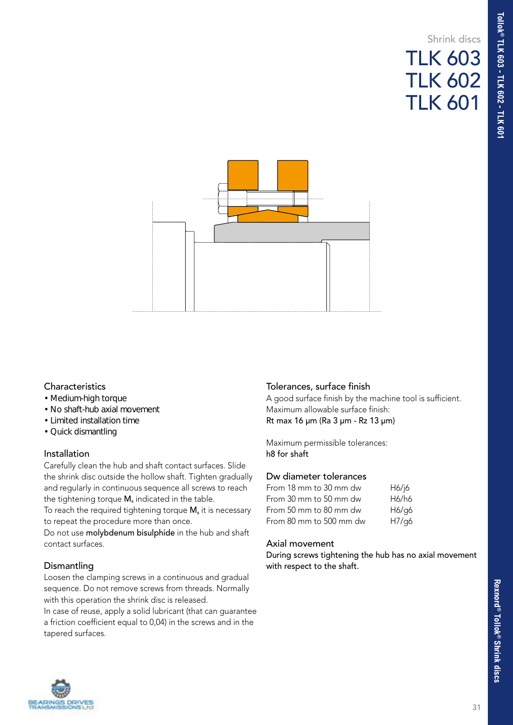## Shrink discs TLK 603 TLK 602 TLK 601



#### **Characteristics**

- Medium-high torque
- No shaft-hub axial movement
- Limited installation time
- Quick dismantling

#### Installation

Carefully clean the hub and shaft contact surfaces. Slide the shrink disc outside the hollow shaft. Tighten gradually and regularly in continuous sequence all screws to reach the tightening torque  $M_s$  indicated in the table.

To reach the required tightening torque  $M_s$  it is necessary to repeat the procedure more than once.

Do not use molybdenum bisulphide in the hub and shaft contact surfaces.

#### **Dismantling**

Loosen the clamping screws in a continuous and gradual sequence. Do not remove screws from threads. Normally with this operation the shrink disc is released.

In case of reuse, apply a solid lubricant (that can guarantee a friction coefficient equal to 0,04) in the screws and in the tapered surfaces.

#### Tolerances, surface finish

A good surface finish by the machine tool is sufficient. Maximum allowable surface finish: Rt max 16 µm (Ra 3 µm - Rz 13 µm)

Maximum permissible tolerances: h8 for shaft

#### Dw diameter tolerances

| From 18 mm to 30 mm dw  | H6/16 |
|-------------------------|-------|
| From 30 mm to 50 mm dw  | H6/h6 |
| From 50 mm to 80 mm dw  | H6/q6 |
| From 80 mm to 500 mm dw | H7/g6 |

#### Axial movement

During screws tightening the hub has no axial movement with respect to the shaft.

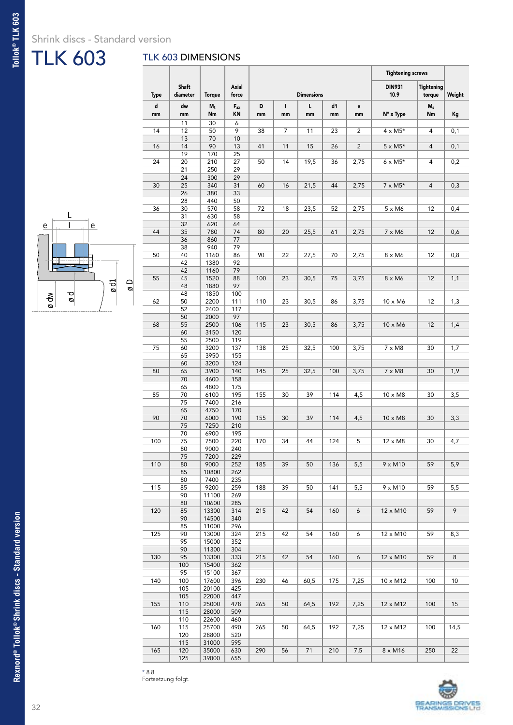### Shrink discs - Standard version

## TLK 603

**Tollok® TLK 603**

Tollok® TLK 603

#### TLK 603 DIMENSIONS



|      |                          |                |                                  |     |    |                   |          |                | <b>Tightening screws</b> |                      |        |
|------|--------------------------|----------------|----------------------------------|-----|----|-------------------|----------|----------------|--------------------------|----------------------|--------|
| Type | <b>Shaft</b><br>diameter | <b>Torque</b>  | Axial<br>force                   |     |    | <b>Dimensions</b> |          |                | <b>DIN931</b><br>10.9    | Tightening<br>torque | Weight |
| d    |                          |                |                                  | D   | L  | L                 |          |                |                          |                      |        |
| mm   | dw<br>mm                 | $M_t$<br>Nm    | $\mathsf{F}_{\mathsf{ax}}$<br>KN | mm  | mm | mm                | d1<br>mm | e<br>mm        | $N^\circ$ x Type         | $M_s$<br>Nm          | Kg     |
|      | 11                       | 30             | 6                                |     |    |                   |          |                |                          |                      |        |
| 14   | 12                       | 50             | 9                                | 38  | 7  | 11                | 23       | $\overline{2}$ | $4 \times M5*$           | 4                    | 0,1    |
| 16   | 13<br>14                 | 70<br>90       | 10<br>13                         | 41  | 11 | 15                | 26       | $\overline{2}$ | $5 \times M5*$           | 4                    | 0,1    |
|      | 19                       | 170            | 25                               |     |    |                   |          |                |                          |                      |        |
| 24   | 20                       | 210            | 27                               | 50  | 14 | 19,5              | 36       | 2,75           | $6 \times M5*$           | 4                    | 0,2    |
|      | 21                       | 250            | 29                               |     |    |                   |          |                |                          |                      |        |
| 30   | 24<br>25                 | 300<br>340     | 29<br>31                         | 60  | 16 | 21,5              | 44       | 2,75           | $7 \times M5*$           | 4                    | 0,3    |
|      | 26                       | 380            | 33                               |     |    |                   |          |                |                          |                      |        |
|      | 28                       | 440            | 50                               |     |    |                   |          |                |                          |                      |        |
| 36   | 30                       | 570            | 58                               | 72  | 18 | 23,5              | 52       | 2,75           | $5 \times M6$            | 12                   | 0,4    |
|      | 31<br>32                 | 630<br>620     | 58<br>64                         |     |    |                   |          |                |                          |                      |        |
| 44   | 35                       | 780            | 74                               | 80  | 20 | 25,5              | 61       | 2,75           | $7 \times M6$            | 12                   | 0,6    |
|      | 36                       | 860            | 77                               |     |    |                   |          |                |                          |                      |        |
|      | 38                       | 940            | 79                               |     |    |                   |          |                |                          |                      |        |
| 50   | 40<br>42                 | 1160<br>1380   | 86<br>92                         | 90  | 22 | 27,5              | 70       | 2,75           | 8 x M6                   | 12                   | 0,8    |
|      | 42                       | 1160           | 79                               |     |    |                   |          |                |                          |                      |        |
| 55   | 45                       | 1520           | 88                               | 100 | 23 | 30,5              | 75       | 3,75           | $8 \times M6$            | 12                   | 1,1    |
|      | 48                       | 1880           | 97                               |     |    |                   |          |                |                          |                      |        |
|      | 48                       | 1850           | 100                              |     |    |                   |          |                |                          |                      |        |
| 62   | 50<br>52                 | 2200<br>2400   | 111<br>117                       | 110 | 23 | 30,5              | 86       | 3,75           | $10 \times M6$           | 12                   | 1,3    |
|      | 50                       | 2000           | 97                               |     |    |                   |          |                |                          |                      |        |
| 68   | 55                       | 2500           | 106                              | 115 | 23 | 30,5              | 86       | 3,75           | $10 \times M6$           | 12                   | 1,4    |
|      | 60                       | 3150           | 120                              |     |    |                   |          |                |                          |                      |        |
| 75   | 55<br>60                 | 2500<br>3200   | 119<br>137                       | 138 | 25 | 32,5              | 100      | 3,75           | $7 \times M8$            | 30                   | 1,7    |
|      | 65                       | 3950           | 155                              |     |    |                   |          |                |                          |                      |        |
|      | 60                       | 3200           | 124                              |     |    |                   |          |                |                          |                      |        |
| 80   | 65                       | 3900           | 140                              | 145 | 25 | 32,5              | 100      | 3,75           | $7 \times M8$            | 30                   | 1,9    |
|      | 70<br>65                 | 4600<br>4800   | 158<br>175                       |     |    |                   |          |                |                          |                      |        |
| 85   | 70                       | 6100           | 195                              | 155 | 30 | 39                | 114      | 4,5            | 10 x M8                  | 30                   | 3,5    |
|      | 75                       | 7400           | 216                              |     |    |                   |          |                |                          |                      |        |
|      | 65                       | 4750           | 170                              |     |    |                   |          |                |                          |                      |        |
| 90   | 70<br>75                 | 6000<br>7250   | 190<br>210                       | 155 | 30 | 39                | 114      | 4,5            | $10 \times M8$           | 30                   | 3,3    |
|      | 70                       | 6900           | 195                              |     |    |                   |          |                |                          |                      |        |
| 100  | 75                       | 7500           | 220                              | 170 | 34 | 44                | 124      | 5              | $12 \times M8$           | 30                   | 4,7    |
|      | 80                       | 9000           | 240                              |     |    |                   |          |                |                          |                      |        |
| 110  | 75<br>80                 | 7200<br>9000   | 229<br>252                       | 185 | 39 | 50                | 136      | 5,5            | $9 \times M10$           | 59                   | 5,9    |
|      | 85                       | 10800          | 262                              |     |    |                   |          |                |                          |                      |        |
|      | 80                       | 7400           | 235                              |     |    |                   |          |                |                          |                      |        |
| 115  | 85                       | 9200           | 259                              | 188 | 39 | 50                | 141      | 5,5            | 9 x M10                  | 59                   | 5,5    |
|      | 90<br>80                 | 11100<br>10600 | 269<br>285                       |     |    |                   |          |                |                          |                      |        |
| 120  | 85                       | 13300          | 314                              | 215 | 42 | 54                | 160      | 6              | 12 x M10                 | 59                   | 9      |
|      | 90                       | 14500          | 340                              |     |    |                   |          |                |                          |                      |        |
|      | 85                       | 11000          | 296                              |     |    |                   |          |                |                          |                      |        |
| 125  | 90<br>95                 | 13000<br>15000 | 324<br>352                       | 215 | 42 | 54                | 160      | 6              | 12 x M10                 | 59                   | 8,3    |
|      | 90                       | 11300          | 304                              |     |    |                   |          |                |                          |                      |        |
| 130  | 95                       | 13300          | 333                              | 215 | 42 | 54                | 160      | 6              | 12 x M10                 | 59                   | 8      |
|      | 100                      | 15400          | 362                              |     |    |                   |          |                |                          |                      |        |
| 140  | 95<br>100                | 15100<br>17600 | 367<br>396                       | 230 | 46 | 60,5              | 175      | 7,25           | 10 x M12                 | 100                  | 10     |
|      | 105                      | 20100          | 425                              |     |    |                   |          |                |                          |                      |        |
|      | 105                      | 22000          | 447                              |     |    |                   |          |                |                          |                      | 15     |
| 155  | 110                      | 25000          | 478                              | 265 | 50 | 64,5              | 192      | 7,25           | $12 \times M12$          | 100                  |        |
|      | 115<br>110               | 28000<br>22600 | 509<br>460                       |     |    |                   |          |                |                          |                      |        |
| 160  | 115                      | 25700          | 490                              | 265 | 50 | 64,5              | 192      | 7,25           | 12 x M12                 | 100                  | 14,5   |
|      | 120                      | 28800          | 520                              |     |    |                   |          |                |                          |                      |        |
|      | 115                      | 31000          | 595                              |     |    |                   |          |                |                          |                      |        |
| 165  | 120<br>125               | 35000<br>39000 | 630<br>655                       | 290 | 56 | 71                | 210      | 7,5            | 8 x M16                  | 250                  | 22     |
|      |                          |                |                                  |     |    |                   |          |                |                          |                      |        |



\* 8.8.

Fortsetzung folgt.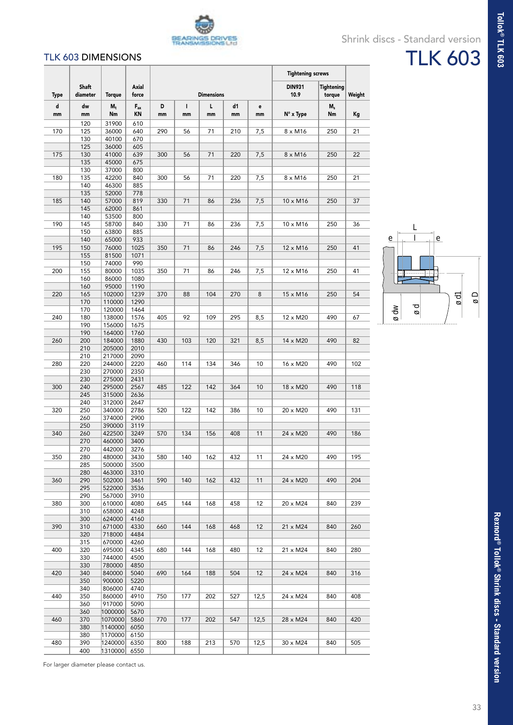

#### TLK 603 DIMENSIONS

|         |                          |                     |                |         |                    |                   |          |         | <b>Tightening screws</b> |                             |        |
|---------|--------------------------|---------------------|----------------|---------|--------------------|-------------------|----------|---------|--------------------------|-----------------------------|--------|
| Type    | <b>Shaft</b><br>diameter | <b>Torque</b>       | Axial<br>force |         |                    | <b>Dimensions</b> |          |         | <b>DIN931</b><br>10.9    | <b>Tightening</b><br>torque | Weight |
| d<br>mm | dw<br>mm                 | $M_t$<br>Nm         | $F_{ax}$<br>ΚN | D<br>mm | $\mathbf{I}$<br>mm | L<br>mm           | d1<br>mm | e<br>mm | N° x Type                | $M_s$<br>Nm                 | Kg     |
|         | 120                      | 31900               | 610            |         |                    |                   |          |         |                          |                             |        |
| 170     | 125<br>130               | 36000<br>40100      | 640<br>670     | 290     | 56                 | 71                | 210      | 7,5     | $8 \times M16$           | 250                         | 21     |
|         | 125                      | 36000               | 605            |         |                    |                   |          |         |                          |                             |        |
| 175     | 130                      | 41000               | 639            | 300     | 56                 | 71                | 220      | 7,5     | $8 \times M16$           | 250                         | 22     |
|         | 135                      | 45000               | 675            |         |                    |                   |          |         |                          |                             |        |
|         | 130                      | 37000               | 800            |         |                    |                   |          |         |                          |                             |        |
| 180     | 135<br>140               | 42200<br>46300      | 840<br>885     | 300     | 56                 | 71                | 220      | 7,5     | $8 \times M16$           | 250                         | 21     |
|         | 135                      | 52000               | 778            |         |                    |                   |          |         |                          |                             |        |
| 185     | 140                      | 57000               | 819            | 330     | 71                 | 86                | 236      | 7,5     | 10 x M16                 | 250                         | 37     |
|         | 145                      | 62000               | 861            |         |                    |                   |          |         |                          |                             |        |
| 190     | 140<br>145               | 53500<br>58700      | 800<br>840     | 330     | 71                 | 86                | 236      | 7,5     | 10 x M16                 | 250                         | 36     |
|         | 150                      | 63800               | 885            |         |                    |                   |          |         |                          |                             |        |
|         | 140                      | 65000               | 933            |         |                    |                   |          |         |                          |                             |        |
| 195     | 150<br>155               | 76000<br>81500      | 1025<br>1071   | 350     | 71                 | 86                | 246      | 7,5     | 12 x M16                 | 250                         | 41     |
|         | 150                      | 74000               | 990            |         |                    |                   |          |         |                          |                             |        |
| 200     | 155                      | 80000               | 1035           | 350     | 71                 | 86                | 246      | 7,5     | 12 x M16                 | 250                         | 41     |
|         | 160                      | 86000               | 1080           |         |                    |                   |          |         |                          |                             |        |
| 220     | 160<br>165               | 95000<br>102000     | 1190<br>1239   | 370     | 88                 | 104               | 270      | 8       | 15 x M16                 | 250                         | 54     |
|         | 170                      | 110000              | 1290           |         |                    |                   |          |         |                          |                             |        |
|         | 170                      | 120000              | 1464           |         |                    |                   |          |         |                          |                             |        |
| 240     | 180                      | 138000              | 1576           | 405     | 92                 | 109               | 295      | 8,5     | 12 x M20                 | 490                         | 67     |
|         | 190<br>190               | 156000<br>164000    | 1675<br>1760   |         |                    |                   |          |         |                          |                             |        |
| 260     | 200                      | 184000              | 1880           | 430     | 103                | 120               | 321      | 8,5     | 14 x M20                 | 490                         | 82     |
|         | 210                      | 205000              | 2010           |         |                    |                   |          |         |                          |                             |        |
|         | 210                      | 217000              | 2090           |         |                    |                   |          |         |                          |                             |        |
| 280     | 220<br>230               | 244000<br>270000    | 2220<br>2350   | 460     | 114                | 134               | 346      | 10      | 16 x M20                 | 490                         | 102    |
|         | 230                      | 275000              | 2431           |         |                    |                   |          |         |                          |                             |        |
| 300     | 240                      | 295000              | 2567           | 485     | 122                | 142               | 364      | 10      | 18 x M20                 | 490                         | 118    |
|         | 245<br>240               | 315000<br>312000    | 2636<br>2647   |         |                    |                   |          |         |                          |                             |        |
| 320     | 250                      | 340000              | 2786           | 520     | 122                | 142               | 386      | 10      | 20 x M20                 | 490                         | 131    |
|         | 260                      | 374000              | 2900           |         |                    |                   |          |         |                          |                             |        |
|         | 250                      | 390000              | 3119           |         |                    |                   |          |         |                          |                             |        |
| 340     | 260<br>270               | 422500<br>460000    | 3249<br>3400   | 570     | 134                | 156               | 408      | 11      | 24 x M20                 | 490                         | 186    |
|         | 270                      | 442000              | 3276           |         |                    |                   |          |         |                          |                             |        |
| 350     | 280                      | 480000              | 3430           | 580     | 140                | 162               | 432      | 11      | 24 x M20                 | 490                         | 195    |
|         | 285                      | 500000              | 3500           |         |                    |                   |          |         |                          |                             |        |
| 360     | 280<br>290               | 463000<br>502000    | 3310<br>3461   | 590     | 140                | 162               | 432      | 11      | 24 x M20                 | 490                         | 204    |
|         | 295                      | 522000              | 3536           |         |                    |                   |          |         |                          |                             |        |
|         | 290                      | 567000              | 3910           |         |                    |                   |          |         |                          |                             |        |
| 380     | 300<br>310               | 610000<br>658000    | 4080<br>4248   | 645     | 144                | 168               | 458      | 12      | 20 x M24                 | 840                         | 239    |
|         | 300                      | 624000              | 4160           |         |                    |                   |          |         |                          |                             |        |
| 390     | 310                      | 671000              | 4330           | 660     | 144                | 168               | 468      | 12      | 21 x M24                 | 840                         | 260    |
|         | 320                      | 718000<br>670000    | 4484           |         |                    |                   |          |         |                          |                             |        |
| 400     | 315<br>320               | 695000              | 4260<br>4345   | 680     | 144                | 168               | 480      | 12      | 21 x M24                 | 840                         | 280    |
|         | 330                      | 744000              | 4500           |         |                    |                   |          |         |                          |                             |        |
|         | 330                      | 780000              | 4850           |         |                    |                   |          |         |                          |                             |        |
| 420     | 340<br>350               | 840000<br>900000    | 5040<br>5220   | 690     | 164                | 188               | 504      | 12      | 24 x M24                 | 840                         | 316    |
|         | 340                      | 806000              | 4740           |         |                    |                   |          |         |                          |                             |        |
| 440     | 350                      | 860000              | 4910           | 750     | 177                | 202               | 527      | 12,5    | 24 x M24                 | 840                         | 408    |
|         | 360<br>360               | 917000<br>1000000   | 5090<br>5670   |         |                    |                   |          |         |                          |                             |        |
| 460     | 370                      | 1070000             | 5860           | 770     | 177                | 202               | 547      | 12,5    | 28 x M24<br>840          |                             | 420    |
|         | 380                      | 1140000             | 6050           |         |                    |                   |          |         |                          |                             |        |
|         | 380                      | 1170000             | 6150           |         |                    |                   |          |         |                          |                             |        |
| 480     | 390<br>400               | 1240000<br> 1310000 | 6350<br>6550   | 800     | 188                | 213               | 570      | 12,5    | 30 x M24                 | 840                         | 505    |
|         |                          |                     |                |         |                    |                   |          |         |                          |                             |        |



Tollok<sup>®</sup> TLK 603

For larger diameter please contact us.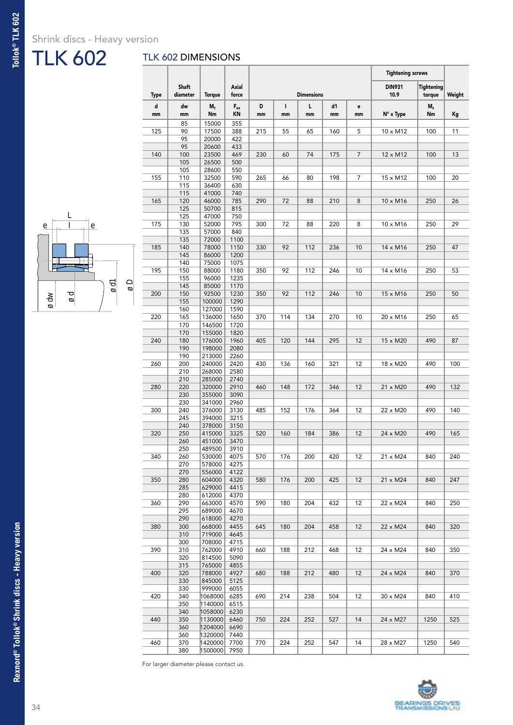### Shrink discs - Heavy version

## TLK 602

## TLK 602 DIMENSIONS

т



|         |                          |                    |                       |         |         |                   |          |                | <b>Tightening screws</b> |                                 |        |  |
|---------|--------------------------|--------------------|-----------------------|---------|---------|-------------------|----------|----------------|--------------------------|---------------------------------|--------|--|
| Type    | <b>Shaft</b><br>diameter | <b>Torque</b>      | <b>Axial</b><br>force |         |         | <b>Dimensions</b> |          |                | <b>DIN931</b><br>10.9    | Tightening<br>torque            | Weight |  |
| d<br>mm | dw<br>mm                 | $M_t$<br>Nm        | $F_{ax}$<br>KN        | D<br>mm | L<br>mm | г<br>mm           | d1<br>mm | е<br>mm        | N° x Type                | $\mathsf{M}_{\mathsf{s}}$<br>Nm | Кg     |  |
|         | 85                       | 15000              | 355                   |         |         |                   |          |                |                          |                                 |        |  |
| 125     | 90                       | 17500              | 388                   | 215     | 55      | 65                | 160      | 5              | 10 x M12                 | 100                             | 11     |  |
|         | 95                       | 20000              | 422                   |         |         |                   |          |                |                          |                                 |        |  |
|         | 95                       | 20600              | 433                   |         |         |                   |          |                |                          |                                 |        |  |
| 140     | 100                      | 23500              | 469                   | 230     | 60      | 74                | 175      | $\overline{7}$ | 12 x M12                 | 100                             | 13     |  |
|         | 105<br>105               | 26500<br>28600     | 500<br>550            |         |         |                   |          |                |                          |                                 |        |  |
| 155     | 110                      | 32500              | 590                   | 265     | 66      | 80                | 198      | 7              | 15 x M12                 | 100                             | 20     |  |
|         | 115                      | 36400              | 630                   |         |         |                   |          |                |                          |                                 |        |  |
|         | 115                      | 41000              | 740                   |         |         |                   |          |                |                          |                                 |        |  |
| 165     | 120                      | 46000              | 785                   | 290     | 72      | 88                | 210      | 8              | 10 x M16                 | 250                             | 26     |  |
|         | 125                      | 50700              | 815                   |         |         |                   |          |                |                          |                                 |        |  |
|         | 125                      | 47000              | 750                   |         |         |                   |          |                |                          |                                 |        |  |
| 175     | 130                      | 52000              | 795                   | 300     | 72      | 88                | 220      | 8              | 10 x M16                 | 250                             | 29     |  |
|         | 135<br>135               | 57000<br>72000     | 840<br>1100           |         |         |                   |          |                |                          |                                 |        |  |
| 185     | 140                      | 78000              | 1150                  | 330     | 92      | 112               | 236      | 10             | 14 x M16                 | 250                             | 47     |  |
|         | 145                      | 86000              | 1200                  |         |         |                   |          |                |                          |                                 |        |  |
|         | 140                      | 75000              | 1075                  |         |         |                   |          |                |                          |                                 |        |  |
| 195     | 150                      | 88000              | 1180                  | 350     | 92      | 112               | 246      | 10             | 14 x M16                 | 250                             | 53     |  |
|         | 155                      | 96000              | 1235                  |         |         |                   |          |                |                          |                                 |        |  |
|         | 145                      | 85000              | 1170                  |         |         |                   |          |                |                          |                                 |        |  |
| 200     | 150                      | 92500              | 1230                  | 350     | 92      | 112               | 246      | 10             | 15 x M16                 | 250                             | 50     |  |
|         | 155                      | 100000             | 1290                  |         |         |                   |          |                |                          |                                 |        |  |
|         | 160                      | 127000<br>136000   | 1590<br>1650          |         | 114     | 134               |          | 10             |                          |                                 | 65     |  |
| 220     | 165<br>170               | 146500             | 1720                  | 370     |         |                   | 270      |                | 20 x M16                 | 250                             |        |  |
|         | 170                      | 155000             | 1820                  |         |         |                   |          |                |                          |                                 |        |  |
| 240     | 180                      | 176000             | 1960                  | 405     | 120     | 144               | 295      | 12             | 15 x M20                 | 490                             | 87     |  |
|         | 190                      | 198000             | 2080                  |         |         |                   |          |                |                          |                                 |        |  |
|         | 190                      | 213000             | 2260                  |         |         |                   |          |                |                          |                                 |        |  |
| 260     | 200                      | 240000             | 2420                  | 430     | 136     | 160               | 321      | 12             | 18 x M20                 | 490                             | 100    |  |
|         | 210                      | 268000             | 2580                  |         |         |                   |          |                |                          |                                 |        |  |
|         | 210                      | 285000             | 2740                  |         |         |                   |          |                |                          |                                 |        |  |
| 280     | 220<br>230               | 320000<br>355000   | 2910<br>3090          | 460     | 148     | 172               | 346      | 12             | 21 x M20                 | 490                             | 132    |  |
|         | 230                      | 341000             | 2960                  |         |         |                   |          |                |                          |                                 |        |  |
| 300     | 240                      | 376000             | 3130                  | 485     | 152     | 176               | 364      | 12             | 22 x M20                 | 490                             | 140    |  |
|         | 245                      | 394000             | 3215                  |         |         |                   |          |                |                          |                                 |        |  |
|         | 240                      | 378000             | 3150                  |         |         |                   |          |                |                          |                                 |        |  |
| 320     | 250                      | 415000             | 3325                  | 520     | 160     | 184               | 386      | 12             | 24 x M20                 | 490                             | 165    |  |
|         | 260                      | 451000             | 3470                  |         |         |                   |          |                |                          |                                 |        |  |
|         | 250                      | 489500             | 3910                  |         |         |                   |          |                |                          |                                 |        |  |
| 340     | 260                      | 530000             | 4075                  | 570     | 176     | 200               | 420      | 12             | 21 x M24                 | 840                             | 240    |  |
|         | 270<br>270               | 578000<br>556000   | 4275<br>4122          |         |         |                   |          |                |                          |                                 |        |  |
| 350     | 280                      | 604000             | 4320                  | 580     | 176     | 200               | 425      | 12             | 21 x M24                 | 840                             | 247    |  |
|         | 285                      | 629000             | 4415                  |         |         |                   |          |                |                          |                                 |        |  |
|         | 280                      | 612000             | 4370                  |         |         |                   |          |                |                          |                                 |        |  |
| 360     | 290                      | 663000             | 4570                  | 590     | 180     | 204               | 432      | 12             | 22 x M24                 | 840                             | 250    |  |
|         | 295                      | 689000             | 4670                  |         |         |                   |          |                |                          |                                 |        |  |
|         | 290                      | 618000             | 4270                  |         |         |                   |          |                |                          |                                 |        |  |
| 380     | 300                      | 668000             | 4455                  | 645     | 180     | 204               | 458      | 12             | 22 x M24                 | 840                             | 320    |  |
|         | 310                      | 719000             | 4645                  |         |         |                   |          |                |                          |                                 |        |  |
| 390     | 300<br>310               | 708000<br>762000   | 4715<br>4910          | 660     | 188     | 212               | 468      | 12             | 24 x M24                 | 840                             | 350    |  |
|         | 320                      | 814500             | 5090                  |         |         |                   |          |                |                          |                                 |        |  |
|         | 315                      | 765000             | 4855                  |         |         |                   |          |                |                          |                                 |        |  |
| 400     | 320                      | 788000             | 4927                  | 680     | 188     | 212               | 480      | 12             | 24 x M24                 | 840                             | 370    |  |
|         | 330                      | 845000             | 5125                  |         |         |                   |          |                |                          |                                 |        |  |
|         | 330                      | 999000             | 6055                  |         |         |                   |          |                |                          |                                 |        |  |
| 420     | 340                      | 1068000            | 6285                  | 690     | 214     | 238               | 504      | 12             | 30 x M24                 | 840                             | 410    |  |
|         | 350                      | 1140000            | 6515                  |         |         |                   |          |                |                          |                                 |        |  |
|         |                          |                    |                       |         |         |                   |          |                |                          |                                 |        |  |
|         | 340                      | 1058000            | 6230                  |         |         |                   |          |                |                          |                                 |        |  |
| 440     | 350                      | 1130000            | 6460                  | 750     | 224     | 252               | 527      | 14             | 24 x M27                 | 1250                            | 525    |  |
|         | 360                      | 1204000            | 6690                  |         |         |                   |          |                |                          |                                 |        |  |
| 460     | 360<br>370               | 1320000<br>1420000 | 7440<br>7700          | 770     | 224     | 252               | 547      | 14             | 28 x M27                 | 1250                            | 540    |  |

For larger diameter please contact us.



Т **The Co**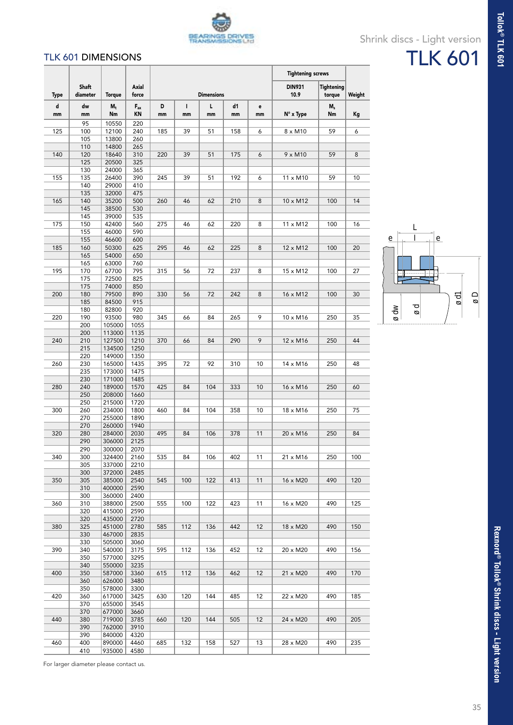

#### TLK 601 DIMENSIONS

|         |                          |                  |                |         |                    |                   |          |         | <b>Tightening screws</b> |                             |        |
|---------|--------------------------|------------------|----------------|---------|--------------------|-------------------|----------|---------|--------------------------|-----------------------------|--------|
| Type    | <b>Shaft</b><br>diameter | <b>Torque</b>    | Axial<br>force |         |                    | <b>Dimensions</b> |          |         | <b>DIN931</b><br>10.9    | <b>Tightening</b><br>torque | Weight |
| d<br>mm | dw<br>mm                 | $M_t$<br>Nm      | $F_{ax}$<br>KN | D<br>mm | $\mathbf{I}$<br>mm | L<br>mm           | d1<br>mm | e<br>mm | N° x Type                | $M_s$<br>Nm                 | Kg     |
|         | 95<br>100                | 10550            | 220<br>240     |         | 39                 |                   |          |         |                          | 59                          |        |
| 125     | 105                      | 12100<br>13800   | 260            | 185     |                    | 51                | 158      | 6       | $8 \times M10$           |                             | 6      |
|         | 110                      | 14800            | 265            |         |                    |                   |          |         |                          |                             |        |
| 140     | 120<br>125               | 18640<br>20500   | 310<br>325     | 220     | 39                 | 51                | 175      | 6       | $9 \times M10$           | 59                          | 8      |
|         | 130                      | 24000            | 365            |         |                    |                   |          |         |                          |                             |        |
| 155     | 135                      | 26400            | 390            | 245     | 39                 | 51                | 192      | 6       | 11 x M10                 | 59                          | 10     |
|         | 140                      | 29000            | 410            |         |                    |                   |          |         |                          |                             |        |
| 165     | 135<br>140               | 32000<br>35200   | 475<br>500     | 260     | 46                 | 62                | 210      | 8       | 10 x M12                 | 100                         | 14     |
|         | 145                      | 38500            | 530            |         |                    |                   |          |         |                          |                             |        |
|         | 145                      | 39000            | 535            |         |                    |                   |          |         |                          |                             |        |
| 175     | 150<br>155               | 42400<br>46000   | 560<br>590     | 275     | 46                 | 62                | 220      | 8       | 11 x M12                 | 100                         | 16     |
|         | 155                      | 46600            | 600            |         |                    |                   |          |         |                          |                             |        |
| 185     | 160                      | 50300            | 625            | 295     | 46                 | 62                | 225      | 8       | 12 x M12                 | 100                         | 20     |
|         | 165<br>165               | 54000<br>63000   | 650<br>760     |         |                    |                   |          |         |                          |                             |        |
| 195     | 170                      | 67700            | 795            | 315     | 56                 | 72                | 237      | 8       | 15 x M12                 | 100                         | 27     |
|         | 175                      | 72500            | 825            |         |                    |                   |          |         |                          |                             |        |
|         | 175                      | 74000            | 850            |         |                    |                   |          |         |                          |                             |        |
| 200     | 180<br>185               | 79500<br>84500   | 890<br>915     | 330     | 56                 | 72                | 242      | 8       | 16 x M12                 | 100                         | 30     |
|         | 180                      | 82800            | 920            |         |                    |                   |          |         |                          |                             |        |
| 220     | 190                      | 93500            | 980            | 345     | 66                 | 84                | 265      | 9       | 10 x M16                 | 250                         | 35     |
|         | 200<br>200               | 105000<br>113000 | 1055<br>1135   |         |                    |                   |          |         |                          |                             |        |
| 240     | 210                      | 127500           | 1210           | 370     | 66                 | 84                | 290      | 9       | 12 x M16                 | 250                         | 44     |
|         | 215                      | 134500           | 1250           |         |                    |                   |          |         |                          |                             |        |
|         | 220                      | 149000           | 1350           |         |                    |                   |          |         |                          |                             |        |
| 260     | 230<br>235               | 165000<br>173000 | 1435<br>1475   | 395     | 72                 | 92                | 310      | 10      | 14 x M16                 | 250                         | 48     |
|         | 230                      | 171000           | 1485           |         |                    |                   |          |         |                          |                             |        |
| 280     | 240                      | 189000           | 1570           | 425     | 84                 | 104               | 333      | 10      | 16 x M16                 | 250                         | 60     |
|         | 250<br>250               | 208000<br>215000 | 1660<br>1720   |         |                    |                   |          |         |                          |                             |        |
| 300     | 260                      | 234000           | 1800           | 460     | 84                 | 104               | 358      | 10      | 18 x M16                 | 250                         | 75     |
|         | 270                      | 255000           | 1890           |         |                    |                   |          |         |                          |                             |        |
| 320     | 270<br>280               | 260000<br>284000 | 1940<br>2030   | 495     | 84                 | 106               | 378      | 11      | 20 x M16                 | 250                         | 84     |
|         | 290                      | 306000           | 2125           |         |                    |                   |          |         |                          |                             |        |
|         | 290                      | 300000           | 2070           |         |                    |                   |          |         |                          |                             |        |
| 340     | 300                      | 324400           | 2160           | 535     | 84                 | 106               | 402      | 11      | 21 x M16                 | 250                         | 100    |
|         | 305<br>300               | 337000<br>372000 | 2210<br>2485   |         |                    |                   |          |         |                          |                             |        |
| 350     | 305                      | 385000           | 2540           | 545     | 100                | 122               | 413      | 11      | 16 x M20                 | 490                         | 120    |
|         | 310                      | 400000           | 2590           |         |                    |                   |          |         |                          |                             |        |
| 360     | 300<br>310               | 360000<br>388000 | 2400<br>2500   | 555     | 100                | 122               | 423      | 11      | 16 x M20                 | 490                         | 125    |
|         | 320                      | 415000           | 2590           |         |                    |                   |          |         |                          |                             |        |
|         | 320                      | 435000           | 2720           |         |                    |                   |          |         |                          |                             |        |
| 380     | 325                      | 451000           | 2780           | 585     | 112                | 136               | 442      | 12      | 18 x M20                 | 490                         | 150    |
|         | 330<br>330               | 467000<br>505000 | 2835<br>3060   |         |                    |                   |          |         |                          |                             |        |
| 390     | 340                      | 540000           | 3175           | 595     | 112                | 136               | 452      | 12      | 20 x M20                 | 490                         | 156    |
|         | 350                      | 577000           | 3295           |         |                    |                   |          |         |                          |                             |        |
| 400     | 340<br>350               | 550000<br>587000 | 3235<br>3360   | 615     | 112                | 136               | 462      | 12      | 21 x M20                 | 490                         | 170    |
|         | 360                      | 626000           | 3480           |         |                    |                   |          |         |                          |                             |        |
|         | 350                      | 578000           | 3300           |         |                    |                   |          |         |                          |                             |        |
| 420     | 360<br>370               | 617000<br>655000 | 3425<br>3545   | 630     | 120                | 144               | 485      | 12      | 22 x M20                 | 490                         | 185    |
|         | 370                      | 677000           | 3660           |         |                    |                   |          |         |                          |                             |        |
| 440     | 380                      | 719000           | 3785           | 660     | 120                | 144               | 505      | 12      | 24 x M20                 | 490                         | 205    |
|         | 390                      | 762000           | 3910           |         |                    |                   |          |         |                          |                             |        |
| 460     | 390<br>400               | 840000<br>890000 | 4320<br>4460   | 685     | 132                | 158               | 527      | 13      | 28 x M20                 | 490                         | 235    |
|         | 410                      | 935000           | 4580           |         |                    |                   |          |         |                          |                             |        |



Shrink discs - Light version

TLK 601



For larger diameter please contact us.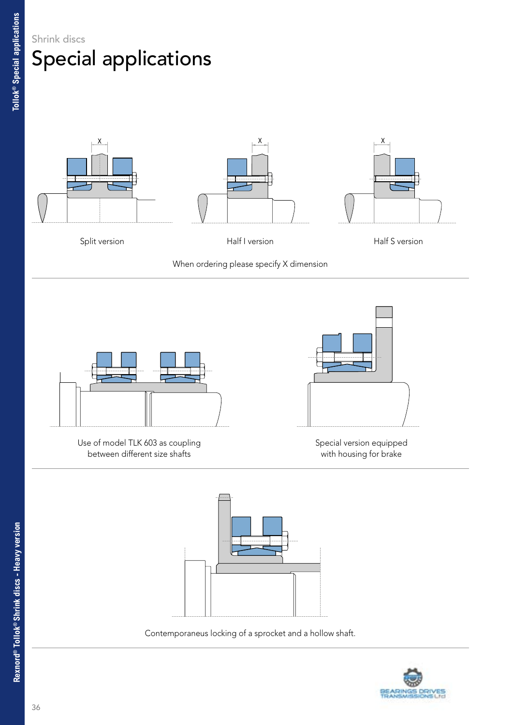



When ordering please specify X dimension



Use of model TLK 603 as coupling between different size shafts



Special version equipped with housing for brake



Contemporaneus locking of a sprocket and a hollow shaft.

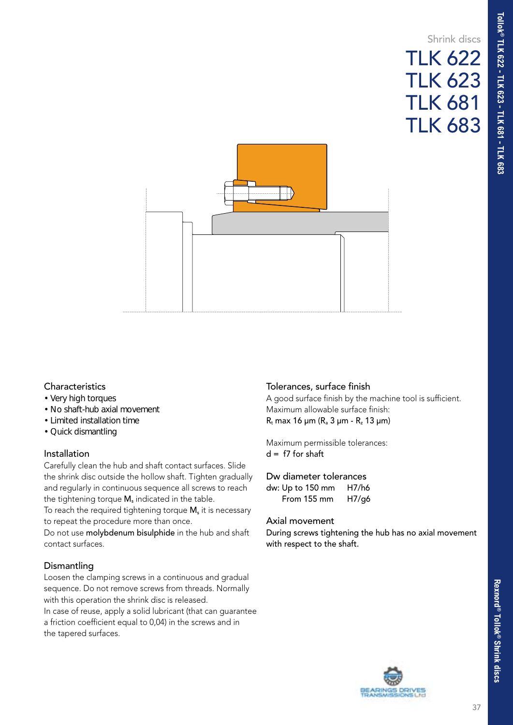## Shrink discs TLK 622 TLK 623 TLK 681 TLK 683



#### **Characteristics**

- Very high torques
- No shaft-hub axial movement
- Limited installation time
- Quick dismantling

#### Installation

Carefully clean the hub and shaft contact surfaces. Slide the shrink disc outside the hollow shaft. Tighten gradually and regularly in continuous sequence all screws to reach the tightening torque  $M_s$  indicated in the table.

To reach the required tightening torque  $M_s$  it is necessary to repeat the procedure more than once.

Do not use molybdenum bisulphide in the hub and shaft contact surfaces.

#### **Dismantling**

Loosen the clamping screws in a continuous and gradual sequence. Do not remove screws from threads. Normally with this operation the shrink disc is released.

In case of reuse, apply a solid lubricant (that can guarantee a friction coefficient equal to 0,04) in the screws and in the tapered surfaces.

#### Tolerances, surface finish

A good surface finish by the machine tool is sufficient. Maximum allowable surface finish:  $R_t$  max 16 µm ( $R_a$  3 µm -  $R_z$  13 µm)

Maximum permissible tolerances:  $d = f7$  for shaft

#### Dw diameter tolerances

| dw: Up to 150 mm | H7/h6 |
|------------------|-------|
| From 155 mm      | H7/g6 |

#### Axial movement

During screws tightening the hub has no axial movement with respect to the shaft.

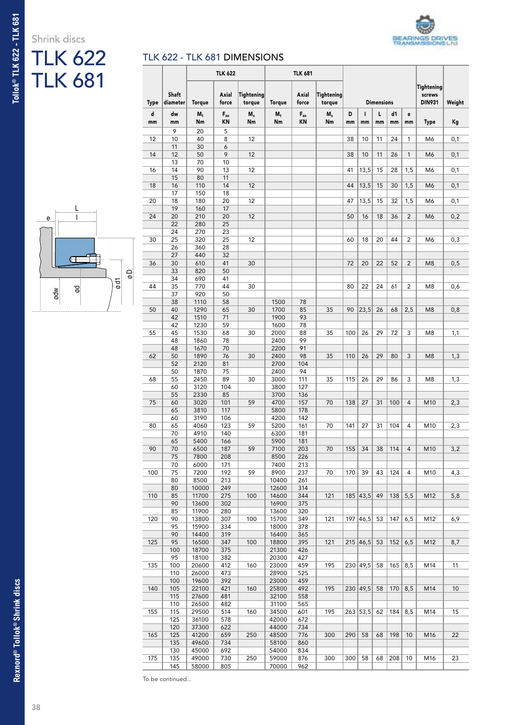

# Shrink discs TLK 622



| L<br>$\mathsf{e}% _{0}\left( \mathsf{e}\right)$ |  |
|-------------------------------------------------|--|
| σø                                              |  |
| $\overline{\circ}$<br>g<br>ødw                  |  |

| <b>TLK 681</b>      |           |                | <b>TLK 622</b><br>TLK 681 |                                     |                   |                        |                   |                   |     |                  |                        |     |                |                      |        |
|---------------------|-----------|----------------|---------------------------|-------------------------------------|-------------------|------------------------|-------------------|-------------------|-----|------------------|------------------------|-----|----------------|----------------------|--------|
|                     |           | Shaft          |                           | Axial                               | <b>Tightening</b> |                        | Axial             | <b>Tightening</b> |     |                  |                        |     |                | Tightening<br>screws |        |
|                     | Type<br>d | diameter<br>dw | <b>Torque</b><br>$M_t$    | force<br>$\mathsf{F}_{\mathsf{ax}}$ | torque<br>$M_s$   | <b>Torque</b><br>$M_t$ | force<br>$F_{ax}$ | torque<br>$M_s$   | D   | $\mathbf{I}$     | <b>Dimensions</b><br>L | d1  | e              | <b>DIN931</b>        | Weight |
|                     | mm        | mm             | Nm                        | KN                                  | Nm                | Nm                     | KN                | Nm                | mm  | mm               | mm                     | mm  | mm             | <b>Type</b>          | Кg     |
|                     | 12        | 9<br>10        | 20<br>40                  | 5<br>8                              | 12                |                        |                   |                   | 38  | 10               | 11                     | 24  | $\mathbf{1}$   | M6                   | 0,1    |
|                     |           | 11             | 30                        | 6                                   |                   |                        |                   |                   |     |                  |                        |     |                |                      |        |
|                     | 14        | 12             | 50                        | 9                                   | 12                |                        |                   |                   | 38  | 10               | 11                     | 26  | $\mathbf{1}$   | M <sub>6</sub>       | 0,1    |
|                     | 16        | 13<br>14       | 70<br>90                  | 10<br>13                            | 12                |                        |                   |                   | 41  | 13,5             | 15                     | 28  | 1,5            | M6                   | 0,1    |
|                     |           | 15             | 80                        | 11                                  |                   |                        |                   |                   |     |                  |                        |     |                |                      |        |
|                     | 18        | 16<br>17       | 110<br>150                | 14<br>18                            | 12                |                        |                   |                   | 44  | 13,5             | 15                     | 30  | 1,5            | M <sub>6</sub>       | 0,1    |
|                     | 20        | 18             | 180                       | 20                                  | 12                |                        |                   |                   | 47  | 13,5             | 15                     | 32  | 1,5            | M <sub>6</sub>       | 0,1    |
| L                   |           | 19             | 160                       | 17                                  |                   |                        |                   |                   |     |                  |                        |     |                |                      |        |
| е                   | 24        | 20<br>22       | 210<br>280                | 20<br>25                            | 12                |                        |                   |                   | 50  | 16               | 18                     | 36  | $\overline{2}$ | M <sub>6</sub>       | 0,2    |
|                     |           | 24             | 270                       | 23                                  |                   |                        |                   |                   |     |                  |                        |     |                |                      |        |
|                     | 30        | 25             | 320                       | 25                                  | 12                |                        |                   |                   | 60  | 18               | 20                     | 44  | $\overline{c}$ | M6                   | 0,3    |
|                     |           | 26<br>27       | 360<br>440                | 28<br>32                            |                   |                        |                   |                   |     |                  |                        |     |                |                      |        |
|                     | 36        | 30             | 610                       | 41                                  | 30                |                        |                   |                   | 72  | 20               | 22                     | 52  | $\overline{2}$ | M <sub>8</sub>       | 0,5    |
| Οø                  |           | 33             | 820                       | 50                                  |                   |                        |                   |                   |     |                  |                        |     |                |                      |        |
| $\overline{\sigma}$ | 44        | 34<br>35       | 690<br>770                | 41<br>44                            | 30                |                        |                   |                   | 80  | 22               | 24                     | 61  | $\overline{c}$ | M <sub>8</sub>       | 0,6    |
| g<br>ødw            |           | 37             | 920                       | 50                                  |                   |                        |                   |                   |     |                  |                        |     |                |                      |        |
|                     |           | 38             | 1110                      | 58                                  | 30                | 1500                   | 78<br>85          | 35                | 90  |                  |                        |     |                | M <sub>8</sub>       |        |
|                     | 50        | 40<br>42       | 1290<br>1510              | 65<br>71                            |                   | 1700<br>1900           | 93                |                   |     | 23,5             | 26                     | 68  | 2,5            |                      | 0,8    |
|                     |           | 42             | 1230                      | 59                                  |                   | 1600                   | 78                |                   |     |                  |                        |     |                |                      |        |
|                     | 55        | 45<br>48       | 1530<br>1860              | 68<br>78                            | 30                | 2000<br>2400           | 88<br>99          | 35                | 100 | 26               | 29                     | 72  | 3              | M <sub>8</sub>       | 1,1    |
|                     |           | 48             | 1670                      | 70                                  |                   | 2200                   | 91                |                   |     |                  |                        |     |                |                      |        |
|                     | 62        | 50             | 1890                      | 76                                  | 30                | 2400                   | 98                | 35                | 110 | 26               | 29                     | 80  | 3              | M <sub>8</sub>       | 1,3    |
|                     |           | 52<br>50       | 2120<br>1870              | 81<br>75                            |                   | 2700<br>2400           | 104<br>94         |                   |     |                  |                        |     |                |                      |        |
|                     | 68        | 55             | 2450                      | 89                                  | 30                | 3000                   | 111               | 35                | 115 | 26               | 29                     | 86  | 3              | M <sub>8</sub>       | 1,3    |
|                     |           | 60             | 3120                      | 104                                 |                   | 3800                   | 127               |                   |     |                  |                        |     |                |                      |        |
|                     | 75        | 55<br>60       | 2330<br>3020              | 85<br>101                           | 59                | 3700<br>4700           | 136<br>157        | 70                | 138 | 27               | 31                     | 100 | $\overline{4}$ | M10                  | 2,3    |
|                     |           | 65             | 3810                      | 117                                 |                   | 5800                   | 178               |                   |     |                  |                        |     |                |                      |        |
|                     |           | 60             | 3190                      | 106                                 |                   | 4200                   | 142               |                   |     |                  |                        |     |                |                      |        |
|                     | 80        | 65<br>70       | 4060<br>4910              | 123<br>140                          | 59                | 5200<br>6300           | 161<br>181        | 70                | 141 | 27               | 31                     | 104 | $\overline{4}$ | M10                  | 2,3    |
|                     |           | 65             | 5400                      | 166                                 |                   | 5900                   | 181               |                   |     |                  |                        |     |                |                      |        |
|                     | 90        | 70             | 6500                      | 187                                 | 59                | 7100                   | 203               | 70                | 155 | 34               | 38                     | 114 | $\overline{4}$ | M10                  | 3,2    |
|                     |           | 75<br>70       | 7800<br>6000              | 208<br>171                          |                   | 8500<br>7400           | 226<br>213        |                   |     |                  |                        |     |                |                      |        |
|                     | 100       | 75             | 7200                      | 192                                 | 59                | 8900                   | 237               | 70                | 170 | 39               | 43                     | 124 | 4              | M10                  | 4,3    |
|                     |           | 80             | 8500                      | 213                                 |                   | 10400<br>12600         | 261               |                   |     |                  |                        |     |                |                      |        |
|                     | 110       | 80<br>85       | 10000<br>11700            | 249<br>275                          | 100               | 14600                  | 314<br>344        | 121               |     | 185 43,5         | 49                     | 138 | 5,5            | M12                  | 5,8    |
|                     |           | 90             | 13600                     | 302                                 |                   | 16900                  | 375               |                   |     |                  |                        |     |                |                      |        |
|                     | 120       | 85             | 11900<br>13800            | 280                                 | 100               | 13600<br>15700         | 320               |                   |     | 197 46,5         | 53                     | 147 | 6,5            |                      | 6,9    |
|                     |           | 90<br>95       | 15900                     | 307<br>334                          |                   | 18000                  | 349<br>378        | 121               |     |                  |                        |     |                | M12                  |        |
|                     |           | 90             | 14400                     | 319                                 |                   | 16400                  | 365               |                   |     |                  |                        |     |                |                      |        |
|                     | 125       | 95<br>100      | 16500<br>18700            | 347<br>375                          | 100               | 18800<br>21300         | 395<br>426        | 121               |     | $215 \,   46, 5$ | 53                     | 152 | 6,5            | M12                  | 8,7    |
|                     |           | 95             | 18100                     | 382                                 |                   | 20300                  | 427               |                   |     |                  |                        |     |                |                      |        |
|                     | 135       | 100            | 20600                     | 412                                 | 160               | 23000                  | 459               | 195               |     | 230 49,5         | 58                     | 165 | 8,5            | M14                  | 11     |
|                     |           | 110<br>100     | 26000<br>19600            | 473<br>392                          |                   | 28900<br>23000         | 525<br>459        |                   |     |                  |                        |     |                |                      |        |
|                     | 140       | 105            | 22100                     | 421                                 | 160               | 25800                  | 492               | 195               |     | 230 49,5         | 58                     | 170 | 8,5            | M14                  | 10     |
|                     |           | 115            | 27600                     | 481                                 |                   | 32100                  | 558               |                   |     |                  |                        |     |                |                      |        |
|                     | 155       | 110<br>115     | 26500<br>29500            | 482                                 | 160               | 31100<br>34500         | 565<br>601        | 195               |     | $263$ 53,5       | 62                     | 184 | 8,5            | M14                  | 15     |
|                     |           | 125            | 36100                     | 514<br>578                          |                   | 42000                  | 672               |                   |     |                  |                        |     |                |                      |        |
|                     |           | 120            | 37300                     | 622                                 |                   | 44000                  | 734               |                   |     |                  |                        |     |                |                      |        |
|                     | 165       | 125<br>135     | 41200<br>49600            | 659<br>734                          | 250               | 48500<br>58100         | 776<br>860        | 300               | 290 | 58               | 68                     | 198 | 10             | M <sub>16</sub>      | 22     |
|                     |           | 130            | 45000                     | 692                                 |                   | 54000                  | 834               |                   |     |                  |                        |     |                |                      |        |
|                     | 175       | 135            | 49000                     | 730                                 | 250               | 59000                  | 876               | 300               | 300 | 58               | 68                     | 208 | 10             | M16                  | 23     |
|                     |           | 145            | 58000                     | 805                                 |                   | 70000                  | 962               |                   |     |                  |                        |     |                |                      |        |

To be continued...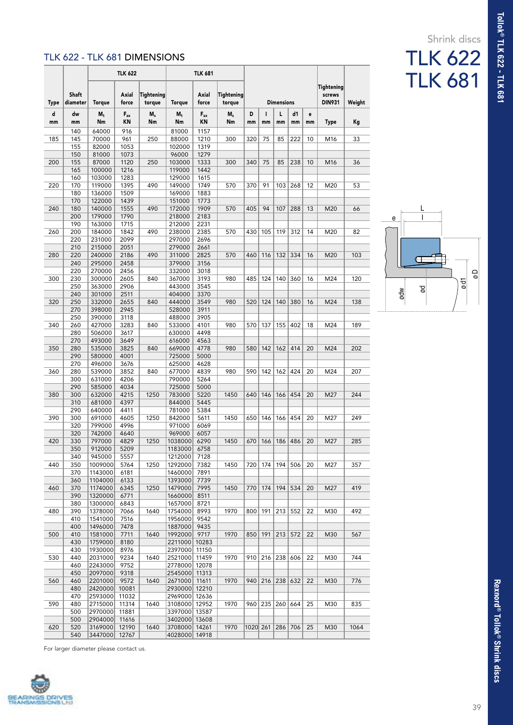### Shrink discs TLK 622

TLK 681

#### TLK 622 - TLK 681 DIMENSIONS

|      |                          |                    | <b>TLK 622</b> |                      | <b>TLK 681</b>     |                |                      |          |     |                   |         |    |                                       |        |
|------|--------------------------|--------------------|----------------|----------------------|--------------------|----------------|----------------------|----------|-----|-------------------|---------|----|---------------------------------------|--------|
| Type | <b>Shaft</b><br>diameter | <b>Torque</b>      | Axial<br>force | Tightening<br>torque | Torque             | Axial<br>force | Tightening<br>torque |          |     | <b>Dimensions</b> |         |    | Tightening<br>screws<br><b>DIN931</b> | Weight |
| d    | dw                       | $M_t$              | $F_{ax}$<br>ΚN | M,<br>Nm             | $M_t$              | $F_{ax}$<br>KN | $M_s$<br>Nm          | D        | ı   | L                 | d1      | e  |                                       |        |
| mm   | mm<br>140                | Nm<br>64000        | 916            |                      | Nm<br>81000        | 1157           |                      | mm       | mm  | mm                | mm      | mm | <b>Type</b>                           | Кg     |
| 185  | 145                      | 70000              | 961            | 250                  | 88000              | 1210           | 300                  | 320      | 75  | 85                | 222     | 10 | M16                                   | 33     |
|      | 155                      | 82000              | 1053           |                      | 102000             | 1319           |                      |          |     |                   |         |    |                                       |        |
| 200  | 150<br>155               | 81000<br>87000     | 1073<br>1120   | 250                  | 96000<br>103000    | 1279<br>1333   | 300                  | 340      | 75  | 85                | 238     | 10 | M16                                   | 36     |
|      | 165                      | 100000             | 1216           |                      | 119000             | 1442           |                      |          |     |                   |         |    |                                       |        |
|      | 160                      | 103000             | 1283           |                      | 129000             | 1615           |                      |          |     |                   |         |    |                                       |        |
| 220  | 170<br>180               | 119000<br>136000   | 1395<br>1509   | 490                  | 149000<br>169000   | 1749<br>1883   | 570                  | 370      | 91  | 103               | 268     | 12 | M20                                   | 53     |
|      | 170                      | 122000             | 1439           |                      | 151000             | 1773           |                      |          |     |                   |         |    |                                       |        |
| 240  | 180                      | 140000             | 1555           | 490                  | 172000             | 1909           | 570                  | 405      | 94  | 107               | 288     | 13 | M20                                   | 66     |
|      | 200                      | 179000             | 1790           |                      | 218000             | 2183           |                      |          |     |                   |         |    |                                       |        |
| 260  | 190<br>200               | 163000<br>184000   | 1715<br>1842   | 490                  | 212000<br>238000   | 2231<br>2385   | 570                  | 430      | 105 | 119               | 312     | 14 | M20                                   | 82     |
|      | 220                      | 231000             | 2099           |                      | 297000             | 2696           |                      |          |     |                   |         |    |                                       |        |
|      | 210                      | 215000             | 2051           |                      | 279000             | 2661           |                      |          |     |                   |         |    |                                       |        |
| 280  | 220<br>240               | 240000<br>295000   | 2186<br>2458   | 490                  | 311000<br>379000   | 2825<br>3156   | 570                  | 460      | 116 | 132               | 334     | 16 | M20                                   | 103    |
|      | 220                      | 270000             | 2456           |                      | 332000             | 3018           |                      |          |     |                   |         |    |                                       |        |
| 300  | 230                      | 300000             | 2605           | 840                  | 367000             | 3193           | 980                  | 485      | 124 | 140               | 360     | 16 | M24                                   | 120    |
|      | 250<br>240               | 363000             | 2906           |                      | 443000             | 3545           |                      |          |     |                   |         |    |                                       |        |
| 320  | 250                      | 301000<br>332000   | 2511<br>2655   | 840                  | 404000<br>444000   | 3370<br>3549   | 980                  | 520      | 124 | 140               | 380     | 16 | M24                                   | 138    |
|      | 270                      | 398000             | 2945           |                      | 528000             | 3911           |                      |          |     |                   |         |    |                                       |        |
|      | 250                      | 390000             | 3118           |                      | 488000             | 3905           |                      |          |     |                   |         |    |                                       |        |
| 340  | 260<br>280               | 427000<br>506000   | 3283<br>3617   | 840                  | 533000<br>630000   | 4101<br>4498   | 980                  | 570      | 137 | 155               | 402     | 18 | M24                                   | 189    |
|      | 270                      | 493000             | 3649           |                      | 616000             | 4563           |                      |          |     |                   |         |    |                                       |        |
| 350  | 280                      | 535000             | 3825           | 840                  | 669000             | 4778           | 980                  | 580      | 142 | 162               | 414     | 20 | M24                                   | 202    |
|      | 290                      | 580000             | 4001           |                      | 725000             | 5000           |                      |          |     |                   |         |    |                                       |        |
| 360  | 270<br>280               | 496000<br>539000   | 3676<br>3852   | 840                  | 625000<br>677000   | 4628<br>4839   | 980                  | 590      | 142 | 162               | 424     | 20 | M24                                   | 207    |
|      | 300                      | 631000             | 4206           |                      | 790000             | 5264           |                      |          |     |                   |         |    |                                       |        |
|      | 290                      | 585000             | 4034           |                      | 725000             | 5000           |                      |          |     |                   |         |    |                                       |        |
| 380  | 300<br>310               | 632000<br>681000   | 4215<br>4397   | 1250                 | 783000<br>844000   | 5220<br>5445   | 1450                 | 640      | 146 | 166               | 454     | 20 | M27                                   | 244    |
|      | 290                      | 640000             | 4411           |                      | 781000             | 5384           |                      |          |     |                   |         |    |                                       |        |
| 390  | 300                      | 691000             | 4605           | 1250                 | 842000             | 5611           | 1450                 | 650      | 146 | 166               | 454     | 20 | M27                                   | 249    |
|      | 320                      | 799000             | 4996           |                      | 971000             | 6069           |                      |          |     |                   |         |    |                                       |        |
| 420  | 320<br>330               | 742000<br>797000   | 4640<br>4829   | 1250                 | 969000<br>1038000  | 6057<br>6290   | 1450                 | 670      | 166 | 186               | 486     | 20 | M27                                   | 285    |
|      | 350                      | 912000             | 5209           |                      | 1183000            | 6758           |                      |          |     |                   |         |    |                                       |        |
|      | 340                      | 945000             | 5557           |                      | 1212000            | 7128           |                      |          |     |                   |         |    |                                       |        |
| 440  | 350<br>370               | 1009000<br>1143000 | 5764<br>6181   | 1250                 | 1292000<br>1460000 | 7382<br>7891   | 1450                 | 720      | 174 | 194               | 506     | 20 | M27                                   | 357    |
|      | 360                      | 1104000            | 6133           |                      | 1393000            | 7739           |                      |          |     |                   |         |    |                                       |        |
| 460  | 370                      | 1174000            | 6345           | 1250                 | 1479000            | 7995           | 1450                 | 770      | 174 | 194               | 534     | 20 | M27                                   | 419    |
|      | 390                      | 1320000            | 6771           |                      | 1660000            | 8511           |                      |          |     |                   |         |    |                                       |        |
| 480  | 380<br>390               | 1300000<br>1378000 | 6843<br>7066   | 1640                 | 1657000<br>1754000 | 8721<br>8993   | 1970                 | 800      | 191 | 213               | 552     | 22 | M30                                   | 492    |
|      | 410                      | 1541000            | 7516           |                      | 1956000            | 9542           |                      |          |     |                   |         |    |                                       |        |
|      | 400                      | 1496000            | 7478           |                      | 1887000            | 9435           |                      |          |     |                   |         |    |                                       |        |
| 500  | 410                      | 1581000            | 7711           | 1640                 | 1992000            | 9717           | 1970                 | 850      | 191 | 213               | 572     | 22 | M30                                   | 567    |
|      | 430<br>430               | 1759000<br>1930000 | 8180<br>8976   |                      | 2211000<br>2397000 | 10283<br>11150 |                      |          |     |                   |         |    |                                       |        |
| 530  | 440                      | 2031000            | 9234           | 1640                 | 2521000            | 11459          | 1970                 | 910      |     | 216 238 606       |         | 22 | M30                                   | 744    |
|      | 460                      | 2243000            | 9752           |                      | 2778000            | 12078          |                      |          |     |                   |         |    |                                       |        |
|      | 450                      | 2097000            | 9318           |                      | 2545000            | 11313          |                      |          |     |                   |         |    |                                       |        |
| 560  | 460<br>480               | 2201000<br>2420000 | 9572<br>10081  | 1640                 | 2671000<br>2930000 | 11611<br>12210 | 1970                 | 940      | 216 |                   | 238 632 | 22 | M30                                   | 776    |
|      | 470                      | 2593000            | 11032          |                      | 2969000            | 12636          |                      |          |     |                   |         |    |                                       |        |
| 590  | 480                      | 2715000            | 11314          | 1640                 | 3108000            | 12952          | 1970                 | 960      |     | 235 260 664       |         | 25 | M30                                   | 835    |
|      | 500<br>500               | 2970000<br>2904000 | 11881<br>11616 |                      | 3397000<br>3402000 | 13587<br>13608 |                      |          |     |                   |         |    |                                       |        |
| 620  | 520                      | 3169000            | 12190          | 1640                 | 3708000            | 14261          | 1970                 | 1020 261 |     | 286 706           |         | 25 | M30                                   | 1064   |
|      | 540                      | 3447000            | 12767          |                      | 4028000            | 14918          |                      |          |     |                   |         |    |                                       |        |



For larger diameter please contact us.

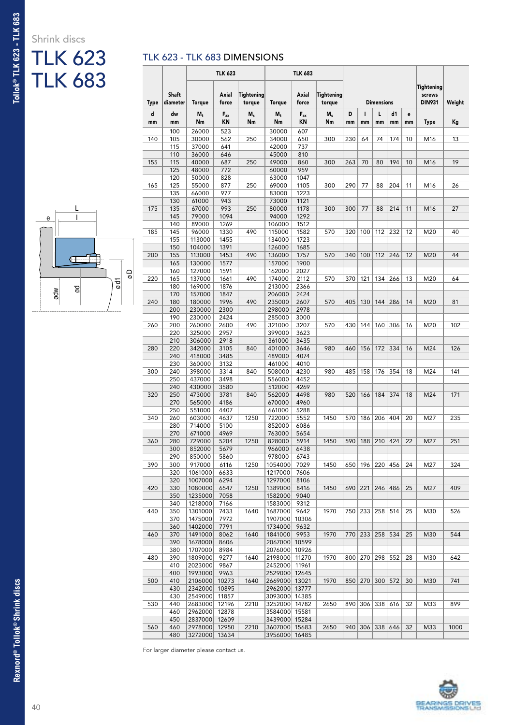# Shrink discs TLK 623



| TLK 623 - TLK 683 DIMENSIONS |  |
|------------------------------|--|
|------------------------------|--|

| <b>TLK 683</b> |      |                   |                    | <b>TLK 623</b> |                      |                                | <b>TLK 683</b> |                      |     |                       |                   |         |    |                                       |        |
|----------------|------|-------------------|--------------------|----------------|----------------------|--------------------------------|----------------|----------------------|-----|-----------------------|-------------------|---------|----|---------------------------------------|--------|
|                | Type | Shaft<br>diameter | <b>Torque</b>      | Axial<br>force | Tightening<br>torque | Torque                         | Axial<br>force | Tightening<br>torque |     |                       | <b>Dimensions</b> |         |    | Tightening<br>screws<br><b>DIN931</b> | Weight |
|                | d    | dw                | $M_t$              | $F_{ax}$       | $M_s$                | $M_t$                          | $F_{ax}$       | $M_s$                | D   | п                     | L                 | d1      | e  |                                       |        |
|                | mm   | mm                | Nm                 | ΚN             | Nm                   | Nm                             | KN             | Nm                   | mm  | mm                    | mm                | mm      | mm | Type                                  | Кg     |
|                | 140  | 100<br>105        | 26000<br>30000     | 523<br>562     | 250                  | 30000<br>34000                 | 607<br>650     | 300                  | 230 | 64                    | 74                | 174     | 10 | M <sub>16</sub>                       | 13     |
|                |      | 115               | 37000              | 641            |                      | 42000                          | 737            |                      |     |                       |                   |         |    |                                       |        |
|                |      | 110               | 36000              | 646            |                      | 45000                          | 810            |                      |     |                       |                   |         |    |                                       |        |
|                | 155  | 115<br>125        | 40000<br>48000     | 687<br>772     | 250                  | 49000<br>60000                 | 860<br>959     | 300                  | 263 | 70                    | 80                | 194     | 10 | M16                                   | 19     |
|                |      | 120               | 50000              | 828            |                      | 63000                          | 1047           |                      |     |                       |                   |         |    |                                       |        |
|                | 165  | 125               | 55000              | 877            | 250                  | 69000                          | 1105           | 300                  | 290 | 77                    | 88                | 204     | 11 | M16                                   | 26     |
|                |      | 135<br>130        | 66000<br>61000     | 977<br>943     |                      | 83000<br>73000                 | 1223<br>1121   |                      |     |                       |                   |         |    |                                       |        |
|                | 175  | 135               | 67000              | 993            | 250                  | 80000                          | 1178           | 300                  | 300 | 77                    | 88                | 214     | 11 | M16                                   | 27     |
| е              |      | 145               | 79000              | 1094           |                      | 94000                          | 1292           |                      |     |                       |                   |         |    |                                       |        |
|                | 185  | 140<br>145        | 89000<br>96000     | 1269<br>1330   | 490                  | 106000<br>115000               | 1512<br>1582   | 570                  | 320 | 100                   | 112               | 232     | 12 | M20                                   | 40     |
|                |      | 155               | 113000             | 1455           |                      | 134000                         | 1723           |                      |     |                       |                   |         |    |                                       |        |
|                |      | 150               | 104000             | 1391           |                      | 126000                         | 1685           |                      |     |                       |                   |         |    |                                       |        |
|                | 200  | 155<br>165        | 113000<br>130000   | 1453<br>1577   | 490                  | 136000<br>157000               | 1757<br>1900   | 570                  | 340 | 100                   | 112               | 246     | 12 | M20                                   | 44     |
| σø             |      | 160               | 127000             | 1591           |                      | 162000                         | 2027           |                      |     |                       |                   |         |    |                                       |        |
| ㅎ              | 220  | 165               | 137000             | 1661           | 490                  | 174000                         | 2112           | 570                  | 370 | 121                   |                   | 134 266 | 13 | M20                                   | 64     |
| g<br>ø<br>ødw  |      | 180<br>170        | 169000<br>157000   | 1876<br>1847   |                      | 213000<br>206000               | 2366<br>2424   |                      |     |                       |                   |         |    |                                       |        |
|                | 240  | 180               | 180000             | 1996           | 490                  | 235000                         | 2607           | 570                  | 405 | 130                   | 144               | 286     | 14 | M20                                   | 81     |
|                |      | 200               | 230000             | 2300           |                      | 298000                         | 2978           |                      |     |                       |                   |         |    |                                       |        |
|                |      | 190               | 230000             | 2424           |                      | 285000                         | 3000           | 570                  |     | 144                   |                   |         | 16 |                                       |        |
|                | 260  | 200<br>220        | 260000<br>325000   | 2600<br>2957   | 490                  | 321000<br>399000               | 3207<br>3623   |                      | 430 |                       | 160               | 306     |    | M20                                   | 102    |
|                |      | 210               | 306000             | 2918           |                      | 361000                         | 3435           |                      |     |                       |                   |         |    |                                       |        |
|                | 280  | 220               | 342000             | 3105           | 840                  | 401000                         | 3646           | 980                  | 460 | 156                   | 172               | 334     | 16 | M24                                   | 126    |
|                |      | 240<br>230        | 418000<br>360000   | 3485<br>3132   |                      | 489000<br>461000               | 4074<br>4010   |                      |     |                       |                   |         |    |                                       |        |
|                | 300  | 240               | 398000             | 3314           | 840                  | 508000                         | 4230           | 980                  | 485 | 158                   | 176               | 354     | 18 | M24                                   | 141    |
|                |      | 250               | 437000             | 3498           |                      | 556000                         | 4452           |                      |     |                       |                   |         |    |                                       |        |
|                | 320  | 240<br>250        | 430000<br>473000   | 3580<br>3781   | 840                  | 512000<br>562000               | 4269<br>4498   | 980                  | 520 | 166                   | 184               | 374     | 18 | M24                                   | 171    |
|                |      | 270               | 565000             | 4186           |                      | 670000                         | 4960           |                      |     |                       |                   |         |    |                                       |        |
|                |      | 250               | 551000             | 4407           |                      | 661000                         | 5288           |                      |     |                       |                   |         |    |                                       |        |
|                | 340  | 260<br>280        | 603000<br>714000   | 4637<br>5100   | 1250                 | 722000<br>852000               | 5552<br>6086   | 1450                 | 570 | 186                   | 206               | 404     | 20 | M27                                   | 235    |
|                |      | 270               | 671000             | 4969           |                      | 763000                         | 5654           |                      |     |                       |                   |         |    |                                       |        |
|                | 360  | 280               | 729000             | 5204           | 1250                 | 828000                         | 5914           | 1450                 | 590 | 188                   | 210               | 424     | 22 | M27                                   | 251    |
|                |      | 300               | 852000             | 5679           |                      | 966000                         | 6438           |                      |     |                       |                   |         |    |                                       |        |
|                | 390  | 290<br>300        | 850000<br>917000   | 5860<br>6116   | 1250                 | 978000<br>1054000              | 6743<br>7029   | 1450                 |     | 650   196   220   456 |                   |         | 24 | M27                                   | 324    |
|                |      | 320               | 1061000            | 6633           |                      | 1217000                        | 7606           |                      |     |                       |                   |         |    |                                       |        |
|                |      | 320               | 1007000            | 6294           |                      | 1297000                        | 8106           |                      |     |                       |                   |         |    |                                       |        |
|                | 420  | 330<br>350        | 1080000<br>1235000 | 6547<br>7058   | 1250                 | 1389000<br>1582000             | 8416<br>9040   | 1450                 |     | 690   221   246   486 |                   |         | 25 | M27                                   | 409    |
|                |      | 340               | 1218000            | 7166           |                      | 1583000                        | 9312           |                      |     |                       |                   |         |    |                                       |        |
|                | 440  | 350               | 1301000            | 7433           | 1640                 | 1687000                        | 9642           | 1970                 |     | 750   233   258   514 |                   |         | 25 | M30                                   | 526    |
|                |      | 370<br>360        | 1475000<br>1402000 | 7972<br>7791   |                      | 1907000<br>1734000             | 10306<br>9632  |                      |     |                       |                   |         |    |                                       |        |
|                | 460  | 370               | 1491000            | 8062           | 1640                 | 1841000                        | 9953           | 1970                 |     | 770   233   258   534 |                   |         | 25 | M30                                   | 544    |
|                |      | 390               | 1678000            | 8606           |                      | 2067000                        | 10599          |                      |     |                       |                   |         |    |                                       |        |
|                | 480  | 380<br>390        | 1707000<br>1809000 | 8984<br>9277   | 1640                 | 2076000 10926<br>2198000       | 11270          | 1970                 |     | 800   270   298   552 |                   |         | 28 | M30                                   | 642    |
|                |      | 410               | 2023000            | 9867           |                      | 2452000                        | 11961          |                      |     |                       |                   |         |    |                                       |        |
|                |      | 400               | 1993000            | 9963           |                      | 2529000                        | 12645          |                      |     |                       |                   |         |    |                                       |        |
|                | 500  | 410<br>430        | 2106000<br>2342000 | 10273<br>10895 | 1640                 | 2669000<br>2962000             | 13021<br>13777 | 1970                 |     | 850   270   300   572 |                   |         | 30 | M30                                   | 741    |
|                |      | 430               | 2549000            | 11857          |                      | 3093000 14385                  |                |                      |     |                       |                   |         |    |                                       |        |
|                | 530  | 440               | 2683000            | 12196          | 2210                 | 3252000                        | 14782          | 2650                 |     | 890 306 338 616       |                   |         | 32 | M33                                   | 899    |
|                |      | 460<br>450        | 2962000<br>2837000 | 12878          |                      | 3584000 15581<br>3439000 15284 |                |                      |     |                       |                   |         |    |                                       |        |
|                | 560  | 460               | 2978000            | 12609<br>12950 | 2210                 | 3607000 15683                  |                | 2650                 |     | 940 306 338 646       |                   |         | 32 | M33                                   | 1000   |
|                |      | 480               | 3272000            | 13634          |                      | 3956000 16485                  |                |                      |     |                       |                   |         |    |                                       |        |

For larger diameter please contact us.

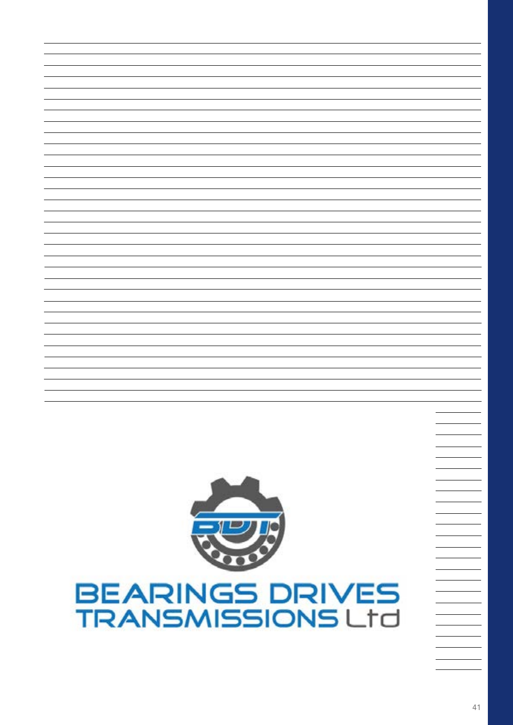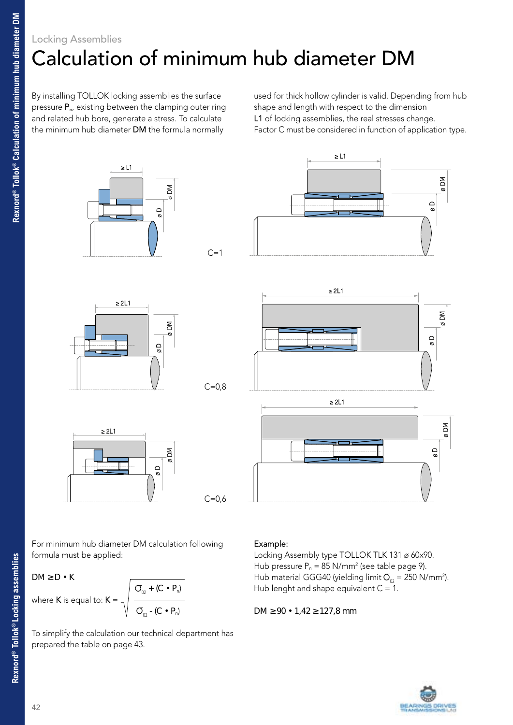### Locking Assemblies Calculation of minimum hub diameter DM

By installing TOLLOK locking assemblies the surface pressure P<sub>n</sub>, existing between the clamping outer ring and related hub bore, generate a stress. To calculate the minimum hub diameter DM the formula normally

used for thick hollow cylinder is valid. Depending from hub shape and length with respect to the dimension L1 of locking assemblies, the real stresses change. Factor C must be considered in function of application type.



For minimum hub diameter DM calculation following formula must be applied:

DM  $D \cdot K$ 

where **K** is equal to: 
$$
K = \sqrt{\frac{O_{02} + (C \cdot P_n)}{O_{02} - (C \cdot P_n)}}
$$

To simplify the calculation our technical department has prepared the table on page 43.

#### Example:

Locking Assembly type TOLLOK TLK 131 ø 60x90. Hub pressure  $P_n = 85 \text{ N/mm}^2$  (see table page 9). Hub material GGG40 (yielding limit  $\overline{O}_{02}$  = 250 N/mm<sup>2</sup>). Hub lenght and shape equivalent  $C = 1$ .

DM  $90 \cdot 1.42$  127,8 mm



l,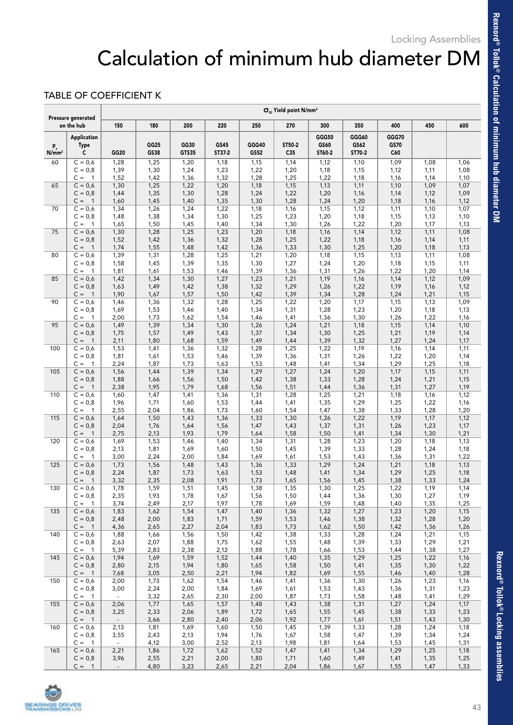## Calculation of minimum hub diameter DM

### TABLE OF COEFFICIENT K

| Pressure generated<br>on the hub |                                        | $\sigma_{02}$ Yield point N/mm <sup>2</sup> |              |               |                |               |                           |                         |                         |                      |              |              |
|----------------------------------|----------------------------------------|---------------------------------------------|--------------|---------------|----------------|---------------|---------------------------|-------------------------|-------------------------|----------------------|--------------|--------------|
|                                  |                                        | 150                                         | 180          | 200           | 220            | 250           | 270                       | 300                     | 350                     | 400                  | 450          | 600          |
| $p_n$<br>N/mm <sup>2</sup>       | <b>Application</b><br><b>Type</b><br>c | GG20                                        | GG25<br>GS38 | GG30<br>GTS35 | GS45<br>ST37-2 | GGG40<br>GS52 | ST50-2<br>C <sub>35</sub> | GGG50<br>GS60<br>ST60-2 | GGG60<br>GS62<br>ST70-2 | GGG70<br>GS70<br>C60 |              |              |
| 60                               | $C = 0,6$                              | 1,28<br>1,39                                | 1,25<br>1,30 | 1,20<br>1,24  | 1,18           | 1,15          | 1,14                      | 1,12                    | 1,10                    | 1,09                 | 1,08         | 1,06         |
|                                  | $C = 0,8$<br>$C =$<br>$\mathbf{1}$     | 1,52                                        | 1,42         | 1,36          | 1,23<br>1,32   | 1,22<br>1,28  | 1,20<br>1,25              | 1,18<br>1,22            | 1,15<br>1,18            | 1,12<br>1,16         | 1,11<br>1,14 | 1,08<br>1,10 |
| 65                               | $C = 0,6$                              | 1,30                                        | 1,25         | 1,22          | 1,20           | 1,18          | 1,15                      | 1,13                    | 1,11                    | 1,10                 | 1,09         | 1,07         |
|                                  | $C = 0,8$                              | 1,44                                        | 1,35         | 1,30          | 1,28           | 1,24          | 1,22                      | 1,20                    | 1,16                    | 1,14                 | 1,12         | 1,09         |
|                                  | $C =$<br>$\overline{1}$                | 1,60                                        | 1,45         | 1,40          | 1,35           | 1,30          | 1,28                      | 1,24                    | 1,20                    | 1,18                 | 1,16         | 1,12         |
| 70                               | $C = 0,6$<br>$C = 0,8$                 | 1,34<br>1,48                                | 1,26<br>1,38 | 1,24<br>1,34  | 1,22<br>1,30   | 1,18<br>1,25  | 1,16<br>1,23              | 1,15<br>1,20            | 1,12<br>1,18            | 1,11<br>1,15         | 1,10<br>1,13 | 1,07<br>1,10 |
|                                  | $C =$<br>$\mathbf{1}$                  | 1,65                                        | 1,50         | 1,45          | 1,40           | 1,34          | 1,30                      | 1,26                    | 1,22                    | 1,20                 | 1,17         | 1,13         |
| 75                               | $C = 0,6$                              | 1,30                                        | 1,28         | 1,25          | 1,23           | 1,20          | 1,18                      | 1,16                    | 1,14                    | 1,12                 | 1,11         | 1,08         |
|                                  | $C = 0,8$                              | 1,52                                        | 1,42         | 1,36          | 1,32           | 1,28          | 1,25                      | 1,22                    | 1,18                    | 1,16                 | 1,14         | 1,11         |
|                                  | $C =$<br>$\overline{1}$                | 1,74                                        | 1,55         | 1,48          | 1,42           | 1,36          | 1,33                      | 1,30                    | 1,25                    | 1,20                 | 1,18         | 1,13         |
| 80                               | $C = 0,6$<br>$C = 0,8$                 | 1,39<br>1,58                                | 1,31<br>1,45 | 1,28<br>1,39  | 1,25<br>1,35   | 1,21<br>1,30  | 1,20<br>1,27              | 1,18<br>1,24            | 1,15<br>1,20            | 1,13<br>1,18         | 1,11<br>1,15 | 1,08<br>1,11 |
|                                  | $C =$<br>$\mathbf{1}$                  | 1,81                                        | 1,61         | 1,53          | 1,46           | 1,39          | 1,36                      | 1,31                    | 1,26                    | 1,22                 | 1,20         | 1,14         |
| 85                               | $C = 0,6$                              | 1,42                                        | 1,34         | 1,30          | 1,27           | 1,23          | 1,21                      | 1,19                    | 1,16                    | 1,14                 | 1,12         | 1,09         |
|                                  | $C = 0,8$                              | 1,63                                        | 1,49         | 1,42          | 1,38           | 1,32          | 1,29                      | 1,26                    | 1,22                    | 1,19                 | 1,16         | 1,12         |
|                                  | $C =$<br>$\overline{1}$                | 1,90                                        | 1,67         | 1,57          | 1,50           | 1,42          | 1,39                      | 1,34                    | 1,28                    | 1,24                 | 1,21         | 1,15         |
| 90                               | $C = 0,6$<br>$C = 0.8$                 | 1,46<br>1,69                                | 1,36<br>1,53 | 1,32<br>1,46  | 1,28<br>1,40   | 1,25<br>1,34  | 1,22<br>1,31              | 1,20<br>1,28            | 1,17<br>1,23            | 1,15<br>1,20         | 1,13<br>1,18 | 1,09<br>1,13 |
|                                  | $C =$<br>$\mathbf{1}$                  | 2,00                                        | 1,73         | 1,62          | 1,54           | 1,46          | 1,41                      | 1,36                    | 1,30                    | 1,26                 | 1,22         | 1,16         |
| 95                               | $C = 0,6$                              | 1,49                                        | 1,39         | 1,34          | 1,30           | 1,26          | 1,24                      | 1,21                    | 1,18                    | 1,15                 | 1,14         | 1,10         |
|                                  | $C = 0,8$                              | 1,75                                        | 1,57         | 1,49          | 1,43           | 1,37          | 1,34                      | 1,30                    | 1,25                    | 1,21                 | 1,19         | 1,14         |
|                                  | $C =$<br>$\overline{1}$                | 2,11                                        | 1,80         | 1,68          | 1,59           | 1,49          | 1,44                      | 1,39                    | 1,32                    | 1,27                 | 1,24         | 1,17         |
| 100                              | $C = 0,6$                              | 1,53                                        | 1,41         | 1,36          | 1,32           | 1,28          | 1,25                      | 1,22                    | 1,19                    | 1,16                 | 1,14         | 1,11         |
|                                  | $C = 0,8$<br>$C =$<br>$\mathbf{1}$     | 1,81<br>2,24                                | 1,61<br>1,87 | 1,53<br>1,73  | 1,46<br>1,63   | 1,39<br>1,53  | 1,36<br>1,48              | 1,31<br>1,41            | 1,26<br>1,34            | 1,22<br>1,29         | 1,20<br>1,25 | 1,14<br>1,18 |
| 105                              | $C = 0,6$                              | 1,56                                        | 1,44         | 1,39          | 1,34           | 1,29          | 1,27                      | 1,24                    | 1,20                    | 1,17                 | 1,15         | 1,11         |
|                                  | $C = 0,8$                              | 1,88                                        | 1,66         | 1,56          | 1,50           | 1,42          | 1,38                      | 1,33                    | 1,28                    | 1,24                 | 1,21         | 1,15         |
|                                  | $C =$<br>$\overline{1}$                | 2,38                                        | 1,95         | 1,79          | 1,68           | 1,56          | 1,51                      | 1,44                    | 1,36                    | 1,31                 | 1,27         | 1,19         |
| 110                              | $C = 0,6$                              | 1,60                                        | 1,47         | 1,41          | 1,36           | 1,31          | 1,28                      | 1,25                    | 1,21                    | 1,18                 | 1,16         | 1,12         |
|                                  | $C = 0,8$                              | 1,96                                        | 1,71         | 1,60          | 1,53           | 1,44<br>1,60  | 1,41                      | 1,35                    | 1,29                    | 1,25                 | 1,22         | 1,16         |
| 115                              | $C =$<br>$\mathbf{1}$<br>$C = 0,6$     | 2,55<br>1,64                                | 2,04<br>1,50 | 1,86<br>1,43  | 1,73<br>1,36   | 1,33          | 1,54<br>1,30              | 1,47<br>1,26            | 1,38<br>1,22            | 1,33<br>1,19         | 1,28<br>1,17 | 1,20<br>1,12 |
|                                  | $C = 0,8$                              | 2,04                                        | 1,76         | 1,64          | 1,56           | 1,47          | 1,43                      | 1,37                    | 1,31                    | 1,26                 | 1,23         | 1,17         |
|                                  | $C =$<br>$\overline{1}$                | 2,75                                        | 2,13         | 1,93          | 1,79           | 1,64          | 1,58                      | 1,50                    | 1,41                    | 1,34                 | 1,30         | 1,21         |
| 120                              | $C = 0,6$                              | 1,69                                        | 1,53         | 1,46          | 1,40           | 1,34          | 1,31                      | 1,28                    | 1,23                    | 1,20                 | 1,18         | 1,13         |
|                                  | $C = 0,8$                              | 2,13                                        | 1,81         | 1,69          | 1,60           | 1,50          | 1,45                      | 1,39                    | 1,33                    | 1,28                 | 1,24         | 1,18         |
| 125                              | $C =$<br>$\mathbf{1}$<br>$C = 0,6$     | 3,00<br>1,73                                | 2,24<br>1,56 | 2,00<br>1,48  | 1,84<br>1,43   | 1,69<br>1,36  | 1,61<br>1,33              | 1,53<br>1,29            | 1,43<br>1,24            | 1,36<br>1,21         | 1,31<br>1,18 | 1,22<br>1,13 |
|                                  | $C = 0,8$                              | 2,24                                        | 1,87         | 1,73          | 1,63           | 1,53          | 1,48                      | 1,41                    | 1,34                    | 1,29                 | 1,25         | 1,18         |
|                                  | $C =$<br>$\overline{1}$                | 3,32                                        | 2,35         | 2,08          | 1,91           | 1,73          | 1,65                      | 1,56                    | 1,45                    | 1,38                 | 1,33         | 1,24         |
| 130                              | $C = 0,6$                              | 1,78                                        | 1,59         | 1,51          | 1,45           | 1,38          | 1,35                      | 1,30                    | 1,25                    | 1,22                 | 1,19         | 1,14         |
|                                  | $C = 0,8$                              | 2,35                                        | 1,93         | 1,78          | 1,67           | 1,56          | 1,50                      | 1,44                    | 1,36                    | 1,30                 | 1,27         | 1,19         |
|                                  | $C = 1$                                | 3,74                                        | 2,49         | 2,17          | 1,97           | 1,78          | 1,69                      | 1,59                    | 1,48                    | 1,40                 | 1,35         | 1,25         |
| 135                              | $C = 0,6$<br>$C = 0,8$                 | 1,83<br>2,48                                | 1,62<br>2,00 | 1,54<br>1,83  | 1,47<br>1,71   | 1,40<br>1,59  | 1,36<br>1,53              | 1,32<br>1,46            | 1,27<br>1,38            | 1,23<br>1,32         | 1,20<br>1,28 | 1,15<br>1,20 |
|                                  | $C = 1$                                | 4,36                                        | 2,65         | 2,27          | 2,04           | 1,83          | 1,73                      | 1,62                    | 1,50                    | 1,42                 | 1,36         | 1,26         |
| 140                              | $C = 0,6$                              | 1,88                                        | 1,66         | 1,56          | 1,50           | 1,42          | 1,38                      | 1,33                    | 1,28                    | 1,24                 | 1,21         | 1,15         |
|                                  | $C = 0,8$                              | 2,63                                        | 2,07         | 1,88          | 1,75           | 1,62          | 1,55                      | 1,48                    | 1,39                    | 1,33                 | 1,29         | 1,21         |
|                                  | $C = 1$                                | 5,39                                        | 2,83         | 2,38          | 2,12           | 1,88          | 1,78                      | 1,66                    | 1,53                    | 1,44                 | 1,38         | 1,27         |
| 145                              | $C = 0,6$                              | 1,94                                        | 1,69         | 1,59          | 1,52           | 1,44          | 1,40                      | 1,35                    | 1,29                    | 1,25                 | 1,22         | 1,16         |
|                                  | $C = 0,8$<br>$C = 1$                   | 2,80<br>7,68                                | 2,15<br>3,05 | 1,94<br>2,50  | 1,80<br>2,21   | 1,65<br>1,94  | 1,58<br>1,82              | 1,50<br>1,69            | 1,41<br>1,55            | 1,35<br>1,46         | 1,30<br>1,40 | 1,22<br>1,28 |
| 150                              | $C = 0,6$                              | 2,00                                        | 1,73         | 1,62          | 1,54           | 1,46          | 1,41                      | 1,36                    | 1,30                    | 1,26                 | 1,23         | 1,16         |
|                                  | $C = 0,8$                              | 3,00                                        | 2,24         | 2,00          | 1,84           | 1,69          | 1,61                      | 1,53                    | 1,43                    | 1,36                 | 1,31         | 1,23         |
|                                  | $C = 1$                                | $\sim$                                      | 3,32         | 2,65          | 2,30           | 2,00          | 1,87                      | 1,73                    | 1,58                    | 1,48                 | 1,41         | 1,29         |
| 155                              | $C = 0,6$                              | 2,06                                        | 1,77         | 1,65          | 1,57           | 1,48          | 1,43                      | 1,38                    | 1,31                    | 1,27                 | 1,24         | 1,17         |
|                                  | $C = 0,8$<br>$C = 1$                   | 3,25<br>$\overline{\phantom{a}}$            | 2,33         | 2,06          | 1,89           | 1,72          | 1,65                      | 1,55                    | 1,45<br>1,61            | 1,38                 | 1,33         | 1,23<br>1,30 |
| 160                              | $C = 0,6$                              | 2,13                                        | 3,66<br>1,81 | 2,80<br>1,69  | 2,40<br>1,60   | 2,06<br>1,50  | 1,92<br>1,45              | 1,77<br>1,39            | 1,33                    | 1,51<br>1,28         | 1,43<br>1,24 | 1,18         |
|                                  | $C = 0,8$                              | 3,55                                        | 2,43         | 2,13          | 1,94           | 1,76          | 1,67                      | 1,58                    | 1,47                    | 1,39                 | 1,34         | 1,24         |
|                                  | $C = 1$                                | $\sim$                                      | 4,12         | 3,00          | 2,52           | 2,13          | 1,98                      | 1,81                    | 1,64                    | 1,53                 | 1,45         | 1,31         |
| 165                              | $C = 0,6$                              | 2,21                                        | 1,86         | 1,72          | 1,62           | 1,52          | 1,47                      | 1,41                    | 1,34                    | 1,29                 | 1,25         | 1,18         |
|                                  | $C = 0,8$                              | 3,96                                        | 2,55         | 2,21          | 2,00           | 1,80          | 1,71                      | 1,60                    | 1,49                    | 1,41                 | 1,35         | 1,25         |
|                                  | $C = 1$                                | $\overline{\phantom{a}}$                    | 4,80         | 3,23          | 2,65           | 2,21          | 2,04                      | 1,86                    | 1,67                    | 1,55                 | 1,47         | 1,33         |



**Rexnord® Tollok® Locking assemblies**

Rexnord® Tollok® Locking assemblies